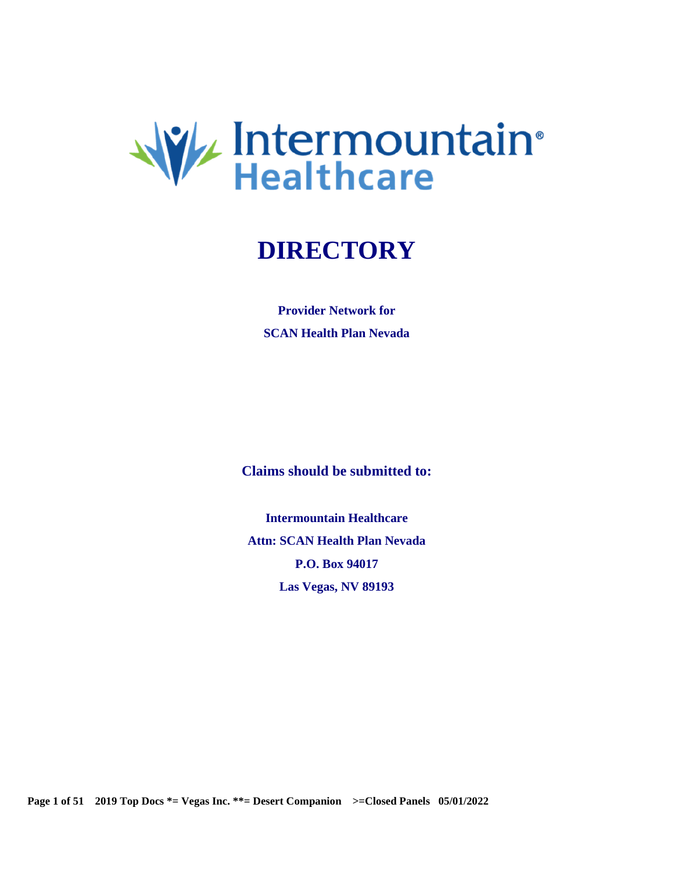

# **DIRECTORY**

**Provider Network for SCAN Health Plan Nevada** 

**Claims should be submitted to:** 

**Intermountain Healthcare Attn: SCAN Health Plan Nevada P.O. Box 94017 Las Vegas, NV 89193** 

 **Page 1 of 51 2019 Top Docs \*= Vegas Inc. \*\*= Desert Companion >=Closed Panels 05/01/2022**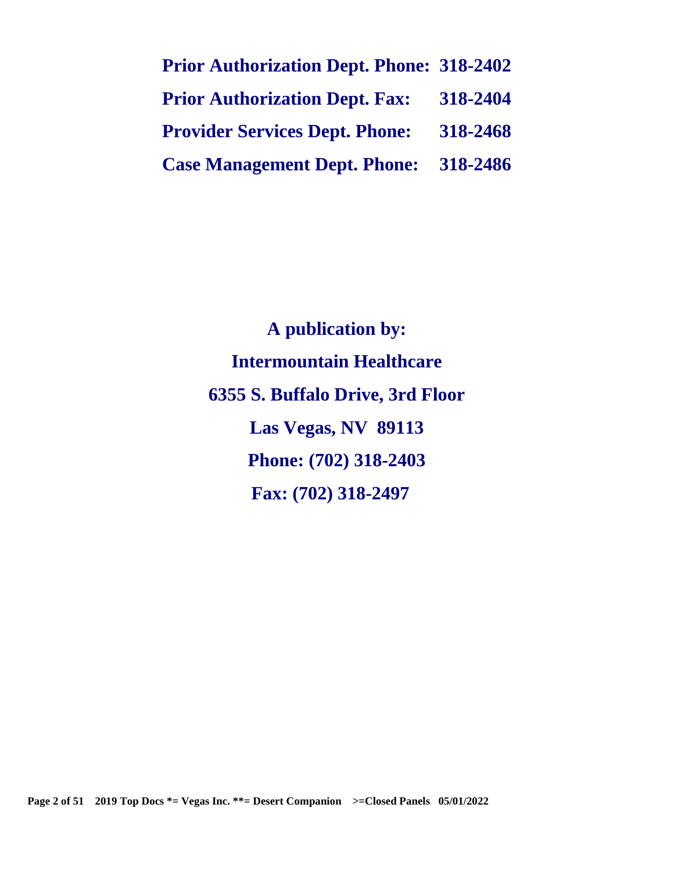| <b>Prior Authorization Dept. Phone: 318-2402</b> |          |
|--------------------------------------------------|----------|
| <b>Prior Authorization Dept. Fax:</b>            | 318-2404 |
| <b>Provider Services Dept. Phone:</b>            | 318-2468 |
| <b>Case Management Dept. Phone:</b> 318-2486     |          |

**A publication by: Intermountain Healthcare 6355 S. Buffalo Drive, 3rd Floor Las Vegas, NV 89113 Phone: (702) 318-2403 Fax: (702) 318-2497**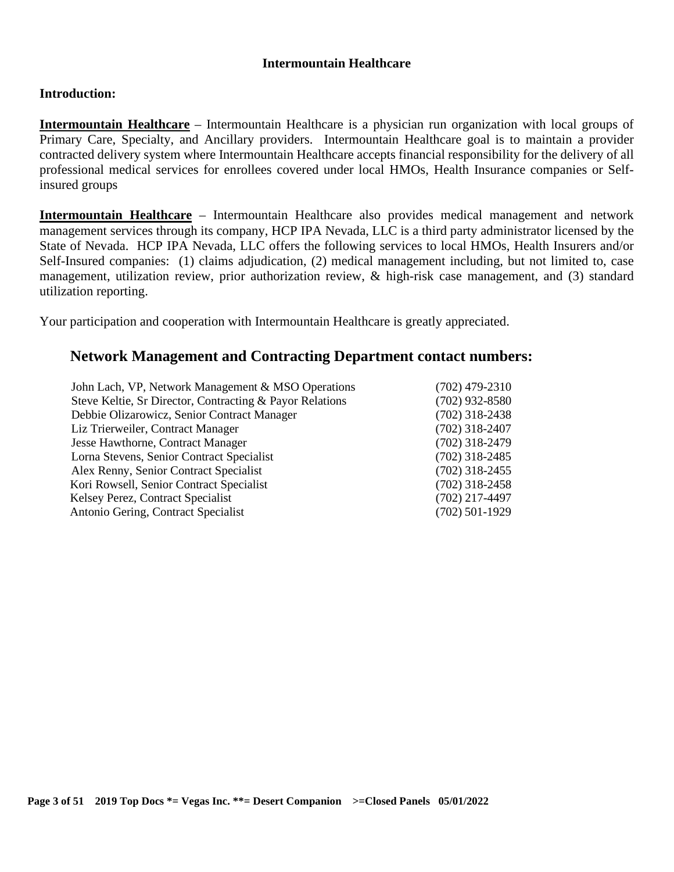## **Intermountain Healthcare**

## **Introduction:**

**Intermountain Healthcare** – Intermountain Healthcare is a physician run organization with local groups of Primary Care, Specialty, and Ancillary providers. Intermountain Healthcare goal is to maintain a provider contracted delivery system where Intermountain Healthcare accepts financial responsibility for the delivery of all professional medical services for enrollees covered under local HMOs, Health Insurance companies or Selfinsured groups

**Intermountain Healthcare** – Intermountain Healthcare also provides medical management and network management services through its company, HCP IPA Nevada, LLC is a third party administrator licensed by the State of Nevada. HCP IPA Nevada, LLC offers the following services to local HMOs, Health Insurers and/or Self-Insured companies: (1) claims adjudication, (2) medical management including, but not limited to, case management, utilization review, prior authorization review, & high-risk case management, and (3) standard utilization reporting.

Your participation and cooperation with Intermountain Healthcare is greatly appreciated.

## **Network Management and Contracting Department contact numbers:**

| $(702)$ 479-2310 |
|------------------|
| $(702)$ 932-8580 |
| $(702)$ 318-2438 |
| $(702)$ 318-2407 |
| $(702)$ 318-2479 |
| $(702)$ 318-2485 |
| $(702)$ 318-2455 |
| $(702)$ 318-2458 |
| $(702)$ 217-4497 |
| $(702)$ 501-1929 |
|                  |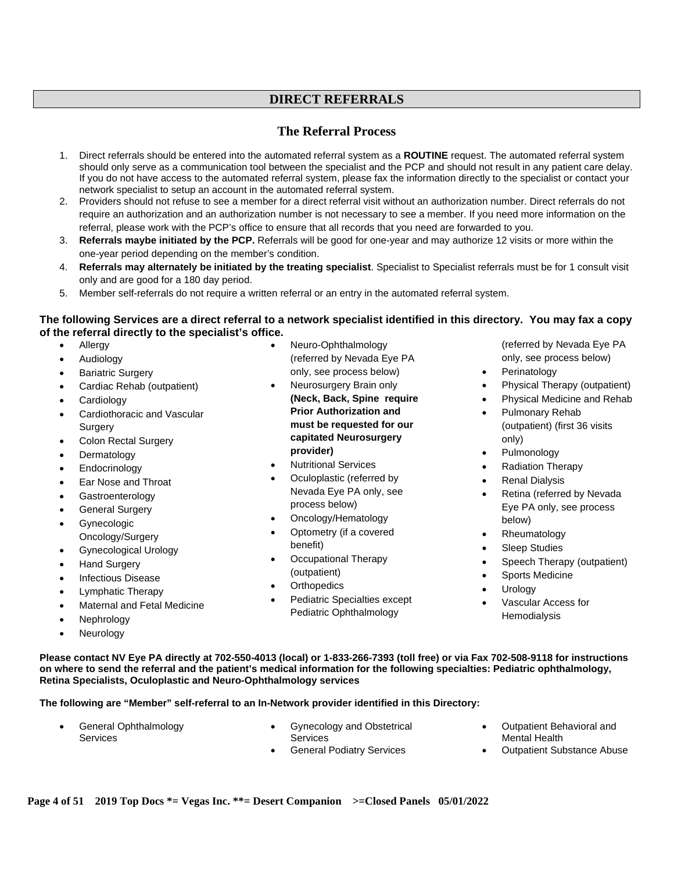## **DIRECT REFERRALS**

## **The Referral Process**

- 1. Direct referrals should be entered into the automated referral system as a **ROUTINE** request. The automated referral system should only serve as a communication tool between the specialist and the PCP and should not result in any patient care delay. If you do not have access to the automated referral system, please fax the information directly to the specialist or contact your network specialist to setup an account in the automated referral system.
- 2. Providers should not refuse to see a member for a direct referral visit without an authorization number. Direct referrals do not require an authorization and an authorization number is not necessary to see a member. If you need more information on the referral, please work with the PCP's office to ensure that all records that you need are forwarded to you.
- 3. **Referrals maybe initiated by the PCP.** Referrals will be good for one-year and may authorize 12 visits or more within the one-year period depending on the member's condition.
- 4. **Referrals may alternately be initiated by the treating specialist**. Specialist to Specialist referrals must be for 1 consult visit only and are good for a 180 day period.
- 5. Member self-referrals do not require a written referral or an entry in the automated referral system.

#### **The following Services are a direct referral to a network specialist identified in this directory. You may fax a copy of the referral directly to the specialist's office.**

- Allergy
- Audiology
- Bariatric Surgery
- Cardiac Rehab (outpatient)
- Cardiology
- Cardiothoracic and Vascular **Surgery**
- Colon Rectal Surgery
- Dermatology
- Endocrinology
- Ear Nose and Throat
- Gastroenterology
- General Surgery
- **Gynecologic** Oncology/Surgery
- Gynecological Urology
- Hand Surgery
- Infectious Disease
- Lymphatic Therapy
- Maternal and Fetal Medicine
- Nephrology
- Neurology
- Neuro-Ophthalmology (referred by Nevada Eye PA only, see process below)
- Neurosurgery Brain only **(Neck, Back, Spine require Prior Authorization and must be requested for our capitated Neurosurgery provider)**
- Nutritional Services
- Oculoplastic (referred by Nevada Eye PA only, see process below)
- Oncology/Hematology
- Optometry (if a covered benefit)
- Occupational Therapy (outpatient)
- **Orthopedics**
- Pediatric Specialties except Pediatric Ophthalmology
- (referred by Nevada Eye PA only, see process below)
- Perinatology
- Physical Therapy (outpatient)
- Physical Medicine and Rehab
	- Pulmonary Rehab (outpatient) (first 36 visits only)
	- Pulmonology
	- Radiation Therapy
	- Renal Dialysis
	- Retina (referred by Nevada Eye PA only, see process below)
	- Rheumatology
	- Sleep Studies
	- Speech Therapy (outpatient)
	- Sports Medicine
	- **Urology**
	- Vascular Access for **Hemodialysis**

**Please contact NV Eye PA directly at 702-550-4013 (local) or 1-833-266-7393 (toll free) or via Fax 702-508-9118 for instructions on where to send the referral and the patient's medical information for the following specialties: Pediatric ophthalmology, Retina Specialists, Oculoplastic and Neuro-Ophthalmology services** 

#### **The following are "Member" self-referral to an In-Network provider identified in this Directory:**

- General Ophthalmology **Services**
- Gynecology and Obstetrical Services
- General Podiatry Services
- Outpatient Behavioral and Mental Health
- Outpatient Substance Abuse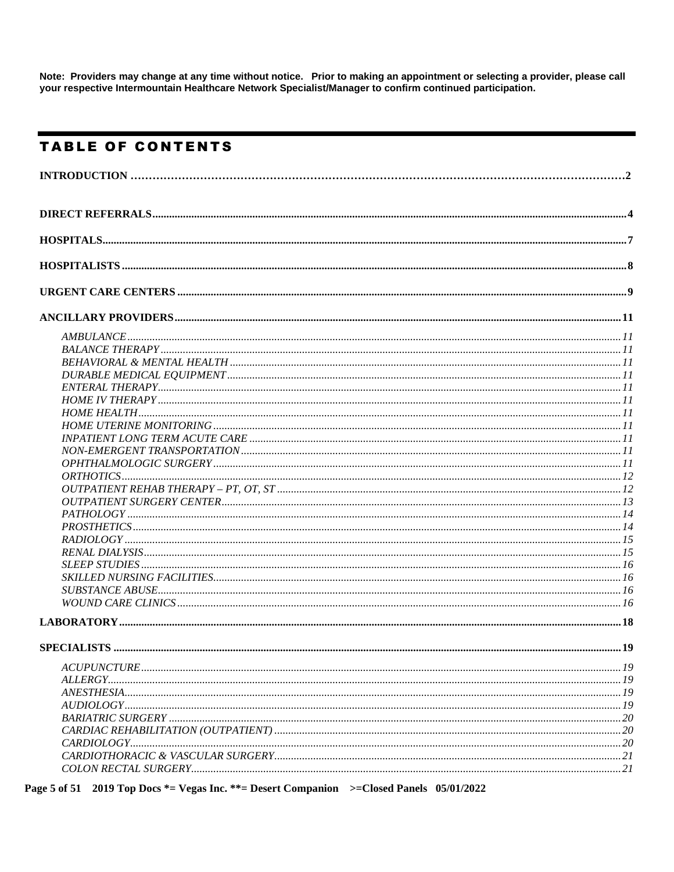Note: Providers may change at any time without notice. Prior to making an appointment or selecting a provider, please call your respective Intermountain Healthcare Network Specialist/Manager to confirm continued participation.

## **TABLE OF CONTENTS**

Page 5 of 51 2019 Top Docs \*= Vegas Inc. \*\*= Desert Companion >= Closed Panels 05/01/2022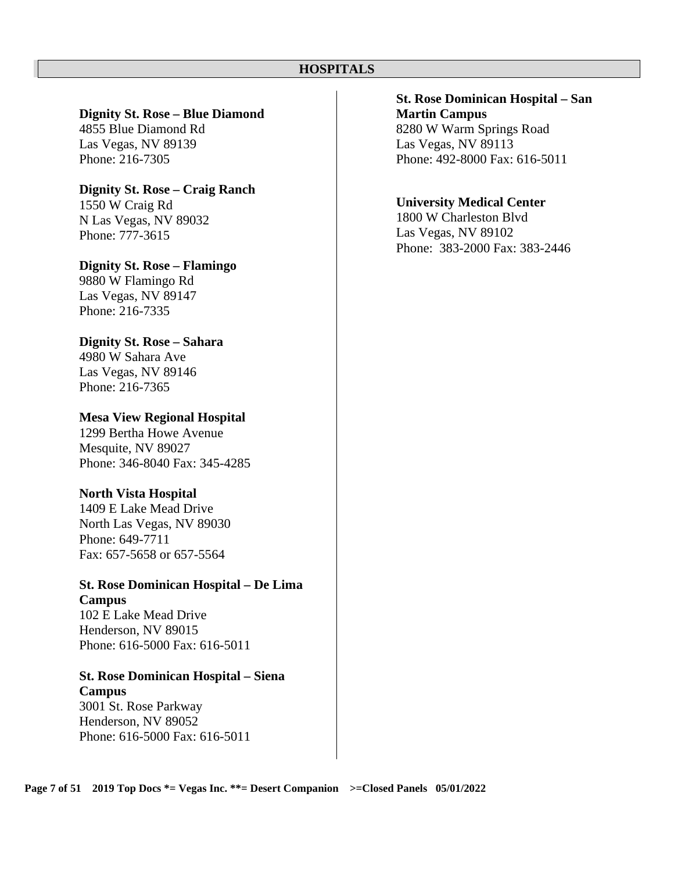## **HOSPITALS**

#### **Dignity St. Rose – Blue Diamond**

4855 Blue Diamond Rd Las Vegas, NV 89139 Phone: 216-7305

## **Dignity St. Rose – Craig Ranch**

1550 W Craig Rd N Las Vegas, NV 89032 Phone: 777-3615

## **Dignity St. Rose – Flamingo**

9880 W Flamingo Rd Las Vegas, NV 89147 Phone: 216-7335

## **Dignity St. Rose – Sahara**

4980 W Sahara Ave Las Vegas, NV 89146 Phone: 216-7365

## **Mesa View Regional Hospital**

 1299 Bertha Howe Avenue Mesquite, NV 89027 Phone: 346-8040 Fax: 345-4285

## **North Vista Hospital**

1409 E Lake Mead Drive North Las Vegas, NV 89030 Phone: 649-7711 Fax: 657-5658 or 657-5564

## **St. Rose Dominican Hospital – De Lima Campus**

102 E Lake Mead Drive Henderson, NV 89015 Phone: 616-5000 Fax: 616-5011

## **St. Rose Dominican Hospital – Siena Campus**

3001 St. Rose Parkway Henderson, NV 89052 Phone: 616-5000 Fax: 616-5011

## **St. Rose Dominican Hospital – San Martin Campus**  8280 W Warm Springs Road Las Vegas, NV 89113

Phone: 492-8000 Fax: 616-5011

## **University Medical Center**

1800 W Charleston Blvd Las Vegas, NV 89102 Phone: 383-2000 Fax: 383-2446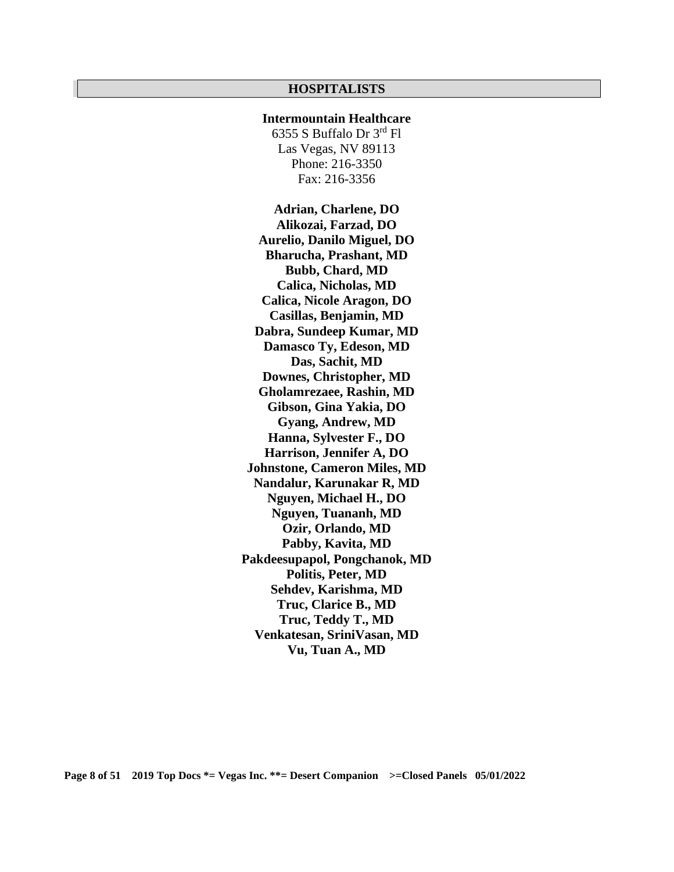#### **HOSPITALISTS**

## **Intermountain Healthcare**

6355 S Buffalo Dr 3rd Fl Las Vegas, NV 89113 Phone: 216-3350 Fax: 216-3356

**Adrian, Charlene, DO Alikozai, Farzad, DO Aurelio, Danilo Miguel, DO Bharucha, Prashant, MD Bubb, Chard, MD Calica, Nicholas, MD Calica, Nicole Aragon, DO Casillas, Benjamin, MD Dabra, Sundeep Kumar, MD Damasco Ty, Edeson, MD Das, Sachit, MD Downes, Christopher, MD Gholamrezaee, Rashin, MD Gibson, Gina Yakia, DO Gyang, Andrew, MD Hanna, Sylvester F., DO Harrison, Jennifer A, DO Johnstone, Cameron Miles, MD Nandalur, Karunakar R, MD Nguyen, Michael H., DO Nguyen, Tuananh, MD Ozir, Orlando, MD Pabby, Kavita, MD Pakdeesupapol, Pongchanok, MD Politis, Peter, MD Sehdev, Karishma, MD Truc, Clarice B., MD Truc, Teddy T., MD Venkatesan, SriniVasan, MD Vu, Tuan A., MD**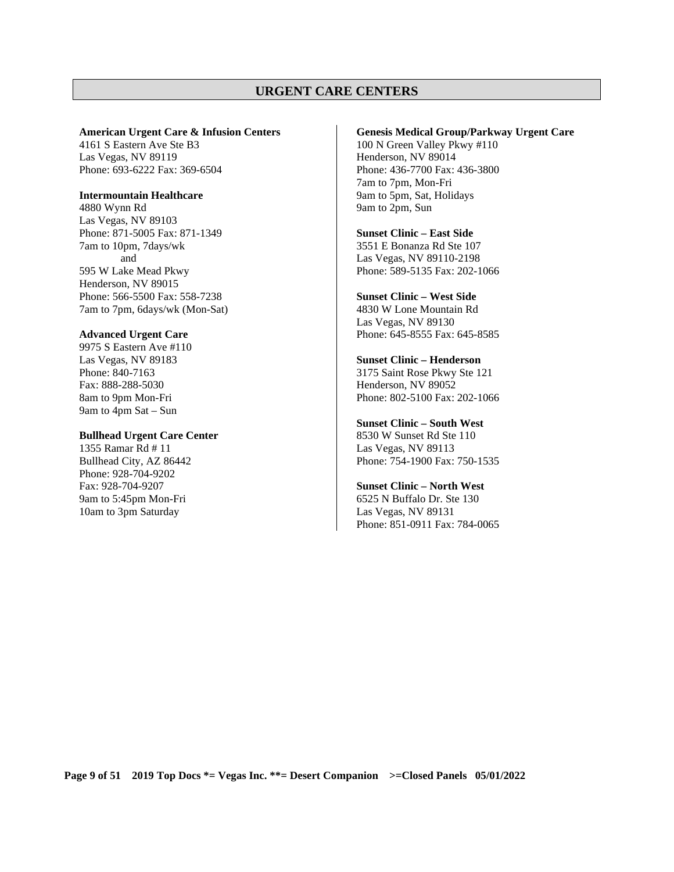## **URGENT CARE CENTERS**

#### **American Urgent Care & Infusion Centers**

4161 S Eastern Ave Ste B3 Las Vegas, NV 89119 Phone: 693-6222 Fax: 369-6504

#### **Intermountain Healthcare**

4880 Wynn Rd Las Vegas, NV 89103 Phone: 871-5005 Fax: 871-1349 7am to 10pm, 7days/wk and 595 W Lake Mead Pkwy Henderson, NV 89015 Phone: 566-5500 Fax: 558-7238 7am to 7pm, 6days/wk (Mon-Sat)

#### **Advanced Urgent Care**

9975 S Eastern Ave #110 Las Vegas, NV 89183 Phone: 840-7163 Fax: 888-288-5030 8am to 9pm Mon-Fri 9am to 4pm Sat – Sun

## **Bullhead Urgent Care Center**

1355 Ramar Rd # 11 Bullhead City, AZ 86442 Phone: 928-704-9202 Fax: 928-704-9207 9am to 5:45pm Mon-Fri 10am to 3pm Saturday

#### **Genesis Medical Group/Parkway Urgent Care**

100 N Green Valley Pkwy #110 Henderson, NV 89014 Phone: 436-7700 Fax: 436-3800 7am to 7pm, Mon-Fri 9am to 5pm, Sat, Holidays 9am to 2pm, Sun

#### **Sunset Clinic – East Side**

3551 E Bonanza Rd Ste 107 Las Vegas, NV 89110-2198 Phone: 589-5135 Fax: 202-1066

#### **Sunset Clinic – West Side**

4830 W Lone Mountain Rd Las Vegas, NV 89130 Phone: 645-8555 Fax: 645-8585

#### **Sunset Clinic – Henderson**

3175 Saint Rose Pkwy Ste 121 Henderson, NV 89052 Phone: 802-5100 Fax: 202-1066

#### **Sunset Clinic – South West**

8530 W Sunset Rd Ste 110 Las Vegas, NV 89113 Phone: 754-1900 Fax: 750-1535

#### **Sunset Clinic – North West**

6525 N Buffalo Dr. Ste 130 Las Vegas, NV 89131 Phone: 851-0911 Fax: 784-0065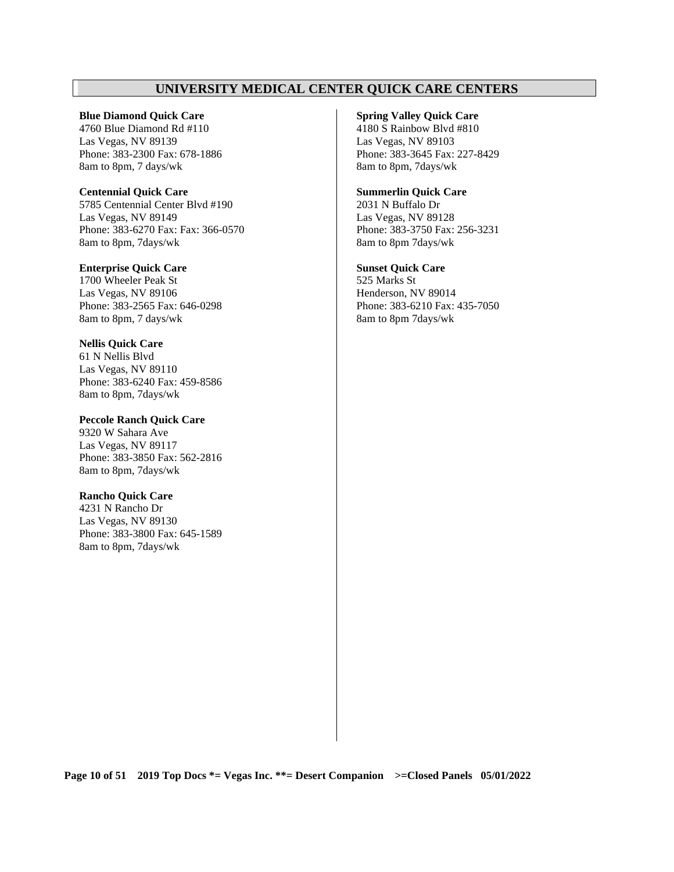## **UNIVERSITY MEDICAL CENTER QUICK CARE CENTERS**

#### **Blue Diamond Quick Care**

4760 Blue Diamond Rd #110 Las Vegas, NV 89139 Phone: 383-2300 Fax: 678-1886 8am to 8pm, 7 days/wk

#### **Centennial Quick Care**

5785 Centennial Center Blvd #190 Las Vegas, NV 89149 Phone: 383-6270 Fax: Fax: 366-0570 8am to 8pm, 7days/wk

#### **Enterprise Quick Care**

1700 Wheeler Peak St Las Vegas, NV 89106 Phone: 383-2565 Fax: 646-0298 8am to 8pm, 7 days/wk

## **Nellis Quick Care**

61 N Nellis Blvd Las Vegas, NV 89110 Phone: 383-6240 Fax: 459-8586 8am to 8pm, 7days/wk

#### **Peccole Ranch Quick Care**

9320 W Sahara Ave Las Vegas, NV 89117 Phone: 383-3850 Fax: 562-2816 8am to 8pm, 7days/wk

#### **Rancho Quick Care**

4231 N Rancho Dr Las Vegas, NV 89130 Phone: 383-3800 Fax: 645-1589 8am to 8pm, 7days/wk

#### **Spring Valley Quick Care**

4180 S Rainbow Blvd #810 Las Vegas, NV 89103 Phone: 383-3645 Fax: 227-8429 8am to 8pm, 7days/wk

#### **Summerlin Quick Care**

2031 N Buffalo Dr Las Vegas, NV 89128 Phone: 383-3750 Fax: 256-3231 8am to 8pm 7days/wk

#### **Sunset Quick Care**

525 Marks St Henderson, NV 89014 Phone: 383-6210 Fax: 435-7050 8am to 8pm 7days/wk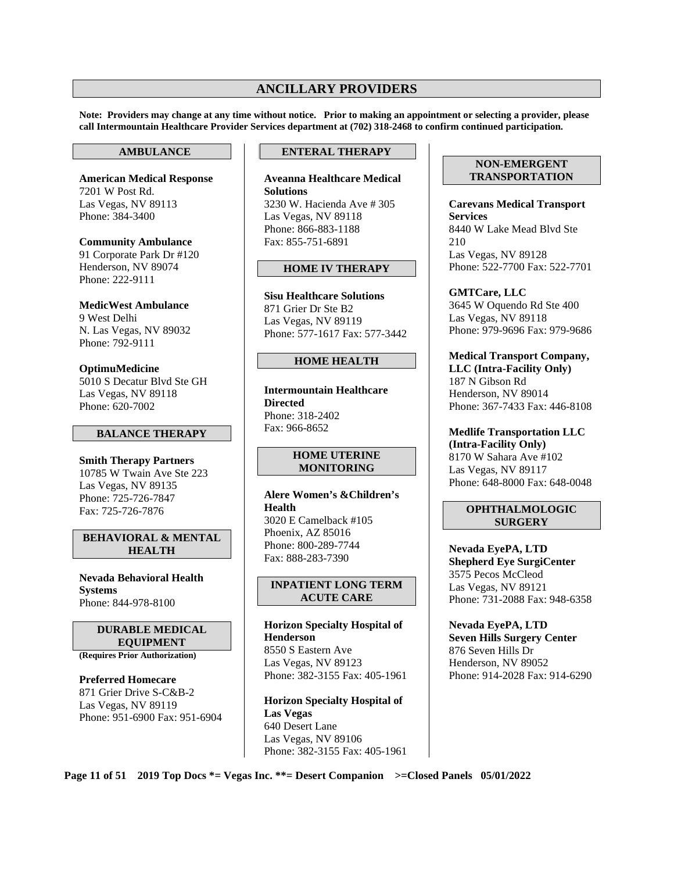## **ANCILLARY PROVIDERS**

**Note: Providers may change at any time without notice. Prior to making an appointment or selecting a provider, please call Intermountain Healthcare Provider Services department at (702) 318-2468 to confirm continued participation.** 

#### **AMBULANCE**

**American Medical Response**  7201 W Post Rd. Las Vegas, NV 89113 Phone: 384-3400

**Community Ambulance**  91 Corporate Park Dr #120 Henderson, NV 89074 Phone: 222-9111

**MedicWest Ambulance**  9 West Delhi N. Las Vegas, NV 89032 Phone: 792-9111

**OptimuMedicine**  5010 S Decatur Blvd Ste GH Las Vegas, NV 89118 Phone: 620-7002

#### **BALANCE THERAPY**

**Smith Therapy Partners**  10785 W Twain Ave Ste 223 Las Vegas, NV 89135 Phone: 725-726-7847 Fax: 725-726-7876

**BEHAVIORAL & MENTAL HEALTH** 

**Nevada Behavioral Health Systems**  Phone: 844-978-8100

> **DURABLE MEDICAL EQUIPMENT**

**(Requires Prior Authorization)** 

**Preferred Homecare**  871 Grier Drive S-C&B-2 Las Vegas, NV 89119 Phone: 951-6900 Fax: 951-6904

#### **ENTERAL THERAPY**

**Aveanna Healthcare Medical Solutions**  3230 W. Hacienda Ave # 305 Las Vegas, NV 89118 Phone: 866-883-1188 Fax: 855-751-6891

#### **HOME IV THERAPY**

**Sisu Healthcare Solutions**  871 Grier Dr Ste B2 Las Vegas, NV 89119 Phone: 577-1617 Fax: 577-3442

#### **HOME HEALTH**

**Intermountain Healthcare Directed** Phone: 318-2402 Fax: 966-8652

#### **HOME UTERINE MONITORING**

**Alere Women's &Children's Health**  3020 E Camelback #105 Phoenix, AZ 85016 Phone: 800-289-7744 Fax: 888-283-7390

#### **INPATIENT LONG TERM ACUTE CARE**

**Horizon Specialty Hospital of Henderson**  8550 S Eastern Ave Las Vegas, NV 89123 Phone: 382-3155 Fax: 405-1961

**Horizon Specialty Hospital of Las Vegas**  640 Desert Lane Las Vegas, NV 89106 Phone: 382-3155 Fax: 405-1961

#### **NON-EMERGENT TRANSPORTATION**

**Carevans Medical Transport Services**  8440 W Lake Mead Blvd Ste 210 Las Vegas, NV 89128 Phone: 522-7700 Fax: 522-7701

**GMTCare, LLC**  3645 W Oquendo Rd Ste 400 Las Vegas, NV 89118 Phone: 979-9696 Fax: 979-9686

#### **Medical Transport Company, LLC (Intra-Facility Only)**  187 N Gibson Rd Henderson, NV 89014 Phone: 367-7433 Fax: 446-8108

**Medlife Transportation LLC (Intra-Facility Only)**  8170 W Sahara Ave #102 Las Vegas, NV 89117 Phone: 648-8000 Fax: 648-0048

#### **OPHTHALMOLOGIC SURGERY**

**Nevada EyePA, LTD Shepherd Eye SurgiCenter**  3575 Pecos McCleod Las Vegas, NV 89121 Phone: 731-2088 Fax: 948-6358

**Nevada EyePA, LTD Seven Hills Surgery Center**  876 Seven Hills Dr Henderson, NV 89052 Phone: 914-2028 Fax: 914-6290

**Page 11 of 51 2019 Top Docs \*= Vegas Inc. \*\*= Desert Companion >=Closed Panels 05/01/2022**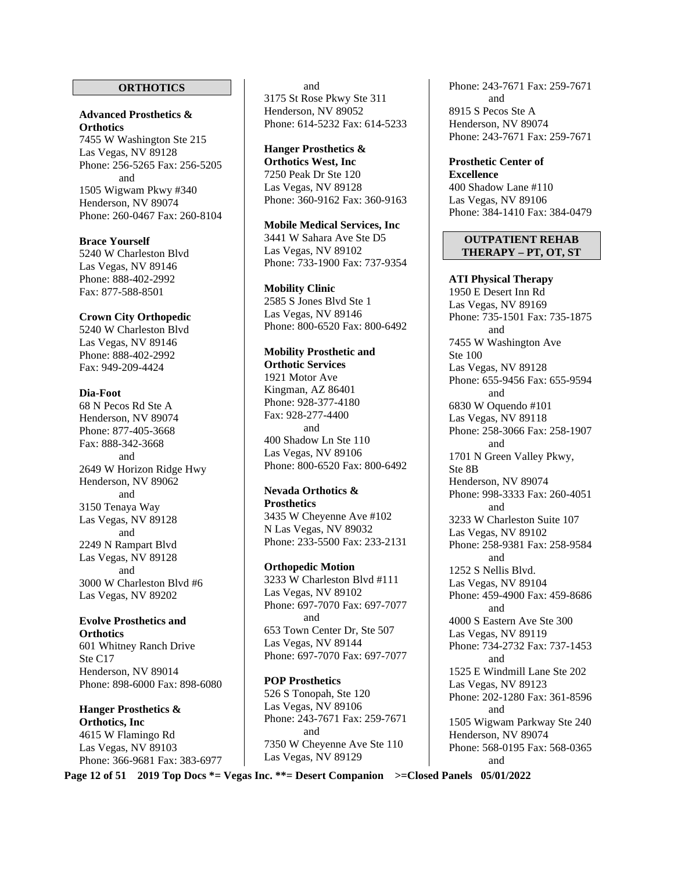#### **ORTHOTICS**

#### **Advanced Prosthetics & Orthotics**

7455 W Washington Ste 215 Las Vegas, NV 89128 Phone: 256-5265 Fax: 256-5205 and 1505 Wigwam Pkwy #340 Henderson, NV 89074 Phone: 260-0467 Fax: 260-8104

#### **Brace Yourself**  5240 W Charleston Blvd Las Vegas, NV 89146

Phone: 888-402-2992 Fax: 877-588-8501

#### **Crown City Orthopedic**

5240 W Charleston Blvd Las Vegas, NV 89146 Phone: 888-402-2992 Fax: 949-209-4424

#### **Dia-Foot**

68 N Pecos Rd Ste A Henderson, NV 89074 Phone: 877-405-3668 Fax: 888-342-3668 and 2649 W Horizon Ridge Hwy Henderson, NV 89062 and 3150 Tenaya Way Las Vegas, NV 89128 and 2249 N Rampart Blvd Las Vegas, NV 89128 and 3000 W Charleston Blvd #6 Las Vegas, NV 89202

#### **Evolve Prosthetics and Orthotics**

601 Whitney Ranch Drive Ste C17 Henderson, NV 89014 Phone: 898-6000 Fax: 898-6080

**Hanger Prosthetics & Orthotics, Inc**  4615 W Flamingo Rd Las Vegas, NV 89103 Phone: 366-9681 Fax: 383-6977

## and

3175 St Rose Pkwy Ste 311 Henderson, NV 89052 Phone: 614-5232 Fax: 614-5233

## **Hanger Prosthetics &**

**Orthotics West, Inc**  7250 Peak Dr Ste 120 Las Vegas, NV 89128 Phone: 360-9162 Fax: 360-9163

#### **Mobile Medical Services, Inc**

3441 W Sahara Ave Ste D5 Las Vegas, NV 89102 Phone: 733-1900 Fax: 737-9354

#### **Mobility Clinic**

2585 S Jones Blvd Ste 1 Las Vegas, NV 89146 Phone: 800-6520 Fax: 800-6492

#### **Mobility Prosthetic and**

**Orthotic Services**  1921 Motor Ave Kingman, AZ 86401 Phone: 928-377-4180 Fax: 928-277-4400 and 400 Shadow Ln Ste 110 Las Vegas, NV 89106 Phone: 800-6520 Fax: 800-6492

#### **Nevada Orthotics & Prosthetics**  3435 W Cheyenne Ave #102

N Las Vegas, NV 89032 Phone: 233-5500 Fax: 233-2131

#### **Orthopedic Motion**

3233 W Charleston Blvd #111 Las Vegas, NV 89102 Phone: 697-7070 Fax: 697-7077 and 653 Town Center Dr, Ste 507 Las Vegas, NV 89144 Phone: 697-7070 Fax: 697-7077

## **POP Prosthetics**

526 S Tonopah, Ste 120 Las Vegas, NV 89106 Phone: 243-7671 Fax: 259-7671 and 7350 W Cheyenne Ave Ste 110 Las Vegas, NV 89129

Phone: 243-7671 Fax: 259-7671 and 8915 S Pecos Ste A Henderson, NV 89074 Phone: 243-7671 Fax: 259-7671

**Prosthetic Center of Excellence** 400 Shadow Lane #110 Las Vegas, NV 89106 Phone: 384-1410 Fax: 384-0479

#### **OUTPATIENT REHAB THERAPY – PT, OT, ST**

**ATI Physical Therapy**  1950 E Desert Inn Rd Las Vegas, NV 89169 Phone: 735-1501 Fax: 735-1875 and 7455 W Washington Ave Ste 100 Las Vegas, NV 89128 Phone: 655-9456 Fax: 655-9594 and 6830 W Oquendo #101 Las Vegas, NV 89118 Phone: 258-3066 Fax: 258-1907 and 1701 N Green Valley Pkwy, Ste 8B Henderson, NV 89074 Phone: 998-3333 Fax: 260-4051 and 3233 W Charleston Suite 107 Las Vegas, NV 89102 Phone: 258-9381 Fax: 258-9584 and 1252 S Nellis Blvd. Las Vegas, NV 89104 Phone: 459-4900 Fax: 459-8686 and 4000 S Eastern Ave Ste 300 Las Vegas, NV 89119 Phone: 734-2732 Fax: 737-1453 and 1525 E Windmill Lane Ste 202 Las Vegas, NV 89123 Phone: 202-1280 Fax: 361-8596 and 1505 Wigwam Parkway Ste 240 Henderson, NV 89074 Phone: 568-0195 Fax: 568-0365 and

**Page 12 of 51 2019 Top Docs \*= Vegas Inc. \*\*= Desert Companion >=Closed Panels 05/01/2022**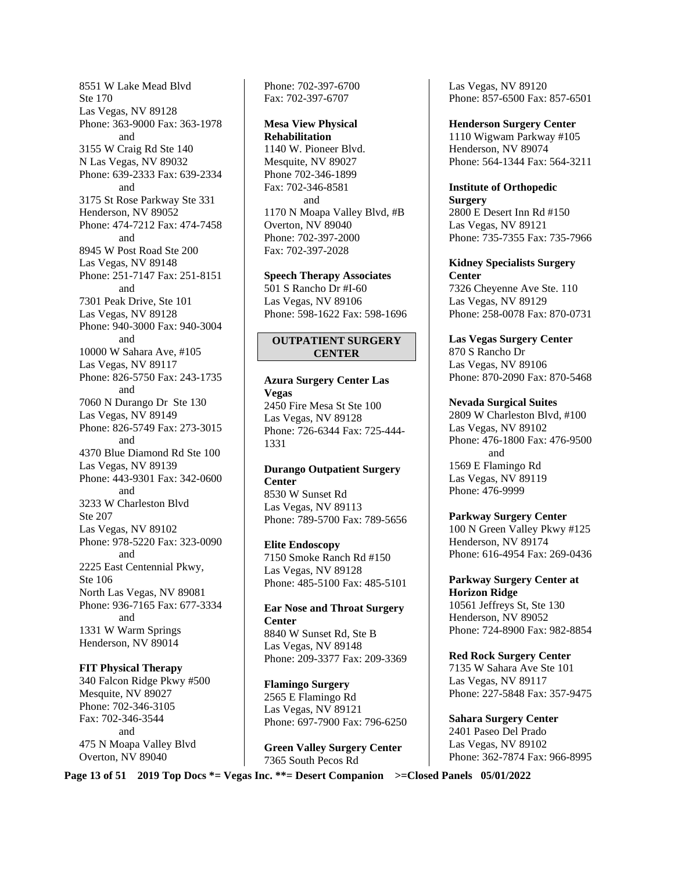8551 W Lake Mead Blvd Ste 170 Las Vegas, NV 89128 Phone: 363-9000 Fax: 363-1978 and 3155 W Craig Rd Ste 140 N Las Vegas, NV 89032 Phone: 639-2333 Fax: 639-2334 and 3175 St Rose Parkway Ste 331 Henderson, NV 89052 Phone: 474-7212 Fax: 474-7458 and 8945 W Post Road Ste 200 Las Vegas, NV 89148 Phone: 251-7147 Fax: 251-8151 and 7301 Peak Drive, Ste 101 Las Vegas, NV 89128 Phone: 940-3000 Fax: 940-3004 and 10000 W Sahara Ave, #105 Las Vegas, NV 89117 Phone: 826-5750 Fax: 243-1735 and 7060 N Durango Dr Ste 130 Las Vegas, NV 89149 Phone: 826-5749 Fax: 273-3015 and 4370 Blue Diamond Rd Ste 100 Las Vegas, NV 89139 Phone: 443-9301 Fax: 342-0600 and 3233 W Charleston Blvd Ste 207 Las Vegas, NV 89102 Phone: 978-5220 Fax: 323-0090 and 2225 East Centennial Pkwy, Ste 106 North Las Vegas, NV 89081 Phone: 936-7165 Fax: 677-3334 and 1331 W Warm Springs Henderson, NV 89014

#### **FIT Physical Therapy**

340 Falcon Ridge Pkwy #500 Mesquite, NV 89027 Phone: 702-346-3105 Fax: 702-346-3544 and 475 N Moapa Valley Blvd Overton, NV 89040

Phone: 702-397-6700 Fax: 702-397-6707

**Mesa View Physical Rehabilitation**  1140 W. Pioneer Blvd. Mesquite, NV 89027 Phone 702-346-1899 Fax: 702-346-8581 and 1170 N Moapa Valley Blvd, #B Overton, NV 89040 Phone: 702-397-2000 Fax: 702-397-2028

**Speech Therapy Associates**  501 S Rancho Dr #I-60 Las Vegas, NV 89106 Phone: 598-1622 Fax: 598-1696

#### **OUTPATIENT SURGERY CENTER**

**Azura Surgery Center Las Vegas**  2450 Fire Mesa St Ste 100 Las Vegas, NV 89128 Phone: 726-6344 Fax: 725-444- 1331

**Durango Outpatient Surgery Center**  8530 W Sunset Rd Las Vegas, NV 89113

Phone: 789-5700 Fax: 789-5656 **Elite Endoscopy** 

7150 Smoke Ranch Rd #150 Las Vegas, NV 89128 Phone: 485-5100 Fax: 485-5101

**Ear Nose and Throat Surgery Center**  8840 W Sunset Rd, Ste B Las Vegas, NV 89148 Phone: 209-3377 Fax: 209-3369

**Flamingo Surgery**  2565 E Flamingo Rd Las Vegas, NV 89121 Phone: 697-7900 Fax: 796-6250

**Green Valley Surgery Center**  7365 South Pecos Rd

Las Vegas, NV 89120 Phone: 857-6500 Fax: 857-6501

**Henderson Surgery Center** 1110 Wigwam Parkway #105 Henderson, NV 89074 Phone: 564-1344 Fax: 564-3211

**Institute of Orthopedic Surgery** 

2800 E Desert Inn Rd #150 Las Vegas, NV 89121 Phone: 735-7355 Fax: 735-7966

**Kidney Specialists Surgery Center**  7326 Cheyenne Ave Ste. 110 Las Vegas, NV 89129 Phone: 258-0078 Fax: 870-0731

**Las Vegas Surgery Center**  870 S Rancho Dr Las Vegas, NV 89106 Phone: 870-2090 Fax: 870-5468

**Nevada Surgical Suites**  2809 W Charleston Blvd, #100 Las Vegas, NV 89102 Phone: 476-1800 Fax: 476-9500 and 1569 E Flamingo Rd Las Vegas, NV 89119 Phone: 476-9999

**Parkway Surgery Center**  100 N Green Valley Pkwy #125 Henderson, NV 89174 Phone: 616-4954 Fax: 269-0436

**Parkway Surgery Center at Horizon Ridge**  10561 Jeffreys St, Ste 130 Henderson, NV 89052 Phone: 724-8900 Fax: 982-8854

**Red Rock Surgery Center**  7135 W Sahara Ave Ste 101 Las Vegas, NV 89117 Phone: 227-5848 Fax: 357-9475

**Sahara Surgery Center**  2401 Paseo Del Prado Las Vegas, NV 89102 Phone: 362-7874 Fax: 966-8995

**Page 13 of 51 2019 Top Docs \*= Vegas Inc. \*\*= Desert Companion >=Closed Panels 05/01/2022**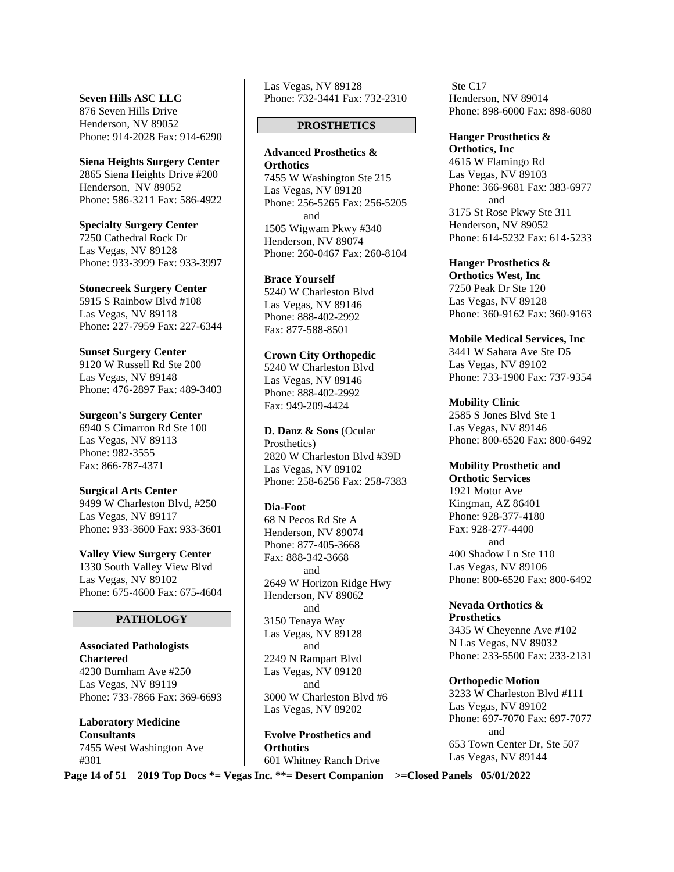**Seven Hills ASC LLC**  876 Seven Hills Drive Henderson, NV 89052 Phone: 914-2028 Fax: 914-6290

**Siena Heights Surgery Center**  2865 Siena Heights Drive #200 Henderson, NV 89052 Phone: 586-3211 Fax: 586-4922

**Specialty Surgery Center**  7250 Cathedral Rock Dr Las Vegas, NV 89128 Phone: 933-3999 Fax: 933-3997

**Stonecreek Surgery Center**  5915 S Rainbow Blvd #108 Las Vegas, NV 89118 Phone: 227-7959 Fax: 227-6344

**Sunset Surgery Center**  9120 W Russell Rd Ste 200 Las Vegas, NV 89148 Phone: 476-2897 Fax: 489-3403

**Surgeon's Surgery Center**  6940 S Cimarron Rd Ste 100 Las Vegas, NV 89113 Phone: 982-3555 Fax: 866-787-4371

**Surgical Arts Center**  9499 W Charleston Blvd, #250 Las Vegas, NV 89117 Phone: 933-3600 Fax: 933-3601

**Valley View Surgery Center**  1330 South Valley View Blvd Las Vegas, NV 89102 Phone: 675-4600 Fax: 675-4604

#### **PATHOLOGY**

**Associated Pathologists Chartered** 4230 Burnham Ave #250 Las Vegas, NV 89119 Phone: 733-7866 Fax: 369-6693

**Laboratory Medicine Consultants**  7455 West Washington Ave #301

Las Vegas, NV 89128 Phone: 732-3441 Fax: 732-2310

#### **PROSTHETICS**

**Advanced Prosthetics & Orthotics**  7455 W Washington Ste 215 Las Vegas, NV 89128 Phone: 256-5265 Fax: 256-5205 and 1505 Wigwam Pkwy #340 Henderson, NV 89074 Phone: 260-0467 Fax: 260-8104

**Brace Yourself**  5240 W Charleston Blvd Las Vegas, NV 89146 Phone: 888-402-2992 Fax: 877-588-8501

**Crown City Orthopedic**  5240 W Charleston Blvd Las Vegas, NV 89146 Phone: 888-402-2992 Fax: 949-209-4424

**D. Danz & Sons** (Ocular Prosthetics) 2820 W Charleston Blvd #39D Las Vegas, NV 89102 Phone: 258-6256 Fax: 258-7383

**Dia-Foot** 

68 N Pecos Rd Ste A Henderson, NV 89074 Phone: 877-405-3668 Fax: 888-342-3668 and 2649 W Horizon Ridge Hwy Henderson, NV 89062 and 3150 Tenaya Way Las Vegas, NV 89128 and 2249 N Rampart Blvd Las Vegas, NV 89128 and 3000 W Charleston Blvd #6 Las Vegas, NV 89202

**Evolve Prosthetics and Orthotics**  601 Whitney Ranch Drive

 Ste C17 Henderson, NV 89014 Phone: 898-6000 Fax: 898-6080

**Hanger Prosthetics & Orthotics, Inc**  4615 W Flamingo Rd Las Vegas, NV 89103 Phone: 366-9681 Fax: 383-6977 and 3175 St Rose Pkwy Ste 311 Henderson, NV 89052 Phone: 614-5232 Fax: 614-5233

**Hanger Prosthetics & Orthotics West, Inc**  7250 Peak Dr Ste 120 Las Vegas, NV 89128 Phone: 360-9162 Fax: 360-9163

**Mobile Medical Services, Inc**  3441 W Sahara Ave Ste D5 Las Vegas, NV 89102 Phone: 733-1900 Fax: 737-9354

**Mobility Clinic**  2585 S Jones Blvd Ste 1 Las Vegas, NV 89146 Phone: 800-6520 Fax: 800-6492

**Mobility Prosthetic and Orthotic Services**  1921 Motor Ave Kingman, AZ 86401 Phone: 928-377-4180 Fax: 928-277-4400 and 400 Shadow Ln Ste 110 Las Vegas, NV 89106 Phone: 800-6520 Fax: 800-6492

**Nevada Orthotics & Prosthetics**  3435 W Cheyenne Ave #102 N Las Vegas, NV 89032 Phone: 233-5500 Fax: 233-2131

**Orthopedic Motion**  3233 W Charleston Blvd #111 Las Vegas, NV 89102 Phone: 697-7070 Fax: 697-7077 and 653 Town Center Dr, Ste 507 Las Vegas, NV 89144

**Page 14 of 51 2019 Top Docs \*= Vegas Inc. \*\*= Desert Companion >=Closed Panels 05/01/2022**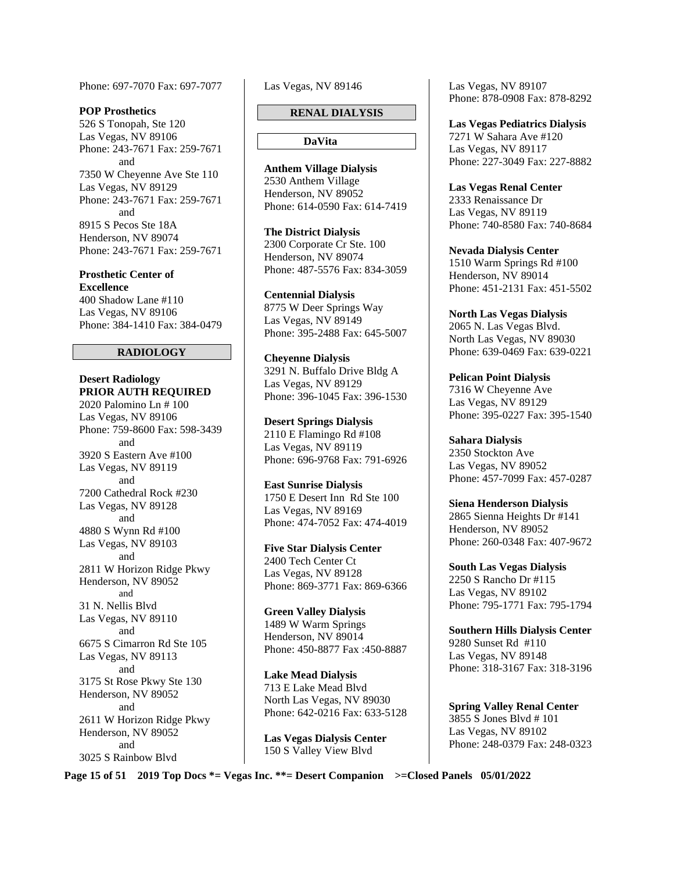Phone: 697-7070 Fax: 697-7077

#### **POP Prosthetics**

526 S Tonopah, Ste 120 Las Vegas, NV 89106 Phone: 243-7671 Fax: 259-7671 and 7350 W Cheyenne Ave Ste 110 Las Vegas, NV 89129 Phone: 243-7671 Fax: 259-7671 and 8915 S Pecos Ste 18A Henderson, NV 89074 Phone: 243-7671 Fax: 259-7671

**Prosthetic Center of Excellence** 

400 Shadow Lane #110 Las Vegas, NV 89106 Phone: 384-1410 Fax: 384-0479

#### **RADIOLOGY**

**Desert Radiology PRIOR AUTH REQUIRED** 

2020 Palomino Ln # 100 Las Vegas, NV 89106 Phone: 759-8600 Fax: 598-3439 and 3920 S Eastern Ave #100 Las Vegas, NV 89119 and 7200 Cathedral Rock #230 Las Vegas, NV 89128 and 4880 S Wynn Rd #100 Las Vegas, NV 89103 and 2811 W Horizon Ridge Pkwy Henderson, NV 89052 and 31 N. Nellis Blvd Las Vegas, NV 89110 and 6675 S Cimarron Rd Ste 105 Las Vegas, NV 89113 and 3175 St Rose Pkwy Ste 130 Henderson, NV 89052 and 2611 W Horizon Ridge Pkwy Henderson, NV 89052 and 3025 S Rainbow Blvd

Las Vegas, NV 89146

#### **RENAL DIALYSIS**

#### **DaVita**

**Anthem Village Dialysis**  2530 Anthem Village Henderson, NV 89052 Phone: 614-0590 Fax: 614-7419

**The District Dialysis**  2300 Corporate Cr Ste. 100 Henderson, NV 89074 Phone: 487-5576 Fax: 834-3059

**Centennial Dialysis**  8775 W Deer Springs Way Las Vegas, NV 89149 Phone: 395-2488 Fax: 645-5007

**Cheyenne Dialysis**  3291 N. Buffalo Drive Bldg A Las Vegas, NV 89129 Phone: 396-1045 Fax: 396-1530

**Desert Springs Dialysis**  2110 E Flamingo Rd #108 Las Vegas, NV 89119 Phone: 696-9768 Fax: 791-6926

**East Sunrise Dialysis**  1750 E Desert Inn Rd Ste 100 Las Vegas, NV 89169 Phone: 474-7052 Fax: 474-4019

**Five Star Dialysis Center**  2400 Tech Center Ct Las Vegas, NV 89128 Phone: 869-3771 Fax: 869-6366

**Green Valley Dialysis**  1489 W Warm Springs Henderson, NV 89014 Phone: 450-8877 Fax :450-8887

**Lake Mead Dialysis**  713 E Lake Mead Blvd North Las Vegas, NV 89030 Phone: 642-0216 Fax: 633-5128

**Las Vegas Dialysis Center**  150 S Valley View Blvd

Las Vegas, NV 89107 Phone: 878-0908 Fax: 878-8292

**Las Vegas Pediatrics Dialysis**  7271 W Sahara Ave #120 Las Vegas, NV 89117 Phone: 227-3049 Fax: 227-8882

**Las Vegas Renal Center**  2333 Renaissance Dr Las Vegas, NV 89119 Phone: 740-8580 Fax: 740-8684

**Nevada Dialysis Center**  1510 Warm Springs Rd #100 Henderson, NV 89014 Phone: 451-2131 Fax: 451-5502

**North Las Vegas Dialysis**  2065 N. Las Vegas Blvd. North Las Vegas, NV 89030 Phone: 639-0469 Fax: 639-0221

**Pelican Point Dialysis**  7316 W Cheyenne Ave Las Vegas, NV 89129 Phone: 395-0227 Fax: 395-1540

**Sahara Dialysis**  2350 Stockton Ave Las Vegas, NV 89052 Phone: 457-7099 Fax: 457-0287

**Siena Henderson Dialysis** 2865 Sienna Heights Dr #141 Henderson, NV 89052 Phone: 260-0348 Fax: 407-9672

**South Las Vegas Dialysis**  2250 S Rancho Dr #115 Las Vegas, NV 89102 Phone: 795-1771 Fax: 795-1794

**Southern Hills Dialysis Center**  9280 Sunset Rd #110 Las Vegas, NV 89148 Phone: 318-3167 Fax: 318-3196

**Spring Valley Renal Center**  3855 S Jones Blvd # 101 Las Vegas, NV 89102 Phone: 248-0379 Fax: 248-0323

**Page 15 of 51 2019 Top Docs \*= Vegas Inc. \*\*= Desert Companion >=Closed Panels 05/01/2022**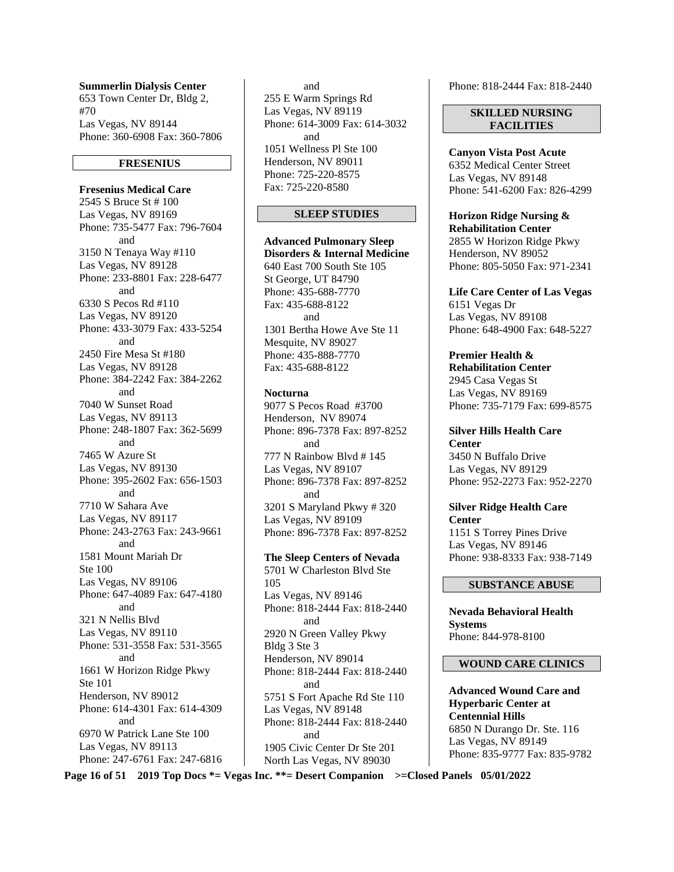**Summerlin Dialysis Center**  653 Town Center Dr, Bldg 2, #70 Las Vegas, NV 89144 Phone: 360-6908 Fax: 360-7806

#### **FRESENIUS**

**Fresenius Medical Care**  2545 S Bruce St # 100 Las Vegas, NV 89169 Phone: 735-5477 Fax: 796-7604 and 3150 N Tenaya Way #110 Las Vegas, NV 89128 Phone: 233-8801 Fax: 228-6477 and 6330 S Pecos Rd #110 Las Vegas, NV 89120 Phone: 433-3079 Fax: 433-5254 and 2450 Fire Mesa St #180 Las Vegas, NV 89128 Phone: 384-2242 Fax: 384-2262 and 7040 W Sunset Road Las Vegas, NV 89113 Phone: 248-1807 Fax: 362-5699 and 7465 W Azure St Las Vegas, NV 89130 Phone: 395-2602 Fax: 656-1503 and 7710 W Sahara Ave Las Vegas, NV 89117 Phone: 243-2763 Fax: 243-9661 and 1581 Mount Mariah Dr Ste 100 Las Vegas, NV 89106 Phone: 647-4089 Fax: 647-4180 and 321 N Nellis Blvd Las Vegas, NV 89110 Phone: 531-3558 Fax: 531-3565 and 1661 W Horizon Ridge Pkwy Ste 101 Henderson, NV 89012 Phone: 614-4301 Fax: 614-4309 and 6970 W Patrick Lane Ste 100 Las Vegas, NV 89113 Phone: 247-6761 Fax: 247-6816

 and 255 E Warm Springs Rd Las Vegas, NV 89119 Phone: 614-3009 Fax: 614-3032 and 1051 Wellness Pl Ste 100 Henderson, NV 89011 Phone: 725-220-8575 Fax: 725-220-8580

#### **SLEEP STUDIES**

**Advanced Pulmonary Sleep Disorders & Internal Medicine**  640 East 700 South Ste 105 St George, UT 84790 Phone: 435-688-7770 Fax: 435-688-8122 and 1301 Bertha Howe Ave Ste 11 Mesquite, NV 89027 Phone: 435-888-7770 Fax: 435-688-8122

**Nocturna** 

9077 S Pecos Road #3700 Henderson, NV 89074 Phone: 896-7378 Fax: 897-8252 and 777 N Rainbow Blvd # 145 Las Vegas, NV 89107 Phone: 896-7378 Fax: 897-8252 and 3201 S Maryland Pkwy # 320 Las Vegas, NV 89109 Phone: 896-7378 Fax: 897-8252

**The Sleep Centers of Nevada** 

5701 W Charleston Blvd Ste 105 Las Vegas, NV 89146 Phone: 818-2444 Fax: 818-2440 and 2920 N Green Valley Pkwy Bldg 3 Ste 3 Henderson, NV 89014 Phone: 818-2444 Fax: 818-2440 and 5751 S Fort Apache Rd Ste 110 Las Vegas, NV 89148 Phone: 818-2444 Fax: 818-2440 and 1905 Civic Center Dr Ste 201 North Las Vegas, NV 89030

Phone: 818-2444 Fax: 818-2440

**SKILLED NURSING FACILITIES** 

**Canyon Vista Post Acute**  6352 Medical Center Street Las Vegas, NV 89148 Phone: 541-6200 Fax: 826-4299

**Horizon Ridge Nursing & Rehabilitation Center**  2855 W Horizon Ridge Pkwy Henderson, NV 89052 Phone: 805-5050 Fax: 971-2341

**Life Care Center of Las Vegas**  6151 Vegas Dr Las Vegas, NV 89108 Phone: 648-4900 Fax: 648-5227

**Premier Health & Rehabilitation Center** 

2945 Casa Vegas St Las Vegas, NV 89169 Phone: 735-7179 Fax: 699-8575

**Silver Hills Health Care Center**  3450 N Buffalo Drive Las Vegas, NV 89129 Phone: 952-2273 Fax: 952-2270

**Silver Ridge Health Care Center**  1151 S Torrey Pines Drive Las Vegas, NV 89146 Phone: 938-8333 Fax: 938-7149

#### **SUBSTANCE ABUSE**

**Nevada Behavioral Health Systems**  Phone: 844-978-8100

#### **WOUND CARE CLINICS**

**Advanced Wound Care and Hyperbaric Center at Centennial Hills**  6850 N Durango Dr. Ste. 116 Las Vegas, NV 89149 Phone: 835-9777 Fax: 835-9782

**Page 16 of 51 2019 Top Docs \*= Vegas Inc. \*\*= Desert Companion >=Closed Panels 05/01/2022**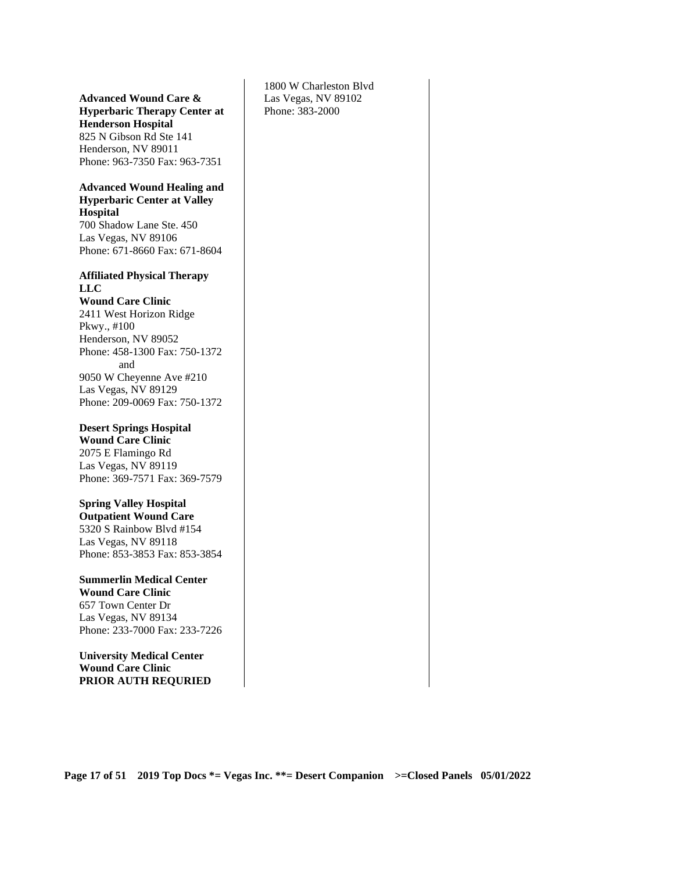#### **Advanced Wound Care & Hyperbaric Therapy Center at Henderson Hospital**  825 N Gibson Rd Ste 141

Henderson, NV 89011 Phone: 963-7350 Fax: 963-7351

#### **Advanced Wound Healing and Hyperbaric Center at Valley Hospital**

700 Shadow Lane Ste. 450 Las Vegas, NV 89106 Phone: 671-8660 Fax: 671-8604

#### **Affiliated Physical Therapy LLC Wound Care Clinic**  2411 West Horizon Ridge

Pkwy., #100 Henderson, NV 89052 Phone: 458-1300 Fax: 750-1372 and 9050 W Cheyenne Ave #210 Las Vegas, NV 89129 Phone: 209-0069 Fax: 750-1372

**Desert Springs Hospital Wound Care Clinic**  2075 E Flamingo Rd

Las Vegas, NV 89119 Phone: 369-7571 Fax: 369-7579

**Spring Valley Hospital Outpatient Wound Care**  5320 S Rainbow Blvd #154 Las Vegas, NV 89118 Phone: 853-3853 Fax: 853-3854

**Summerlin Medical Center Wound Care Clinic**  657 Town Center Dr Las Vegas, NV 89134 Phone: 233-7000 Fax: 233-7226

**University Medical Center Wound Care Clinic PRIOR AUTH REQURIED** 

1800 W Charleston Blvd Las Vegas, NV 89102 Phone: 383-2000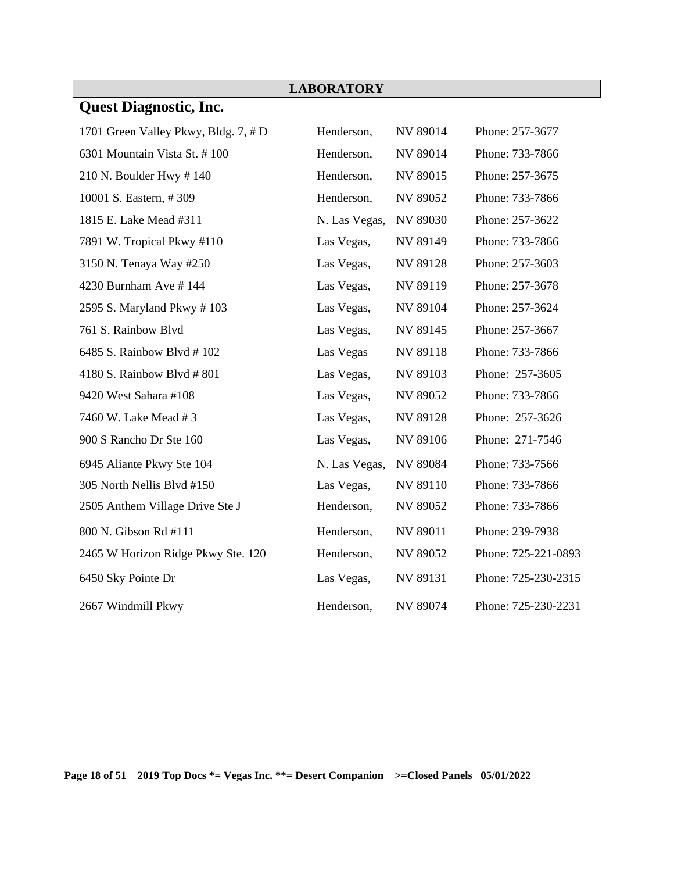|                                      | <b>LABORATORY</b> |                 |                     |
|--------------------------------------|-------------------|-----------------|---------------------|
| <b>Quest Diagnostic, Inc.</b>        |                   |                 |                     |
| 1701 Green Valley Pkwy, Bldg. 7, # D | Henderson,        | NV 89014        | Phone: 257-3677     |
| 6301 Mountain Vista St. #100         | Henderson,        | NV 89014        | Phone: 733-7866     |
| 210 N. Boulder Hwy $\#$ 140          | Henderson,        | NV 89015        | Phone: 257-3675     |
| 10001 S. Eastern, #309               | Henderson,        | NV 89052        | Phone: 733-7866     |
| 1815 E. Lake Mead #311               | N. Las Vegas,     | NV 89030        | Phone: 257-3622     |
| 7891 W. Tropical Pkwy #110           | Las Vegas,        | NV 89149        | Phone: 733-7866     |
| 3150 N. Tenaya Way #250              | Las Vegas,        | <b>NV 89128</b> | Phone: 257-3603     |
| 4230 Burnham Ave #144                | Las Vegas,        | NV 89119        | Phone: 257-3678     |
| 2595 S. Maryland Pkwy #103           | Las Vegas,        | NV 89104        | Phone: 257-3624     |
| 761 S. Rainbow Blvd                  | Las Vegas,        | NV 89145        | Phone: 257-3667     |
| 6485 S. Rainbow Blvd #102            | Las Vegas         | NV 89118        | Phone: 733-7866     |
| 4180 S. Rainbow Blvd #801            | Las Vegas,        | NV 89103        | Phone: 257-3605     |
| 9420 West Sahara #108                | Las Vegas,        | NV 89052        | Phone: 733-7866     |
| 7460 W. Lake Mead #3                 | Las Vegas,        | NV 89128        | Phone: 257-3626     |
| 900 S Rancho Dr Ste 160              | Las Vegas,        | NV 89106        | Phone: 271-7546     |
| 6945 Aliante Pkwy Ste 104            | N. Las Vegas,     | <b>NV 89084</b> | Phone: 733-7566     |
| 305 North Nellis Blvd #150           | Las Vegas,        | NV 89110        | Phone: 733-7866     |
| 2505 Anthem Village Drive Ste J      | Henderson,        | NV 89052        | Phone: 733-7866     |
| 800 N. Gibson Rd #111                | Henderson,        | NV 89011        | Phone: 239-7938     |
| 2465 W Horizon Ridge Pkwy Ste. 120   | Henderson,        | NV 89052        | Phone: 725-221-0893 |
| 6450 Sky Pointe Dr                   | Las Vegas,        | NV 89131        | Phone: 725-230-2315 |
| 2667 Windmill Pkwy                   | Henderson,        | <b>NV 89074</b> | Phone: 725-230-2231 |

 $\sim 10$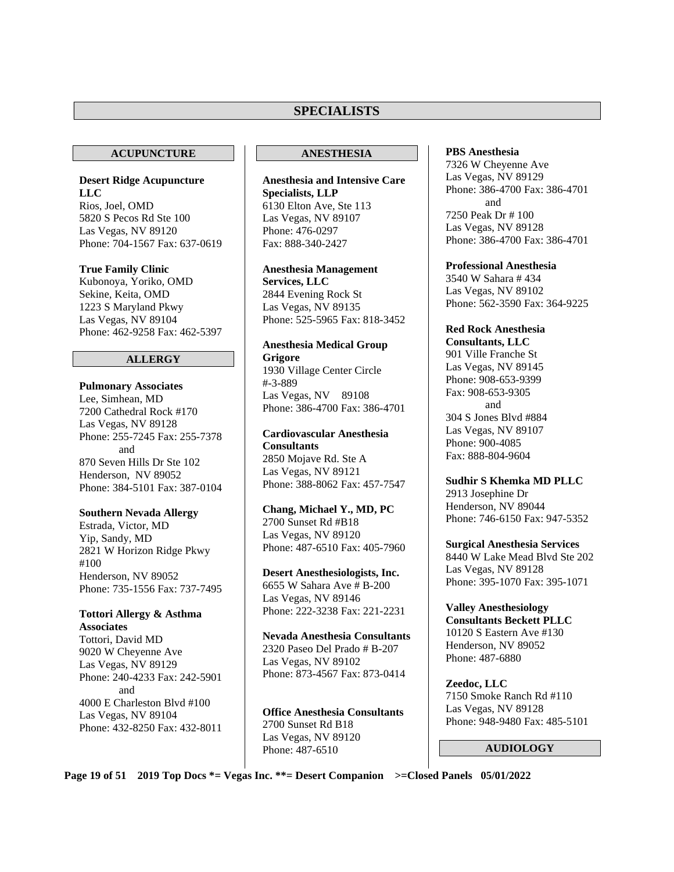## **SPECIALISTS**

#### **ACUPUNCTURE**

**Desert Ridge Acupuncture LLC**  Rios, Joel, OMD 5820 S Pecos Rd Ste 100 Las Vegas, NV 89120 Phone: 704-1567 Fax: 637-0619

**True Family Clinic**  Kubonoya, Yoriko, OMD Sekine, Keita, OMD 1223 S Maryland Pkwy Las Vegas, NV 89104 Phone: 462-9258 Fax: 462-5397

#### **ALLERGY**

#### **Pulmonary Associates**

Lee, Simhean, MD 7200 Cathedral Rock #170 Las Vegas, NV 89128 Phone: 255-7245 Fax: 255-7378 and 870 Seven Hills Dr Ste 102 Henderson, NV 89052 Phone: 384-5101 Fax: 387-0104

#### **Southern Nevada Allergy**

Estrada, Victor, MD Yip, Sandy, MD 2821 W Horizon Ridge Pkwy #100 Henderson, NV 89052 Phone: 735-1556 Fax: 737-7495

#### **Tottori Allergy & Asthma Associates**

Tottori, David MD 9020 W Cheyenne Ave Las Vegas, NV 89129 Phone: 240-4233 Fax: 242-5901 and 4000 E Charleston Blvd #100 Las Vegas, NV 89104 Phone: 432-8250 Fax: 432-8011

#### **ANESTHESIA**

**Anesthesia and Intensive Care Specialists, LLP**  6130 Elton Ave, Ste 113 Las Vegas, NV 89107 Phone: 476-0297 Fax: 888-340-2427

**Anesthesia Management Services, LLC** 2844 Evening Rock St Las Vegas, NV 89135 Phone: 525-5965 Fax: 818-3452

**Anesthesia Medical Group Grigore** 1930 Village Center Circle #-3-889 Las Vegas, NV 89108 Phone: 386-4700 Fax: 386-4701

**Cardiovascular Anesthesia Consultants**  2850 Mojave Rd. Ste A Las Vegas, NV 89121 Phone: 388-8062 Fax: 457-7547

#### **Chang, Michael Y., MD, PC**  2700 Sunset Rd #B18

Las Vegas, NV 89120 Phone: 487-6510 Fax: 405-7960

**Desert Anesthesiologists, Inc.**  6655 W Sahara Ave # B-200 Las Vegas, NV 89146 Phone: 222-3238 Fax: 221-2231

**Nevada Anesthesia Consultants**  2320 Paseo Del Prado # B-207 Las Vegas, NV 89102 Phone: 873-4567 Fax: 873-0414

**Office Anesthesia Consultants**  2700 Sunset Rd B18 Las Vegas, NV 89120 Phone: 487-6510

#### **PBS Anesthesia**

7326 W Cheyenne Ave Las Vegas, NV 89129 Phone: 386-4700 Fax: 386-4701 and 7250 Peak Dr # 100 Las Vegas, NV 89128 Phone: 386-4700 Fax: 386-4701

**Professional Anesthesia**  3540 W Sahara # 434 Las Vegas, NV 89102 Phone: 562-3590 Fax: 364-9225

**Red Rock Anesthesia Consultants, LLC**  901 Ville Franche St Las Vegas, NV 89145 Phone: 908-653-9399 Fax: 908-653-9305 and 304 S Jones Blvd #884 Las Vegas, NV 89107 Phone: 900-4085 Fax: 888-804-9604

**Sudhir S Khemka MD PLLC**  2913 Josephine Dr Henderson, NV 89044 Phone: 746-6150 Fax: 947-5352

**Surgical Anesthesia Services**  8440 W Lake Mead Blvd Ste 202 Las Vegas, NV 89128 Phone: 395-1070 Fax: 395-1071

**Valley Anesthesiology Consultants Beckett PLLC**  10120 S Eastern Ave #130 Henderson, NV 89052 Phone: 487-6880

**Zeedoc, LLC**  7150 Smoke Ranch Rd #110 Las Vegas, NV 89128 Phone: 948-9480 Fax: 485-5101

#### **AUDIOLOGY**

**Page 19 of 51 2019 Top Docs \*= Vegas Inc. \*\*= Desert Companion >=Closed Panels 05/01/2022**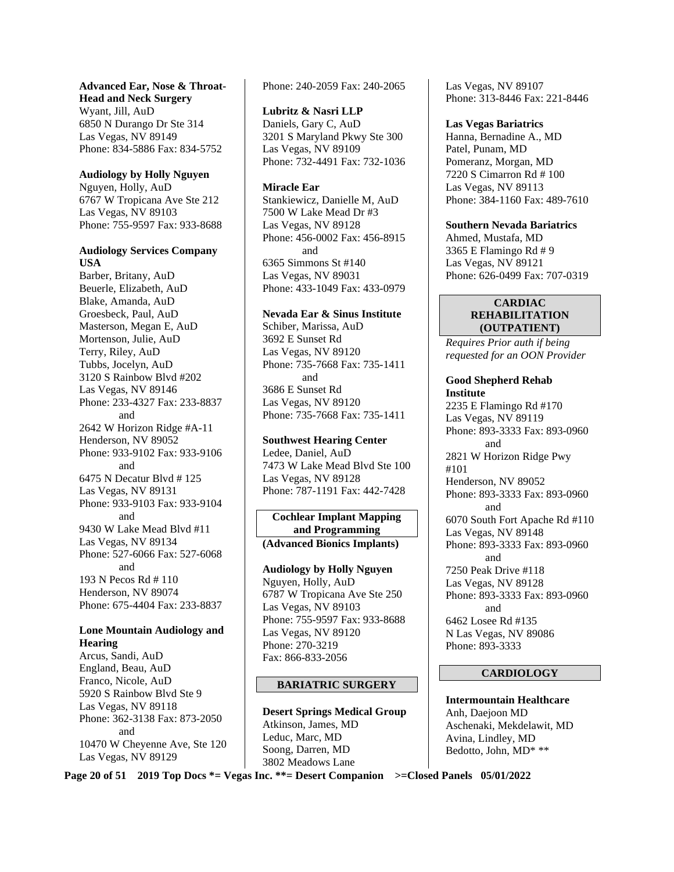## **Advanced Ear, Nose & Throat-**

**Head and Neck Surgery**  Wyant, Jill, AuD 6850 N Durango Dr Ste 314 Las Vegas, NV 89149 Phone: 834-5886 Fax: 834-5752

#### **Audiology by Holly Nguyen**

Nguyen, Holly, AuD 6767 W Tropicana Ave Ste 212 Las Vegas, NV 89103 Phone: 755-9597 Fax: 933-8688

#### **Audiology Services Company USA**

Barber, Britany, AuD Beuerle, Elizabeth, AuD Blake, Amanda, AuD Groesbeck, Paul, AuD Masterson, Megan E, AuD Mortenson, Julie, AuD Terry, Riley, AuD Tubbs, Jocelyn, AuD 3120 S Rainbow Blvd #202 Las Vegas, NV 89146 Phone: 233-4327 Fax: 233-8837 and 2642 W Horizon Ridge #A-11 Henderson, NV 89052 Phone: 933-9102 Fax: 933-9106 and 6475 N Decatur Blvd # 125 Las Vegas, NV 89131 Phone: 933-9103 Fax: 933-9104 and 9430 W Lake Mead Blvd #11 Las Vegas, NV 89134 Phone: 527-6066 Fax: 527-6068 and 193 N Pecos Rd # 110 Henderson, NV 89074 Phone: 675-4404 Fax: 233-8837

#### **Lone Mountain Audiology and Hearing**

Arcus, Sandi, AuD England, Beau, AuD Franco, Nicole, AuD 5920 S Rainbow Blvd Ste 9 Las Vegas, NV 89118 Phone: 362-3138 Fax: 873-2050 and 10470 W Cheyenne Ave, Ste 120 Las Vegas, NV 89129

Phone: 240-2059 Fax: 240-2065

#### **Lubritz & Nasri LLP**

Daniels, Gary C, AuD 3201 S Maryland Pkwy Ste 300 Las Vegas, NV 89109 Phone: 732-4491 Fax: 732-1036

### **Miracle Ear**

Stankiewicz, Danielle M, AuD 7500 W Lake Mead Dr #3 Las Vegas, NV 89128 Phone: 456-0002 Fax: 456-8915 and 6365 Simmons St #140 Las Vegas, NV 89031 Phone: 433-1049 Fax: 433-0979

#### **Nevada Ear & Sinus Institute**

Schiber, Marissa, AuD 3692 E Sunset Rd Las Vegas, NV 89120 Phone: 735-7668 Fax: 735-1411 and 3686 E Sunset Rd Las Vegas, NV 89120 Phone: 735-7668 Fax: 735-1411

#### **Southwest Hearing Center**

Ledee, Daniel, AuD 7473 W Lake Mead Blvd Ste 100 Las Vegas, NV 89128 Phone: 787-1191 Fax: 442-7428

#### **Cochlear Implant Mapping and Programming (Advanced Bionics Implants)**

**Audiology by Holly Nguyen**  Nguyen, Holly, AuD 6787 W Tropicana Ave Ste 250 Las Vegas, NV 89103 Phone: 755-9597 Fax: 933-8688 Las Vegas, NV 89120 Phone: 270-3219 Fax: 866-833-2056

## **BARIATRIC SURGERY**

**Desert Springs Medical Group** Atkinson, James, MD Leduc, Marc, MD Soong, Darren, MD 3802 Meadows Lane

Las Vegas, NV 89107 Phone: 313-8446 Fax: 221-8446

#### **Las Vegas Bariatrics**  Hanna, Bernadine A., MD Patel, Punam, MD Pomeranz, Morgan, MD 7220 S Cimarron Rd # 100 Las Vegas, NV 89113 Phone: 384-1160 Fax: 489-7610

**Southern Nevada Bariatrics**  Ahmed, Mustafa, MD 3365 E Flamingo Rd # 9 Las Vegas, NV 89121 Phone: 626-0499 Fax: 707-0319

#### **CARDIAC REHABILITATION (OUTPATIENT)**

*Requires Prior auth if being requested for an OON Provider* 

#### **Good Shepherd Rehab Institute**

2235 E Flamingo Rd #170 Las Vegas, NV 89119 Phone: 893-3333 Fax: 893-0960 and 2821 W Horizon Ridge Pwy #101 Henderson, NV 89052 Phone: 893-3333 Fax: 893-0960 and 6070 South Fort Apache Rd #110 Las Vegas, NV 89148 Phone: 893-3333 Fax: 893-0960 and 7250 Peak Drive #118 Las Vegas, NV 89128 Phone: 893-3333 Fax: 893-0960 and 6462 Losee Rd #135 N Las Vegas, NV 89086 Phone: 893-3333

#### **CARDIOLOGY**

**Intermountain Healthcare**  Anh, Daejoon MD Aschenaki, Mekdelawit, MD Avina, Lindley, MD Bedotto, John, MD\* \*\*

**Page 20 of 51 2019 Top Docs \*= Vegas Inc. \*\*= Desert Companion >=Closed Panels 05/01/2022**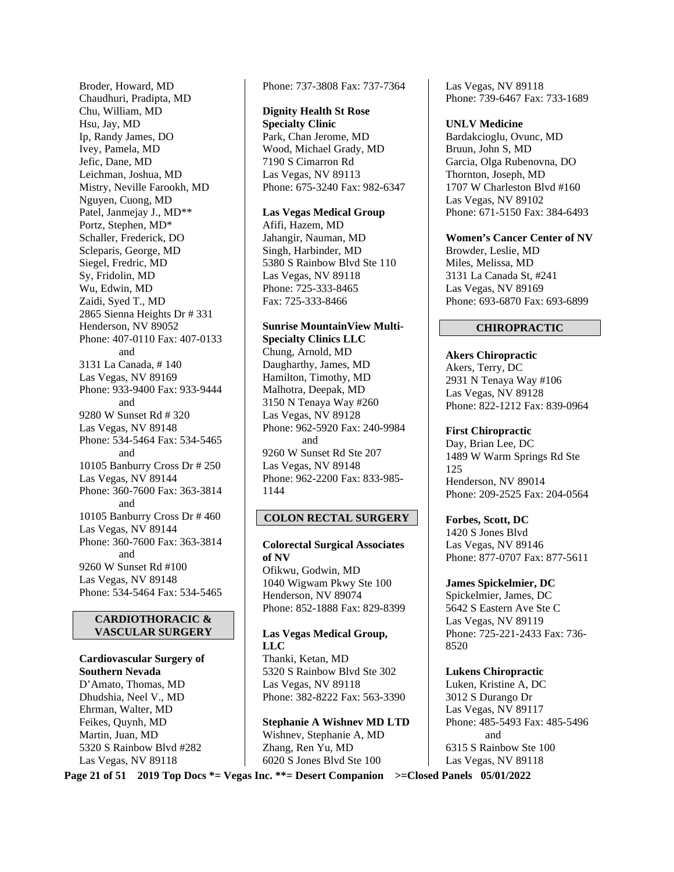Broder, Howard, MD Chaudhuri, Pradipta, MD Chu, William, MD Hsu, Jay, MD Ip, Randy James, DO Ivey, Pamela, MD Jefic, Dane, MD Leichman, Joshua, MD Mistry, Neville Farookh, MD Nguyen, Cuong, MD Patel, Janmejay J., MD\*\* Portz, Stephen, MD\* Schaller, Frederick, DO Scleparis, George, MD Siegel, Fredric, MD Sy, Fridolin, MD Wu, Edwin, MD Zaidi, Syed T., MD 2865 Sienna Heights Dr # 331 Henderson, NV 89052 Phone: 407-0110 Fax: 407-0133 and 3131 La Canada, # 140 Las Vegas, NV 89169 Phone: 933-9400 Fax: 933-9444 and 9280 W Sunset Rd # 320 Las Vegas, NV 89148 Phone: 534-5464 Fax: 534-5465 and 10105 Banburry Cross Dr # 250 Las Vegas, NV 89144 Phone: 360-7600 Fax: 363-3814 and 10105 Banburry Cross Dr # 460 Las Vegas, NV 89144 Phone: 360-7600 Fax: 363-3814 and 9260 W Sunset Rd #100 Las Vegas, NV 89148 Phone: 534-5464 Fax: 534-5465

#### **CARDIOTHORACIC & VASCULAR SURGERY**

**Cardiovascular Surgery of Southern Nevada**  D'Amato, Thomas, MD Dhudshia, Neel V., MD Ehrman, Walter, MD Feikes, Quynh, MD Martin, Juan, MD 5320 S Rainbow Blvd #282 Las Vegas, NV 89118

Phone: 737-3808 Fax: 737-7364

## **Dignity Health St Rose**

**Specialty Clinic**  Park, Chan Jerome, MD Wood, Michael Grady, MD 7190 S Cimarron Rd Las Vegas, NV 89113 Phone: 675-3240 Fax: 982-6347

#### **Las Vegas Medical Group**

Afifi, Hazem, MD Jahangir, Nauman, MD Singh, Harbinder, MD 5380 S Rainbow Blvd Ste 110 Las Vegas, NV 89118 Phone: 725-333-8465 Fax: 725-333-8466

## **Sunrise MountainView Multi-Specialty Clinics LLC**  Chung, Arnold, MD

Daugharthy, James, MD Hamilton, Timothy, MD Malhotra, Deepak, MD 3150 N Tenaya Way #260 Las Vegas, NV 89128 Phone: 962-5920 Fax: 240-9984 and 9260 W Sunset Rd Ste 207 Las Vegas, NV 89148 Phone: 962-2200 Fax: 833-985- 1144

#### **COLON RECTAL SURGERY**

**Colorectal Surgical Associates of NV**  Ofikwu, Godwin, MD 1040 Wigwam Pkwy Ste 100 Henderson, NV 89074 Phone: 852-1888 Fax: 829-8399

#### **Las Vegas Medical Group, LLC**  Thanki, Ketan, MD 5320 S Rainbow Blvd Ste 302 Las Vegas, NV 89118 Phone: 382-8222 Fax: 563-3390

**Stephanie A Wishnev MD LTD**  Wishnev, Stephanie A, MD Zhang, Ren Yu, MD 6020 S Jones Blvd Ste 100

Las Vegas, NV 89118 Phone: 739-6467 Fax: 733-1689

#### **UNLV Medicine**

Bardakcioglu, Ovunc, MD Bruun, John S, MD Garcia, Olga Rubenovna, DO Thornton, Joseph, MD 1707 W Charleston Blvd #160 Las Vegas, NV 89102 Phone: 671-5150 Fax: 384-6493

**Women's Cancer Center of NV**  Browder, Leslie, MD Miles, Melissa, MD 3131 La Canada St, #241 Las Vegas, NV 89169 Phone: 693-6870 Fax: 693-6899

#### **CHIROPRACTIC**

**Akers Chiropractic**  Akers, Terry, DC 2931 N Tenaya Way #106 Las Vegas, NV 89128 Phone: 822-1212 Fax: 839-0964

#### **First Chiropractic**

Day, Brian Lee, DC 1489 W Warm Springs Rd Ste 125 Henderson, NV 89014 Phone: 209-2525 Fax: 204-0564

#### **Forbes, Scott, DC**  1420 S Jones Blvd Las Vegas, NV 89146 Phone: 877-0707 Fax: 877-5611

**James Spickelmier, DC**  Spickelmier, James, DC 5642 S Eastern Ave Ste C Las Vegas, NV 89119 Phone: 725-221-2433 Fax: 736- 8520

#### **Lukens Chiropractic**  Luken, Kristine A, DC 3012 S Durango Dr Las Vegas, NV 89117 Phone: 485-5493 Fax: 485-5496 and 6315 S Rainbow Ste 100 Las Vegas, NV 89118

**Page 21 of 51 2019 Top Docs \*= Vegas Inc. \*\*= Desert Companion >=Closed Panels 05/01/2022**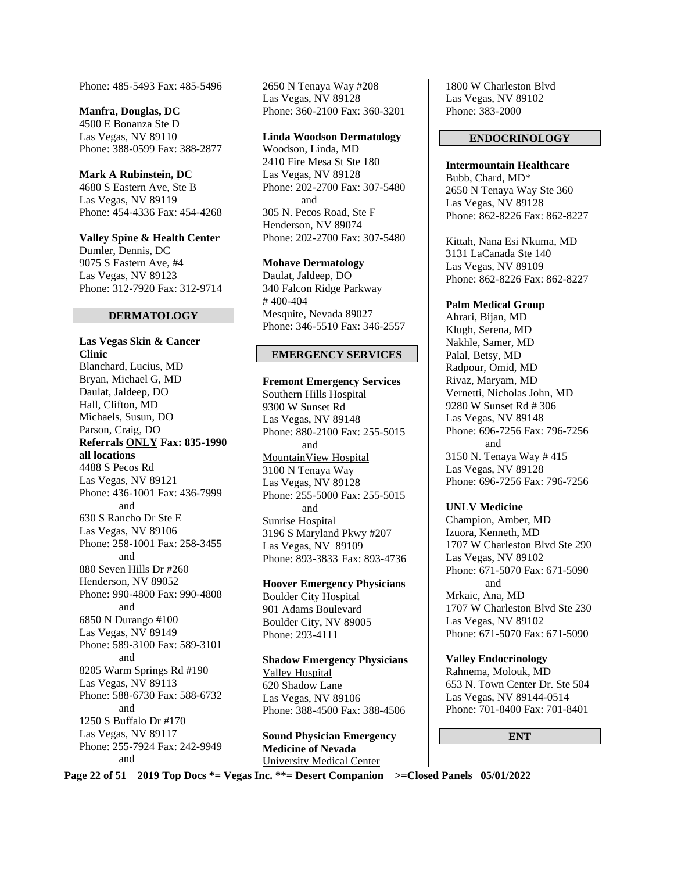Phone: 485-5493 Fax: 485-5496

**Manfra, Douglas, DC**  4500 E Bonanza Ste D Las Vegas, NV 89110 Phone: 388-0599 Fax: 388-2877

**Mark A Rubinstein, DC**  4680 S Eastern Ave, Ste B Las Vegas, NV 89119 Phone: 454-4336 Fax: 454-4268

**Valley Spine & Health Center**  Dumler, Dennis, DC 9075 S Eastern Ave, #4 Las Vegas, NV 89123 Phone: 312-7920 Fax: 312-9714

#### **DERMATOLOGY**

**Las Vegas Skin & Cancer Clinic**  Blanchard, Lucius, MD Bryan, Michael G, MD Daulat, Jaldeep, DO Hall, Clifton, MD Michaels, Susun, DO Parson, Craig, DO **Referrals ONLY Fax: 835-1990 all locations**  4488 S Pecos Rd Las Vegas, NV 89121 Phone: 436-1001 Fax: 436-7999 and 630 S Rancho Dr Ste E Las Vegas, NV 89106 Phone: 258-1001 Fax: 258-3455 and 880 Seven Hills Dr #260 Henderson, NV 89052 Phone: 990-4800 Fax: 990-4808 and 6850 N Durango #100 Las Vegas, NV 89149 Phone: 589-3100 Fax: 589-3101 and 8205 Warm Springs Rd #190 Las Vegas, NV 89113 Phone: 588-6730 Fax: 588-6732 and 1250 S Buffalo Dr #170 Las Vegas, NV 89117 Phone: 255-7924 Fax: 242-9949 and

2650 N Tenaya Way #208 Las Vegas, NV 89128 Phone: 360-2100 Fax: 360-3201

#### **Linda Woodson Dermatology**

Woodson, Linda, MD 2410 Fire Mesa St Ste 180 Las Vegas, NV 89128 Phone: 202-2700 Fax: 307-5480 and 305 N. Pecos Road, Ste F Henderson, NV 89074 Phone: 202-2700 Fax: 307-5480

#### **Mohave Dermatology**

Daulat, Jaldeep, DO 340 Falcon Ridge Parkway # 400-404 Mesquite, Nevada 89027 Phone: 346-5510 Fax: 346-2557

#### **EMERGENCY SERVICES**

**Fremont Emergency Services**  Southern Hills Hospital 9300 W Sunset Rd Las Vegas, NV 89148 Phone: 880-2100 Fax: 255-5015 and MountainView Hospital 3100 N Tenaya Way Las Vegas, NV 89128 Phone: 255-5000 Fax: 255-5015 and Sunrise Hospital 3196 S Maryland Pkwy #207 Las Vegas, NV 89109 Phone: 893-3833 Fax: 893-4736

**Hoover Emergency Physicians**  Boulder City Hospital 901 Adams Boulevard Boulder City, NV 89005 Phone: 293-4111

**Shadow Emergency Physicians**  Valley Hospital 620 Shadow Lane Las Vegas, NV 89106 Phone: 388-4500 Fax: 388-4506

**Sound Physician Emergency Medicine of Nevada**  University Medical Center

1800 W Charleston Blvd Las Vegas, NV 89102 Phone: 383-2000

#### **ENDOCRINOLOGY**

**Intermountain Healthcare**  Bubb, Chard, MD\* 2650 N Tenaya Way Ste 360 Las Vegas, NV 89128 Phone: 862-8226 Fax: 862-8227

Kittah, Nana Esi Nkuma, MD 3131 LaCanada Ste 140 Las Vegas, NV 89109 Phone: 862-8226 Fax: 862-8227

#### **Palm Medical Group**

Ahrari, Bijan, MD Klugh, Serena, MD Nakhle, Samer, MD Palal, Betsy, MD Radpour, Omid, MD Rivaz, Maryam, MD Vernetti, Nicholas John, MD 9280 W Sunset Rd # 306 Las Vegas, NV 89148 Phone: 696-7256 Fax: 796-7256 and 3150 N. Tenaya Way # 415 Las Vegas, NV 89128 Phone: 696-7256 Fax: 796-7256

**UNLV Medicine** 

Champion, Amber, MD Izuora, Kenneth, MD 1707 W Charleston Blvd Ste 290 Las Vegas, NV 89102 Phone: 671-5070 Fax: 671-5090 and

Mrkaic, Ana, MD 1707 W Charleston Blvd Ste 230 Las Vegas, NV 89102 Phone: 671-5070 Fax: 671-5090

**Valley Endocrinology**  Rahnema, Molouk, MD 653 N. Town Center Dr. Ste 504 Las Vegas, NV 89144-0514 Phone: 701-8400 Fax: 701-8401

**ENT** 

**Page 22 of 51 2019 Top Docs \*= Vegas Inc. \*\*= Desert Companion >=Closed Panels 05/01/2022**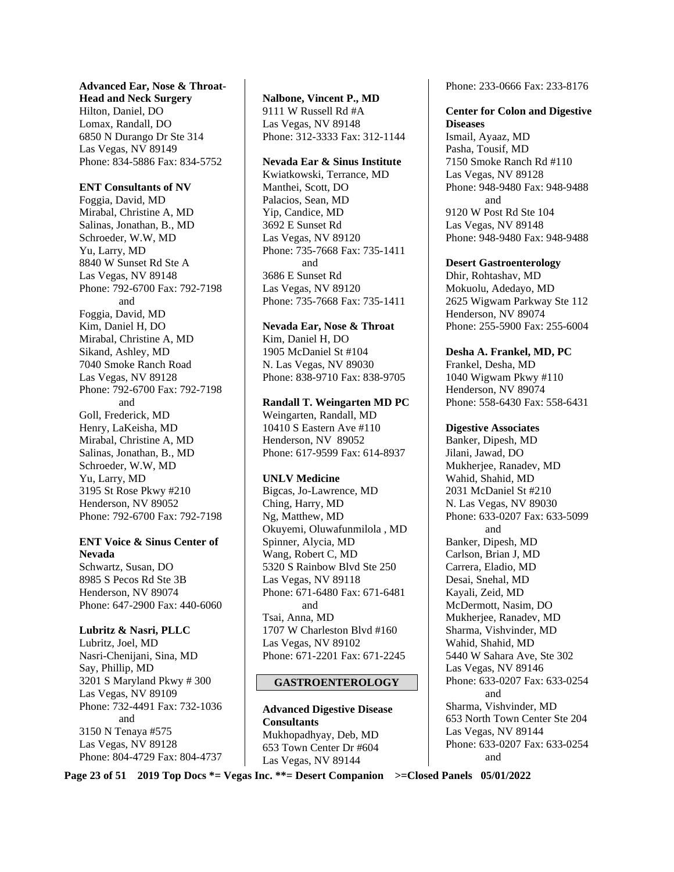#### **Advanced Ear, Nose & Throat-**

**Head and Neck Surgery**  Hilton, Daniel, DO Lomax, Randall, DO 6850 N Durango Dr Ste 314 Las Vegas, NV 89149 Phone: 834-5886 Fax: 834-5752

#### **ENT Consultants of NV**

Foggia, David, MD Mirabal, Christine A, MD Salinas, Jonathan, B., MD Schroeder, W.W, MD Yu, Larry, MD 8840 W Sunset Rd Ste A Las Vegas, NV 89148 Phone: 792-6700 Fax: 792-7198 and Foggia, David, MD Kim, Daniel H, DO Mirabal, Christine A, MD Sikand, Ashley, MD 7040 Smoke Ranch Road Las Vegas, NV 89128 Phone: 792-6700 Fax: 792-7198 and Goll, Frederick, MD Henry, LaKeisha, MD Mirabal, Christine A, MD Salinas, Jonathan, B., MD Schroeder, W.W, MD Yu, Larry, MD 3195 St Rose Pkwy #210 Henderson, NV 89052 Phone: 792-6700 Fax: 792-7198

#### **ENT Voice & Sinus Center of Nevada**

Schwartz, Susan, DO 8985 S Pecos Rd Ste 3B Henderson, NV 89074 Phone: 647-2900 Fax: 440-6060

#### **Lubritz & Nasri, PLLC**

Lubritz, Joel, MD Nasri-Chenijani, Sina, MD Say, Phillip, MD 3201 S Maryland Pkwy # 300 Las Vegas, NV 89109 Phone: 732-4491 Fax: 732-1036 and 3150 N Tenaya #575 Las Vegas, NV 89128 Phone: 804-4729 Fax: 804-4737

## **Nalbone, Vincent P., MD** 9111 W Russell Rd #A

Las Vegas, NV 89148 Phone: 312-3333 Fax: 312-1144

#### **Nevada Ear & Sinus Institute**

Kwiatkowski, Terrance, MD Manthei, Scott, DO Palacios, Sean, MD Yip, Candice, MD 3692 E Sunset Rd Las Vegas, NV 89120 Phone: 735-7668 Fax: 735-1411 and 3686 E Sunset Rd Las Vegas, NV 89120 Phone: 735-7668 Fax: 735-1411

**Nevada Ear, Nose & Throat**  Kim, Daniel H, DO 1905 McDaniel St #104 N. Las Vegas, NV 89030 Phone: 838-9710 Fax: 838-9705

#### **Randall T. Weingarten MD PC**

Weingarten, Randall, MD 10410 S Eastern Ave #110 Henderson, NV 89052 Phone: 617-9599 Fax: 614-8937

#### **UNLV Medicine**

Bigcas, Jo-Lawrence, MD Ching, Harry, MD Ng, Matthew, MD Okuyemi, Oluwafunmilola , MD Spinner, Alycia, MD Wang, Robert C, MD 5320 S Rainbow Blvd Ste 250 Las Vegas, NV 89118 Phone: 671-6480 Fax: 671-6481 and Tsai, Anna, MD 1707 W Charleston Blvd #160 Las Vegas, NV 89102 Phone: 671-2201 Fax: 671-2245

#### **GASTROENTEROLOGY**

**Advanced Digestive Disease Consultants**  Mukhopadhyay, Deb, MD 653 Town Center Dr #604 Las Vegas, NV 89144

Phone: 233-0666 Fax: 233-8176

#### **Center for Colon and Digestive Diseases**

Ismail, Ayaaz, MD Pasha, Tousif, MD 7150 Smoke Ranch Rd #110 Las Vegas, NV 89128 Phone: 948-9480 Fax: 948-9488 and 9120 W Post Rd Ste 104 Las Vegas, NV 89148 Phone: 948-9480 Fax: 948-9488

#### **Desert Gastroenterology**

Dhir, Rohtashav, MD Mokuolu, Adedayo, MD 2625 Wigwam Parkway Ste 112 Henderson, NV 89074 Phone: 255-5900 Fax: 255-6004

#### **Desha A. Frankel, MD, PC**

Frankel, Desha, MD 1040 Wigwam Pkwy #110 Henderson, NV 89074 Phone: 558-6430 Fax: 558-6431

#### **Digestive Associates**

Banker, Dipesh, MD Jilani, Jawad, DO Mukherjee, Ranadev, MD Wahid, Shahid, MD 2031 McDaniel St #210 N. Las Vegas, NV 89030 Phone: 633-0207 Fax: 633-5099 and Banker, Dipesh, MD Carlson, Brian J, MD Carrera, Eladio, MD Desai, Snehal, MD Kayali, Zeid, MD McDermott, Nasim, DO Mukherjee, Ranadev, MD Sharma, Vishvinder, MD Wahid, Shahid, MD 5440 W Sahara Ave, Ste 302 Las Vegas, NV 89146 Phone: 633-0207 Fax: 633-0254 and Sharma, Vishvinder, MD 653 North Town Center Ste 204 Las Vegas, NV 89144 Phone: 633-0207 Fax: 633-0254 and

**Page 23 of 51 2019 Top Docs \*= Vegas Inc. \*\*= Desert Companion >=Closed Panels 05/01/2022**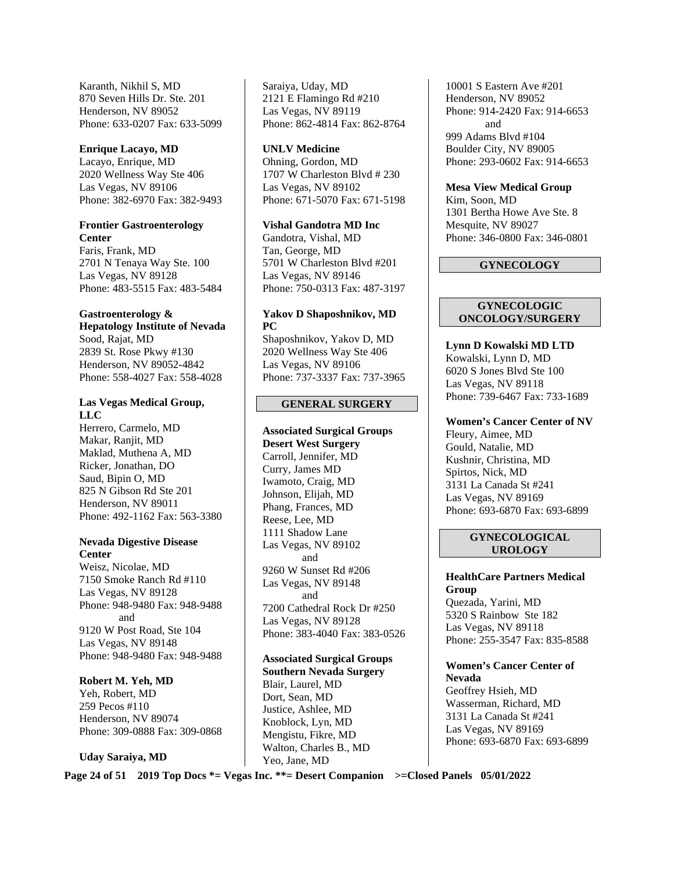Karanth, Nikhil S, MD 870 Seven Hills Dr. Ste. 201 Henderson, NV 89052 Phone: 633-0207 Fax: 633-5099

#### **Enrique Lacayo, MD**

Lacayo, Enrique, MD 2020 Wellness Way Ste 406 Las Vegas, NV 89106 Phone: 382-6970 Fax: 382-9493

#### **Frontier Gastroenterology Center**

Faris, Frank, MD 2701 N Tenaya Way Ste. 100 Las Vegas, NV 89128 Phone: 483-5515 Fax: 483-5484

#### **Gastroenterology &**

**Hepatology Institute of Nevada**  Sood, Rajat, MD 2839 St. Rose Pkwy #130 Henderson, NV 89052-4842 Phone: 558-4027 Fax: 558-4028

## **Las Vegas Medical Group, LLC**

Herrero, Carmelo, MD Makar, Ranjit, MD Maklad, Muthena A, MD Ricker, Jonathan, DO Saud, Bipin O, MD 825 N Gibson Rd Ste 201 Henderson, NV 89011 Phone: 492-1162 Fax: 563-3380

#### **Nevada Digestive Disease Center**

Weisz, Nicolae, MD 7150 Smoke Ranch Rd #110 Las Vegas, NV 89128 Phone: 948-9480 Fax: 948-9488 and 9120 W Post Road, Ste 104 Las Vegas, NV 89148 Phone: 948-9480 Fax: 948-9488

## **Robert M. Yeh, MD**

Yeh, Robert, MD 259 Pecos #110 Henderson, NV 89074 Phone: 309-0888 Fax: 309-0868

#### **Uday Saraiya, MD**

Saraiya, Uday, MD 2121 E Flamingo Rd #210 Las Vegas, NV 89119 Phone: 862-4814 Fax: 862-8764

#### **UNLV Medicine**

Ohning, Gordon, MD 1707 W Charleston Blvd # 230 Las Vegas, NV 89102 Phone: 671-5070 Fax: 671-5198

#### **Vishal Gandotra MD Inc**

Gandotra, Vishal, MD Tan, George, MD 5701 W Charleston Blvd #201 Las Vegas, NV 89146 Phone: 750-0313 Fax: 487-3197

#### **Yakov D Shaposhnikov, MD PC**

Shaposhnikov, Yakov D, MD 2020 Wellness Way Ste 406 Las Vegas, NV 89106 Phone: 737-3337 Fax: 737-3965

#### **GENERAL SURGERY**

**Associated Surgical Groups Desert West Surgery** Carroll, Jennifer, MD Curry, James MD Iwamoto, Craig, MD Johnson, Elijah, MD Phang, Frances, MD Reese, Lee, MD 1111 Shadow Lane Las Vegas, NV 89102 and 9260 W Sunset Rd #206 Las Vegas, NV 89148 and 7200 Cathedral Rock Dr #250 Las Vegas, NV 89128 Phone: 383-4040 Fax: 383-0526

**Associated Surgical Groups Southern Nevada Surgery**  Blair, Laurel, MD Dort, Sean, MD Justice, Ashlee, MD Knoblock, Lyn, MD Mengistu, Fikre, MD Walton, Charles B., MD Yeo, Jane, MD

10001 S Eastern Ave #201 Henderson, NV 89052 Phone: 914-2420 Fax: 914-6653 and 999 Adams Blvd #104 Boulder City, NV 89005 Phone: 293-0602 Fax: 914-6653

**Mesa View Medical Group**  Kim, Soon, MD 1301 Bertha Howe Ave Ste. 8 Mesquite, NV 89027 Phone: 346-0800 Fax: 346-0801

#### **GYNECOLOGY**

#### **GYNECOLOGIC ONCOLOGY/SURGERY**

**Lynn D Kowalski MD LTD**  Kowalski, Lynn D, MD 6020 S Jones Blvd Ste 100 Las Vegas, NV 89118 Phone: 739-6467 Fax: 733-1689

**Women's Cancer Center of NV**  Fleury, Aimee, MD Gould, Natalie, MD Kushnir, Christina, MD Spirtos, Nick, MD 3131 La Canada St #241 Las Vegas, NV 89169 Phone: 693-6870 Fax: 693-6899

#### **GYNECOLOGICAL UROLOGY**

**HealthCare Partners Medical Group** 

Quezada, Yarini, MD 5320 S Rainbow Ste 182 Las Vegas, NV 89118 Phone: 255-3547 Fax: 835-8588

**Women's Cancer Center of Nevada**  Geoffrey Hsieh, MD Wasserman, Richard, MD 3131 La Canada St #241 Las Vegas, NV 89169 Phone: 693-6870 Fax: 693-6899

**Page 24 of 51 2019 Top Docs \*= Vegas Inc. \*\*= Desert Companion >=Closed Panels 05/01/2022**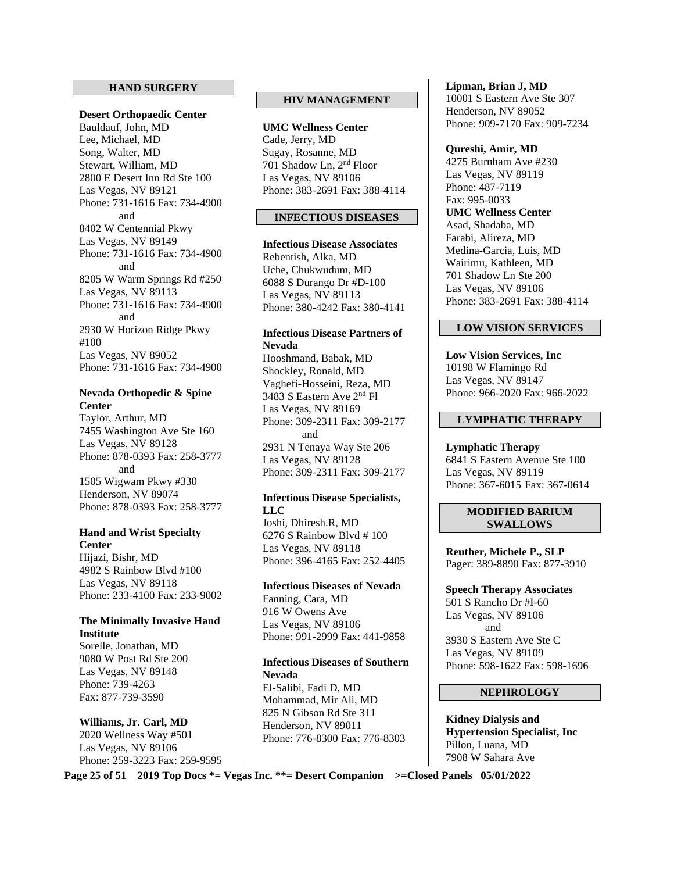#### **HAND SURGERY**

**Desert Orthopaedic Center**  Bauldauf, John, MD Lee, Michael, MD Song, Walter, MD Stewart, William, MD 2800 E Desert Inn Rd Ste 100 Las Vegas, NV 89121 Phone: 731-1616 Fax: 734-4900 and 8402 W Centennial Pkwy Las Vegas, NV 89149 Phone: 731-1616 Fax: 734-4900 and 8205 W Warm Springs Rd #250 Las Vegas, NV 89113 Phone: 731-1616 Fax: 734-4900 and 2930 W Horizon Ridge Pkwy #100 Las Vegas, NV 89052 Phone: 731-1616 Fax: 734-4900

#### **Nevada Orthopedic & Spine Center**

Taylor, Arthur, MD 7455 Washington Ave Ste 160 Las Vegas, NV 89128 Phone: 878-0393 Fax: 258-3777 and 1505 Wigwam Pkwy #330 Henderson, NV 89074 Phone: 878-0393 Fax: 258-3777

#### **Hand and Wrist Specialty Center**

Hijazi, Bishr, MD 4982 S Rainbow Blvd #100 Las Vegas, NV 89118 Phone: 233-4100 Fax: 233-9002

#### **The Minimally Invasive Hand Institute**

Sorelle, Jonathan, MD 9080 W Post Rd Ste 200 Las Vegas, NV 89148 Phone: 739-4263 Fax: 877-739-3590

## **Williams, Jr. Carl, MD**

2020 Wellness Way #501 Las Vegas, NV 89106 Phone: 259-3223 Fax: 259-9595

## **HIV MANAGEMENT**

**UMC Wellness Center**  Cade, Jerry, MD Sugay, Rosanne, MD 701 Shadow Ln, 2nd Floor Las Vegas, NV 89106 Phone: 383-2691 Fax: 388-4114

#### **INFECTIOUS DISEASES**

**Infectious Disease Associates**  Rebentish, Alka, MD Uche, Chukwudum, MD 6088 S Durango Dr #D-100 Las Vegas, NV 89113 Phone: 380-4242 Fax: 380-4141

#### **Infectious Disease Partners of Nevada**

Hooshmand, Babak, MD Shockley, Ronald, MD Vaghefi-Hosseini, Reza, MD 3483 S Eastern Ave 2nd Fl Las Vegas, NV 89169 Phone: 309-2311 Fax: 309-2177 and 2931 N Tenaya Way Ste 206 Las Vegas, NV 89128 Phone: 309-2311 Fax: 309-2177

#### **Infectious Disease Specialists, LLC**

Joshi, Dhiresh.R, MD 6276 S Rainbow Blvd # 100 Las Vegas, NV 89118 Phone: 396-4165 Fax: 252-4405

#### **Infectious Diseases of Nevada**

Fanning, Cara, MD 916 W Owens Ave Las Vegas, NV 89106 Phone: 991-2999 Fax: 441-9858

## **Infectious Diseases of Southern Nevada**

El-Salibi, Fadi D, MD Mohammad, Mir Ali, MD 825 N Gibson Rd Ste 311 Henderson, NV 89011 Phone: 776-8300 Fax: 776-8303 **Lipman, Brian J, MD**  10001 S Eastern Ave Ste 307 Henderson, NV 89052 Phone: 909-7170 Fax: 909-7234

#### **Qureshi, Amir, MD**

4275 Burnham Ave #230 Las Vegas, NV 89119 Phone: 487-7119 Fax: 995-0033 **UMC Wellness Center**  Asad, Shadaba, MD Farabi, Alireza, MD Medina-Garcia, Luis, MD Wairimu, Kathleen, MD 701 Shadow Ln Ste 200 Las Vegas, NV 89106 Phone: 383-2691 Fax: 388-4114

#### **LOW VISION SERVICES**

**Low Vision Services, Inc**  10198 W Flamingo Rd Las Vegas, NV 89147 Phone: 966-2020 Fax: 966-2022

## **LYMPHATIC THERAPY**

#### **Lymphatic Therapy**  6841 S Eastern Avenue Ste 100 Las Vegas, NV 89119 Phone: 367-6015 Fax: 367-0614

#### **MODIFIED BARIUM SWALLOWS**

**Reuther, Michele P., SLP** Pager: 389-8890 Fax: 877-3910

**Speech Therapy Associates**  501 S Rancho Dr #I-60 Las Vegas, NV 89106 and 3930 S Eastern Ave Ste C Las Vegas, NV 89109 Phone: 598-1622 Fax: 598-1696

#### **NEPHROLOGY**

**Kidney Dialysis and Hypertension Specialist, Inc**  Pillon, Luana, MD 7908 W Sahara Ave

**Page 25 of 51 2019 Top Docs \*= Vegas Inc. \*\*= Desert Companion >=Closed Panels 05/01/2022**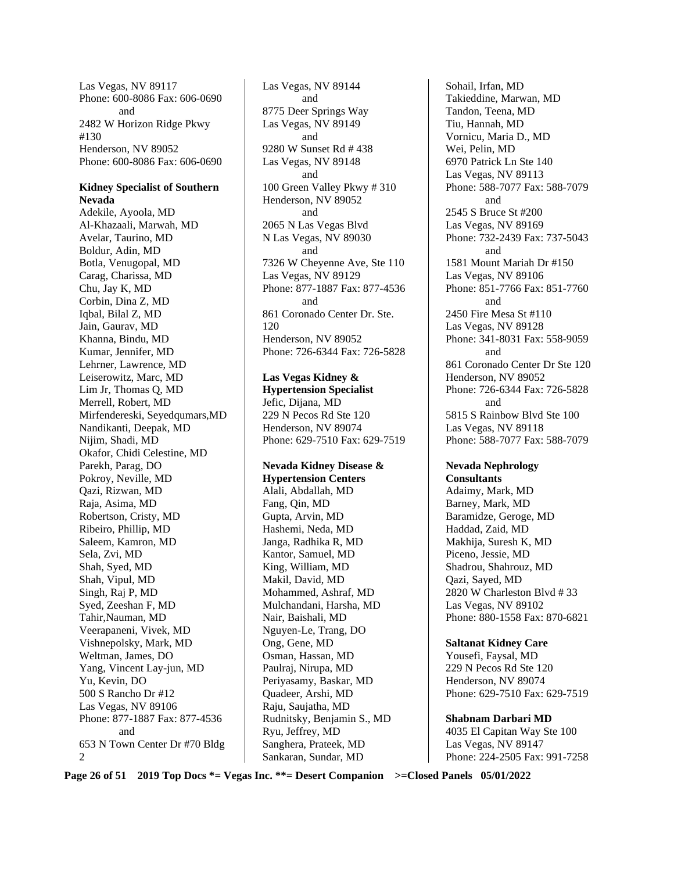Las Vegas, NV 89117 Phone: 600-8086 Fax: 606-0690 and 2482 W Horizon Ridge Pkwy #130 Henderson, NV 89052 Phone: 600-8086 Fax: 606-0690

#### **Kidney Specialist of Southern Nevada**

Adekile, Ayoola, MD Al-Khazaali, Marwah, MD Avelar, Taurino, MD Boldur, Adin, MD Botla, Venugopal, MD Carag, Charissa, MD Chu, Jay K, MD Corbin, Dina Z, MD Iqbal, Bilal Z, MD Jain, Gaurav, MD Khanna, Bindu, MD Kumar, Jennifer, MD Lehrner, Lawrence, MD Leiserowitz, Marc, MD Lim Jr, Thomas Q, MD Merrell, Robert, MD Mirfendereski, Seyedqumars,MD Nandikanti, Deepak, MD Nijim, Shadi, MD Okafor, Chidi Celestine, MD Parekh, Parag, DO Pokroy, Neville, MD Qazi, Rizwan, MD Raja, Asima, MD Robertson, Cristy, MD Ribeiro, Phillip, MD Saleem, Kamron, MD Sela, Zvi, MD Shah, Syed, MD Shah, Vipul, MD Singh, Raj P, MD Syed, Zeeshan F, MD Tahir,Nauman, MD Veerapaneni, Vivek, MD Vishnepolsky, Mark, MD Weltman, James, DO Yang, Vincent Lay-jun, MD Yu, Kevin, DO 500 S Rancho Dr #12 Las Vegas, NV 89106 Phone: 877-1887 Fax: 877-4536 and 653 N Town Center Dr #70 Bldg  $\mathcal{D}$ 

Las Vegas, NV 89144 and 8775 Deer Springs Way Las Vegas, NV 89149 and 9280 W Sunset Rd # 438 Las Vegas, NV 89148 and 100 Green Valley Pkwy # 310 Henderson, NV 89052 and 2065 N Las Vegas Blvd N Las Vegas, NV 89030 and 7326 W Cheyenne Ave, Ste 110 Las Vegas, NV 89129 Phone: 877-1887 Fax: 877-4536 and 861 Coronado Center Dr. Ste. 120 Henderson, NV 89052 Phone: 726-6344 Fax: 726-5828

**Las Vegas Kidney & Hypertension Specialist**  Jefic, Dijana, MD 229 N Pecos Rd Ste 120 Henderson, NV 89074 Phone: 629-7510 Fax: 629-7519

#### **Nevada Kidney Disease & Hypertension Centers**  Alali, Abdallah, MD Fang, Qin, MD Gupta, Arvin, MD Hashemi, Neda, MD Janga, Radhika R, MD Kantor, Samuel, MD King, William, MD Makil, David, MD Mohammed, Ashraf, MD Mulchandani, Harsha, MD Nair, Baishali, MD Nguyen-Le, Trang, DO Ong, Gene, MD Osman, Hassan, MD Paulraj, Nirupa, MD Periyasamy, Baskar, MD Quadeer, Arshi, MD Raju, Saujatha, MD Rudnitsky, Benjamin S., MD Ryu, Jeffrey, MD Sanghera, Prateek, MD Sankaran, Sundar, MD

Sohail, Irfan, MD Takieddine, Marwan, MD Tandon, Teena, MD Tiu, Hannah, MD Vornicu, Maria D., MD Wei, Pelin, MD 6970 Patrick Ln Ste 140 Las Vegas, NV 89113 Phone: 588-7077 Fax: 588-7079 and 2545 S Bruce St #200 Las Vegas, NV 89169 Phone: 732-2439 Fax: 737-5043 and 1581 Mount Mariah Dr #150 Las Vegas, NV 89106 Phone: 851-7766 Fax: 851-7760 and 2450 Fire Mesa St #110 Las Vegas, NV 89128 Phone: 341-8031 Fax: 558-9059 and 861 Coronado Center Dr Ste 120 Henderson, NV 89052 Phone: 726-6344 Fax: 726-5828 and 5815 S Rainbow Blvd Ste 100 Las Vegas, NV 89118 Phone: 588-7077 Fax: 588-7079

## **Nevada Nephrology**

**Consultants**  Adaimy, Mark, MD Barney, Mark, MD Baramidze, Geroge, MD Haddad, Zaid, MD Makhija, Suresh K, MD Piceno, Jessie, MD Shadrou, Shahrouz, MD Qazi, Sayed, MD 2820 W Charleston Blvd # 33 Las Vegas, NV 89102 Phone: 880-1558 Fax: 870-6821

#### **Saltanat Kidney Care**

Yousefi, Faysal, MD 229 N Pecos Rd Ste 120 Henderson, NV 89074 Phone: 629-7510 Fax: 629-7519

**Shabnam Darbari MD**  4035 El Capitan Way Ste 100 Las Vegas, NV 89147 Phone: 224-2505 Fax: 991-7258

**Page 26 of 51 2019 Top Docs \*= Vegas Inc. \*\*= Desert Companion >=Closed Panels 05/01/2022**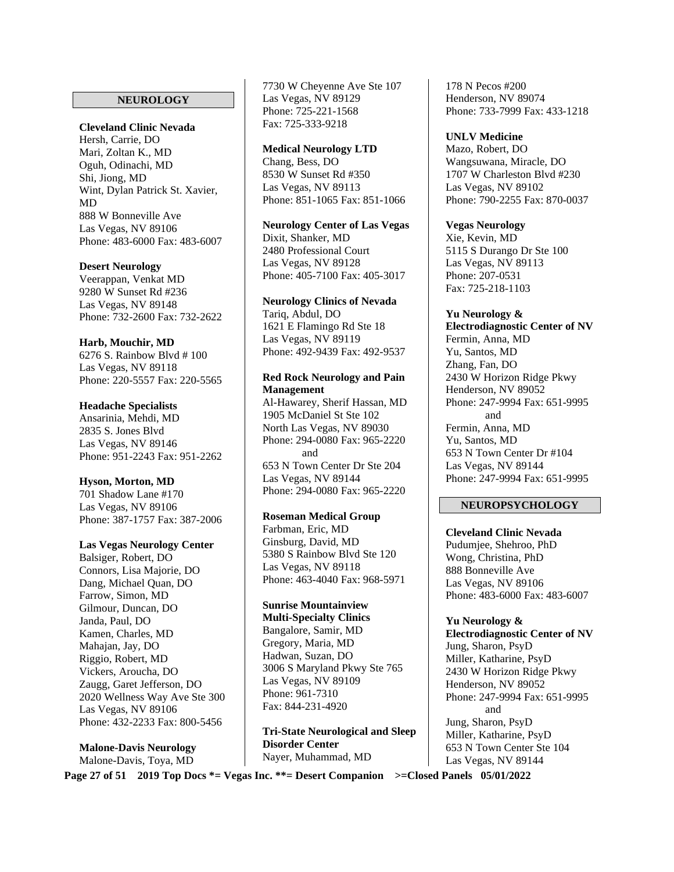#### **NEUROLOGY**

## **Cleveland Clinic Nevada**

Hersh, Carrie, DO Mari, Zoltan K., MD Oguh, Odinachi, MD Shi, Jiong, MD Wint, Dylan Patrick St. Xavier, MD 888 W Bonneville Ave Las Vegas, NV 89106 Phone: 483-6000 Fax: 483-6007

#### **Desert Neurology**

Veerappan, Venkat MD 9280 W Sunset Rd #236 Las Vegas, NV 89148 Phone: 732-2600 Fax: 732-2622

#### **Harb, Mouchir, MD**

6276 S. Rainbow Blvd # 100 Las Vegas, NV 89118 Phone: 220-5557 Fax: 220-5565

#### **Headache Specialists**

Ansarinia, Mehdi, MD 2835 S. Jones Blvd Las Vegas, NV 89146 Phone: 951-2243 Fax: 951-2262

#### **Hyson, Morton, MD**

701 Shadow Lane #170 Las Vegas, NV 89106 Phone: 387-1757 Fax: 387-2006

#### **Las Vegas Neurology Center**

Balsiger, Robert, DO Connors, Lisa Majorie, DO Dang, Michael Quan, DO Farrow, Simon, MD Gilmour, Duncan, DO Janda, Paul, DO Kamen, Charles, MD Mahajan, Jay, DO Riggio, Robert, MD Vickers, Aroucha, DO Zaugg, Garet Jefferson, DO 2020 Wellness Way Ave Ste 300 Las Vegas, NV 89106 Phone: 432-2233 Fax: 800-5456

**Malone-Davis Neurology**  Malone-Davis, Toya, MD

7730 W Cheyenne Ave Ste 107 Las Vegas, NV 89129 Phone: 725-221-1568 Fax: 725-333-9218

#### **Medical Neurology LTD**

Chang, Bess, DO 8530 W Sunset Rd #350 Las Vegas, NV 89113 Phone: 851-1065 Fax: 851-1066

#### **Neurology Center of Las Vegas**

Dixit, Shanker, MD 2480 Professional Court Las Vegas, NV 89128 Phone: 405-7100 Fax: 405-3017

#### **Neurology Clinics of Nevada**

Tariq, Abdul, DO 1621 E Flamingo Rd Ste 18 Las Vegas, NV 89119 Phone: 492-9439 Fax: 492-9537

#### **Red Rock Neurology and Pain Management**

Al-Hawarey, Sherif Hassan, MD 1905 McDaniel St Ste 102 North Las Vegas, NV 89030 Phone: 294-0080 Fax: 965-2220 and 653 N Town Center Dr Ste 204 Las Vegas, NV 89144 Phone: 294-0080 Fax: 965-2220

#### **Roseman Medical Group**

Farbman, Eric, MD Ginsburg, David, MD 5380 S Rainbow Blvd Ste 120 Las Vegas, NV 89118 Phone: 463-4040 Fax: 968-5971

## **Sunrise Mountainview**

**Multi-Specialty Clinics**  Bangalore, Samir, MD Gregory, Maria, MD Hadwan, Suzan, DO 3006 S Maryland Pkwy Ste 765 Las Vegas, NV 89109 Phone: 961-7310 Fax: 844-231-4920

**Tri-State Neurological and Sleep Disorder Center**  Nayer, Muhammad, MD

178 N Pecos #200 Henderson, NV 89074 Phone: 733-7999 Fax: 433-1218

#### **UNLV Medicine**

Mazo, Robert, DO Wangsuwana, Miracle, DO 1707 W Charleston Blvd #230 Las Vegas, NV 89102 Phone: 790-2255 Fax: 870-0037

#### **Vegas Neurology**

Xie, Kevin, MD 5115 S Durango Dr Ste 100 Las Vegas, NV 89113 Phone: 207-0531 Fax: 725-218-1103

**Yu Neurology & Electrodiagnostic Center of NV**  Fermin, Anna, MD Yu, Santos, MD Zhang, Fan, DO 2430 W Horizon Ridge Pkwy Henderson, NV 89052 Phone: 247-9994 Fax: 651-9995 and Fermin, Anna, MD Yu, Santos, MD 653 N Town Center Dr #104 Las Vegas, NV 89144 Phone: 247-9994 Fax: 651-9995

#### **NEUROPSYCHOLOGY**

**Cleveland Clinic Nevada**  Pudumjee, Shehroo, PhD Wong, Christina, PhD 888 Bonneville Ave Las Vegas, NV 89106 Phone: 483-6000 Fax: 483-6007

**Yu Neurology & Electrodiagnostic Center of NV**  Jung, Sharon, PsyD Miller, Katharine, PsyD 2430 W Horizon Ridge Pkwy Henderson, NV 89052 Phone: 247-9994 Fax: 651-9995 and Jung, Sharon, PsyD Miller, Katharine, PsyD 653 N Town Center Ste 104 Las Vegas, NV 89144

**Page 27 of 51 2019 Top Docs \*= Vegas Inc. \*\*= Desert Companion >=Closed Panels 05/01/2022**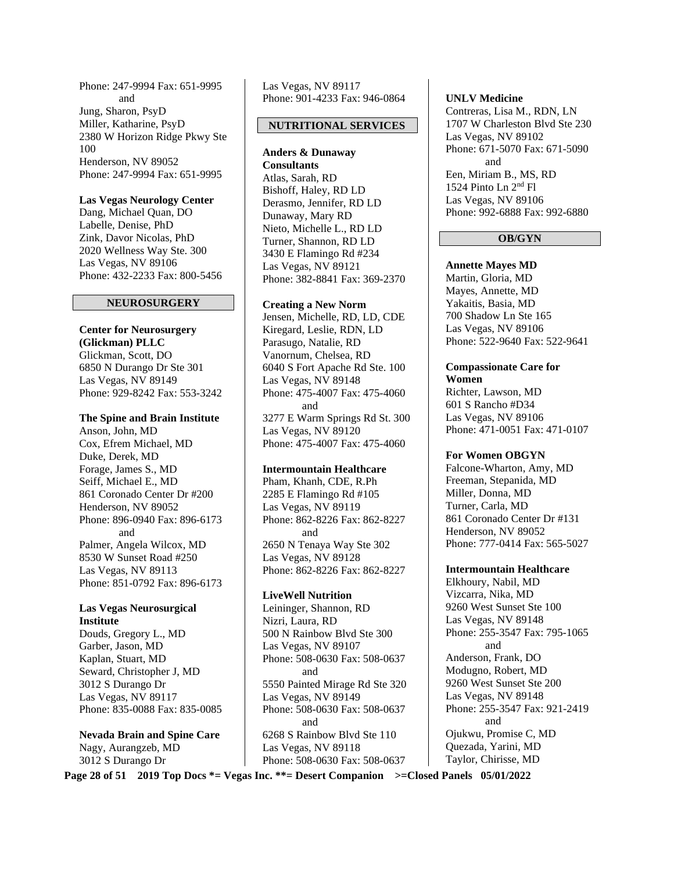Phone: 247-9994 Fax: 651-9995 and Jung, Sharon, PsyD Miller, Katharine, PsyD 2380 W Horizon Ridge Pkwy Ste 100 Henderson, NV 89052 Phone: 247-9994 Fax: 651-9995

#### **Las Vegas Neurology Center**

Dang, Michael Quan, DO Labelle, Denise, PhD Zink, Davor Nicolas, PhD 2020 Wellness Way Ste. 300 Las Vegas, NV 89106 Phone: 432-2233 Fax: 800-5456

#### **NEUROSURGERY**

**Center for Neurosurgery (Glickman) PLLC**  Glickman, Scott, DO 6850 N Durango Dr Ste 301 Las Vegas, NV 89149 Phone: 929-8242 Fax: 553-3242

**The Spine and Brain Institute**  Anson, John, MD Cox, Efrem Michael, MD Duke, Derek, MD Forage, James S., MD Seiff, Michael E., MD 861 Coronado Center Dr #200 Henderson, NV 89052 Phone: 896-0940 Fax: 896-6173 and Palmer, Angela Wilcox, MD 8530 W Sunset Road #250 Las Vegas, NV 89113 Phone: 851-0792 Fax: 896-6173

#### **Las Vegas Neurosurgical Institute**

Douds, Gregory L., MD Garber, Jason, MD Kaplan, Stuart, MD Seward, Christopher J, MD 3012 S Durango Dr Las Vegas, NV 89117 Phone: 835-0088 Fax: 835-0085

**Nevada Brain and Spine Care**  Nagy, Aurangzeb, MD 3012 S Durango Dr

Las Vegas, NV 89117 Phone: 901-4233 Fax: 946-0864

#### **NUTRITIONAL SERVICES**

**Anders & Dunaway Consultants**  Atlas, Sarah, RD Bishoff, Haley, RD LD Derasmo, Jennifer, RD LD Dunaway, Mary RD Nieto, Michelle L., RD LD Turner, Shannon, RD LD 3430 E Flamingo Rd #234 Las Vegas, NV 89121 Phone: 382-8841 Fax: 369-2370

#### **Creating a New Norm**

Jensen, Michelle, RD, LD, CDE Kiregard, Leslie, RDN, LD Parasugo, Natalie, RD Vanornum, Chelsea, RD 6040 S Fort Apache Rd Ste. 100 Las Vegas, NV 89148 Phone: 475-4007 Fax: 475-4060 and 3277 E Warm Springs Rd St. 300 Las Vegas, NV 89120 Phone: 475-4007 Fax: 475-4060

#### **Intermountain Healthcare**

Pham, Khanh, CDE, R.Ph 2285 E Flamingo Rd #105 Las Vegas, NV 89119 Phone: 862-8226 Fax: 862-8227 and 2650 N Tenaya Way Ste 302 Las Vegas, NV 89128 Phone: 862-8226 Fax: 862-8227

#### **LiveWell Nutrition**

Leininger, Shannon, RD Nizri, Laura, RD 500 N Rainbow Blvd Ste 300 Las Vegas, NV 89107 Phone: 508-0630 Fax: 508-0637 and 5550 Painted Mirage Rd Ste 320 Las Vegas, NV 89149 Phone: 508-0630 Fax: 508-0637 and 6268 S Rainbow Blvd Ste 110 Las Vegas, NV 89118 Phone: 508-0630 Fax: 508-0637

#### **UNLV Medicine**

Contreras, Lisa M., RDN, LN 1707 W Charleston Blvd Ste 230 Las Vegas, NV 89102 Phone: 671-5070 Fax: 671-5090 and Een, Miriam B., MS, RD 1524 Pinto Ln 2nd Fl Las Vegas, NV 89106 Phone: 992-6888 Fax: 992-6880

#### **OB/GYN**

**Annette Mayes MD**  Martin, Gloria, MD Mayes, Annette, MD Yakaitis, Basia, MD 700 Shadow Ln Ste 165 Las Vegas, NV 89106 Phone: 522-9640 Fax: 522-9641

#### **Compassionate Care for Women**  Richter, Lawson, MD

601 S Rancho #D34 Las Vegas, NV 89106 Phone: 471-0051 Fax: 471-0107

#### **For Women OBGYN**

Falcone-Wharton, Amy, MD Freeman, Stepanida, MD Miller, Donna, MD Turner, Carla, MD 861 Coronado Center Dr #131 Henderson, NV 89052 Phone: 777-0414 Fax: 565-5027

#### **Intermountain Healthcare**

Elkhoury, Nabil, MD Vizcarra, Nika, MD 9260 West Sunset Ste 100 Las Vegas, NV 89148 Phone: 255-3547 Fax: 795-1065 and Anderson, Frank, DO Modugno, Robert, MD 9260 West Sunset Ste 200 Las Vegas, NV 89148 Phone: 255-3547 Fax: 921-2419 and Ojukwu, Promise C, MD Quezada, Yarini, MD Taylor, Chirisse, MD

**Page 28 of 51 2019 Top Docs \*= Vegas Inc. \*\*= Desert Companion >=Closed Panels 05/01/2022**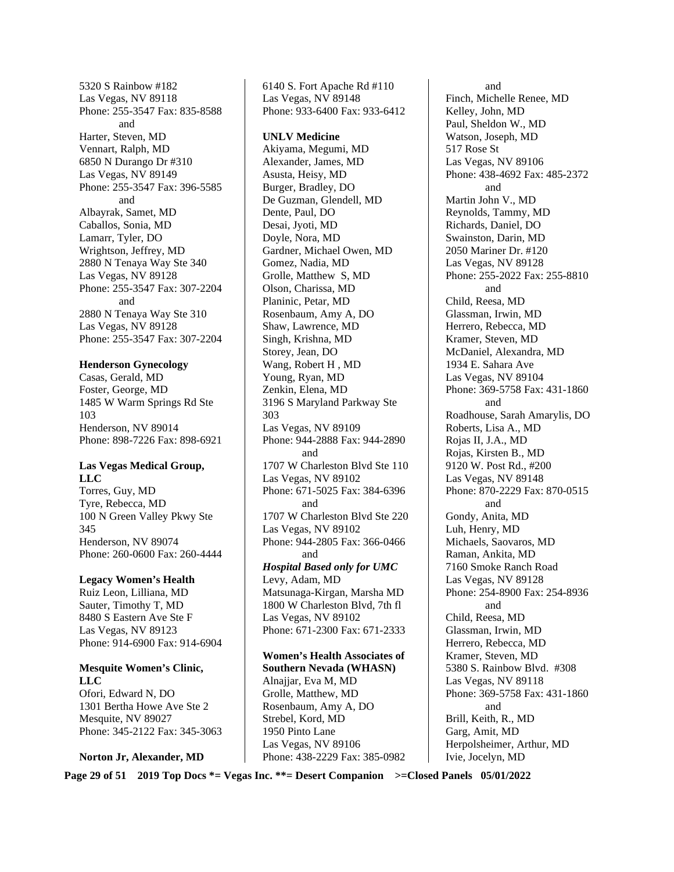5320 S Rainbow #182 Las Vegas, NV 89118 Phone: 255-3547 Fax: 835-8588 and Harter, Steven, MD Vennart, Ralph, MD 6850 N Durango Dr #310 Las Vegas, NV 89149 Phone: 255-3547 Fax: 396-5585 and Albayrak, Samet, MD Caballos, Sonia, MD Lamarr, Tyler, DO Wrightson, Jeffrey, MD 2880 N Tenaya Way Ste 340 Las Vegas, NV 89128 Phone: 255-3547 Fax: 307-2204 and 2880 N Tenaya Way Ste 310 Las Vegas, NV 89128 Phone: 255-3547 Fax: 307-2204

#### **Henderson Gynecology**

Casas, Gerald, MD Foster, George, MD 1485 W Warm Springs Rd Ste 103 Henderson, NV 89014 Phone: 898-7226 Fax: 898-6921

#### **Las Vegas Medical Group, LLC**

Torres, Guy, MD Tyre, Rebecca, MD 100 N Green Valley Pkwy Ste 345 Henderson, NV 89074 Phone: 260-0600 Fax: 260-4444

#### **Legacy Women's Health**

Ruiz Leon, Lilliana, MD Sauter, Timothy T, MD 8480 S Eastern Ave Ste F Las Vegas, NV 89123 Phone: 914-6900 Fax: 914-6904

## **Mesquite Women's Clinic, LLC**

Ofori, Edward N, DO 1301 Bertha Howe Ave Ste 2 Mesquite, NV 89027 Phone: 345-2122 Fax: 345-3063

#### **Norton Jr, Alexander, MD**

6140 S. Fort Apache Rd #110 Las Vegas, NV 89148 Phone: 933-6400 Fax: 933-6412

**UNLV Medicine**  Akiyama, Megumi, MD Alexander, James, MD Asusta, Heisy, MD Burger, Bradley, DO De Guzman, Glendell, MD Dente, Paul, DO Desai, Jyoti, MD Doyle, Nora, MD Gardner, Michael Owen, MD Gomez, Nadia, MD Grolle, Matthew S, MD Olson, Charissa, MD Planinic, Petar, MD Rosenbaum, Amy A, DO Shaw, Lawrence, MD Singh, Krishna, MD Storey, Jean, DO Wang, Robert H , MD Young, Ryan, MD Zenkin, Elena, MD 3196 S Maryland Parkway Ste 303 Las Vegas, NV 89109 Phone: 944-2888 Fax: 944-2890 and 1707 W Charleston Blvd Ste 110 Las Vegas, NV 89102 Phone: 671-5025 Fax: 384-6396 and 1707 W Charleston Blvd Ste 220 Las Vegas, NV 89102 Phone: 944-2805 Fax: 366-0466 and *Hospital Based only for UMC*  Levy, Adam, MD Matsunaga-Kirgan, Marsha MD 1800 W Charleston Blvd, 7th fl Las Vegas, NV 89102 Phone: 671-2300 Fax: 671-2333

**Women's Health Associates of Southern Nevada (WHASN)**  Alnajjar, Eva M, MD Grolle, Matthew, MD Rosenbaum, Amy A, DO Strebel, Kord, MD 1950 Pinto Lane Las Vegas, NV 89106 Phone: 438-2229 Fax: 385-0982

 and Finch, Michelle Renee, MD Kelley, John, MD Paul, Sheldon W., MD Watson, Joseph, MD 517 Rose St Las Vegas, NV 89106 Phone: 438-4692 Fax: 485-2372 and Martin John V., MD Reynolds, Tammy, MD Richards, Daniel, DO Swainston, Darin, MD 2050 Mariner Dr. #120 Las Vegas, NV 89128 Phone: 255-2022 Fax: 255-8810 and Child, Reesa, MD Glassman, Irwin, MD Herrero, Rebecca, MD Kramer, Steven, MD McDaniel, Alexandra, MD 1934 E. Sahara Ave Las Vegas, NV 89104 Phone: 369-5758 Fax: 431-1860 and Roadhouse, Sarah Amarylis, DO Roberts, Lisa A., MD Rojas II, J.A., MD Rojas, Kirsten B., MD 9120 W. Post Rd., #200 Las Vegas, NV 89148 Phone: 870-2229 Fax: 870-0515 and Gondy, Anita, MD Luh, Henry, MD Michaels, Saovaros, MD Raman, Ankita, MD 7160 Smoke Ranch Road Las Vegas, NV 89128 Phone: 254-8900 Fax: 254-8936 and Child, Reesa, MD Glassman, Irwin, MD Herrero, Rebecca, MD Kramer, Steven, MD 5380 S. Rainbow Blvd. #308 Las Vegas, NV 89118 Phone: 369-5758 Fax: 431-1860 and Brill, Keith, R., MD Garg, Amit, MD Herpolsheimer, Arthur, MD Ivie, Jocelyn, MD

**Page 29 of 51 2019 Top Docs \*= Vegas Inc. \*\*= Desert Companion >=Closed Panels 05/01/2022**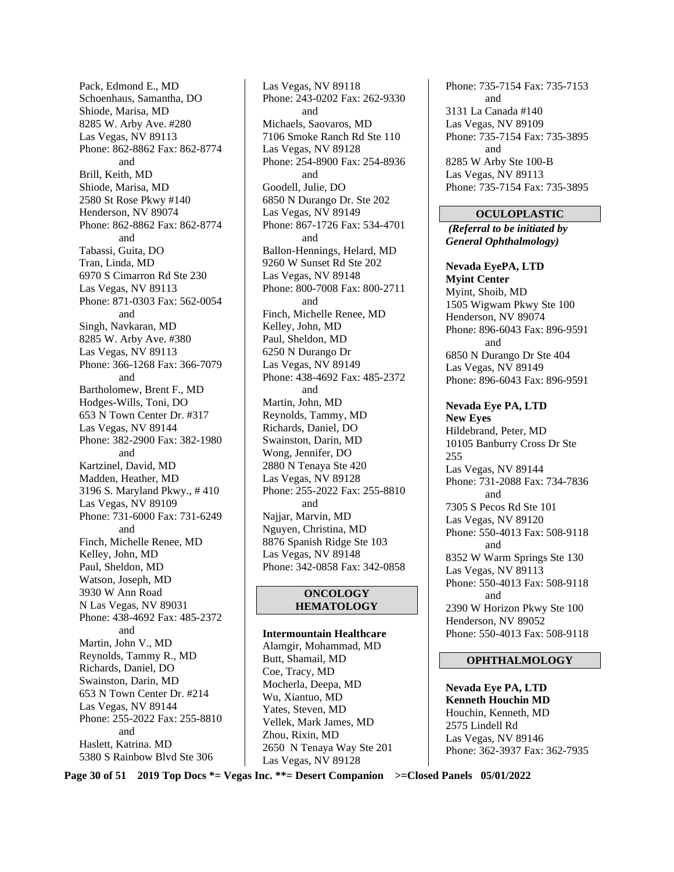Pack, Edmond E., MD Schoenhaus, Samantha, DO Shiode, Marisa, MD 8285 W. Arby Ave. #280 Las Vegas, NV 89113 Phone: 862-8862 Fax: 862-8774 and Brill, Keith, MD Shiode, Marisa, MD 2580 St Rose Pkwy #140 Henderson, NV 89074 Phone: 862-8862 Fax: 862-8774 and Tabassi, Guita, DO Tran, Linda, MD 6970 S Cimarron Rd Ste 230 Las Vegas, NV 89113 Phone: 871-0303 Fax: 562-0054 and Singh, Navkaran, MD 8285 W. Arby Ave. #380 Las Vegas, NV 89113 Phone: 366-1268 Fax: 366-7079 and Bartholomew, Brent F., MD Hodges-Wills, Toni, DO 653 N Town Center Dr. #317 Las Vegas, NV 89144 Phone: 382-2900 Fax: 382-1980 and Kartzinel, David, MD Madden, Heather, MD 3196 S. Maryland Pkwy., # 410 Las Vegas, NV 89109 Phone: 731-6000 Fax: 731-6249 and Finch, Michelle Renee, MD Kelley, John, MD Paul, Sheldon, MD Watson, Joseph, MD 3930 W Ann Road N Las Vegas, NV 89031 Phone: 438-4692 Fax: 485-2372 and Martin, John V., MD Reynolds, Tammy R., MD Richards, Daniel, DO Swainston, Darin, MD 653 N Town Center Dr. #214 Las Vegas, NV 89144 Phone: 255-2022 Fax: 255-8810 and Haslett, Katrina. MD 5380 S Rainbow Blvd Ste 306

Las Vegas, NV 89118 Phone: 243-0202 Fax: 262-9330 and Michaels, Saovaros, MD 7106 Smoke Ranch Rd Ste 110 Las Vegas, NV 89128 Phone: 254-8900 Fax: 254-8936 and Goodell, Julie, DO 6850 N Durango Dr. Ste 202 Las Vegas, NV 89149 Phone: 867-1726 Fax: 534-4701 and Ballon-Hennings, Helard, MD 9260 W Sunset Rd Ste 202 Las Vegas, NV 89148 Phone: 800-7008 Fax: 800-2711 and Finch, Michelle Renee, MD Kelley, John, MD Paul, Sheldon, MD 6250 N Durango Dr Las Vegas, NV 89149 Phone: 438-4692 Fax: 485-2372 and Martin, John, MD Reynolds, Tammy, MD Richards, Daniel, DO Swainston, Darin, MD Wong, Jennifer, DO 2880 N Tenaya Ste 420 Las Vegas, NV 89128 Phone: 255-2022 Fax: 255-8810 and Najjar, Marvin, MD Nguyen, Christina, MD 8876 Spanish Ridge Ste 103 Las Vegas, NV 89148 Phone: 342-0858 Fax: 342-0858

#### **ONCOLOGY HEMATOLOGY**

**Intermountain Healthcare**  Alamgir, Mohammad, MD Butt, Shamail, MD Coe, Tracy, MD Mocherla, Deepa, MD Wu, Xiantuo, MD Yates, Steven, MD Vellek, Mark James, MD Zhou, Rixin, MD 2650 N Tenaya Way Ste 201 Las Vegas, NV 89128

Phone: 735-7154 Fax: 735-7153 and 3131 La Canada #140 Las Vegas, NV 89109 Phone: 735-7154 Fax: 735-3895 and 8285 W Arby Ste 100-B Las Vegas, NV 89113 Phone: 735-7154 Fax: 735-3895

#### **OCULOPLASTIC**

*(Referral to be initiated by General Ophthalmology)* 

**Nevada EyePA, LTD Myint Center**  Myint, Shoib, MD 1505 Wigwam Pkwy Ste 100 Henderson, NV 89074 Phone: 896-6043 Fax: 896-9591 and 6850 N Durango Dr Ste 404 Las Vegas, NV 89149 Phone: 896-6043 Fax: 896-9591

**Nevada Eye PA, LTD New Eyes**  Hildebrand, Peter, MD 10105 Banburry Cross Dr Ste 255 Las Vegas, NV 89144 Phone: 731-2088 Fax: 734-7836 and 7305 S Pecos Rd Ste 101 Las Vegas, NV 89120 Phone: 550-4013 Fax: 508-9118 and 8352 W Warm Springs Ste 130 Las Vegas, NV 89113 Phone: 550-4013 Fax: 508-9118 and 2390 W Horizon Pkwy Ste 100 Henderson, NV 89052 Phone: 550-4013 Fax: 508-9118

#### **OPHTHALMOLOGY**

**Nevada Eye PA, LTD Kenneth Houchin MD**  Houchin, Kenneth, MD 2575 Lindell Rd Las Vegas, NV 89146 Phone: 362-3937 Fax: 362-7935

**Page 30 of 51 2019 Top Docs \*= Vegas Inc. \*\*= Desert Companion >=Closed Panels 05/01/2022**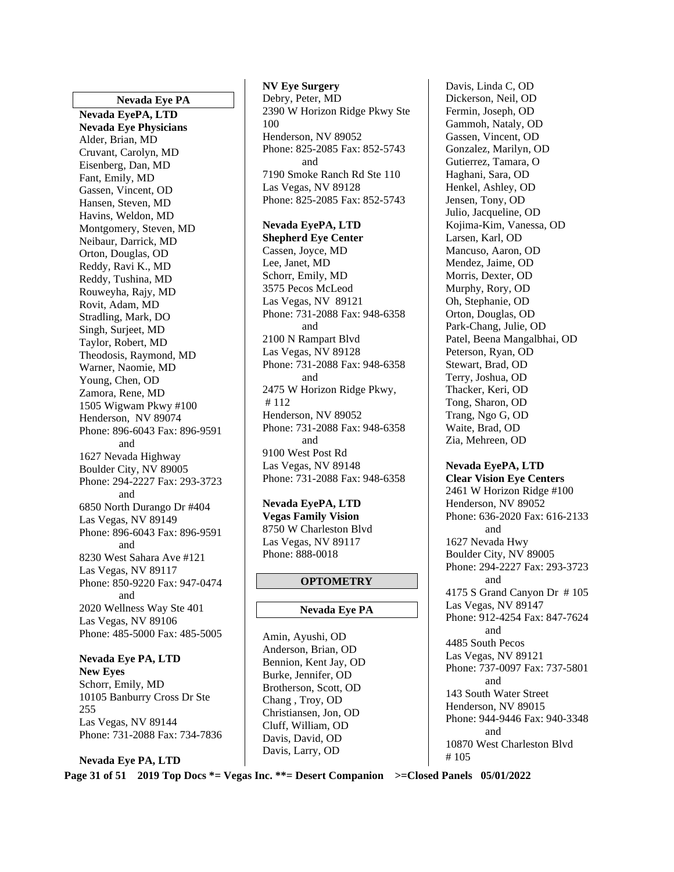#### **Nevada Eye PA**

**Nevada EyePA, LTD Nevada Eye Physicians**  Alder, Brian, MD Cruvant, Carolyn, MD Eisenberg, Dan, MD Fant, Emily, MD Gassen, Vincent, OD Hansen, Steven, MD Havins, Weldon, MD Montgomery, Steven, MD Neibaur, Darrick, MD Orton, Douglas, OD Reddy, Ravi K., MD Reddy, Tushina, MD Rouweyha, Rajy, MD Rovit, Adam, MD Stradling, Mark, DO Singh, Surjeet, MD Taylor, Robert, MD Theodosis, Raymond, MD Warner, Naomie, MD Young, Chen, OD Zamora, Rene, MD 1505 Wigwam Pkwy #100 Henderson, NV 89074 Phone: 896-6043 Fax: 896-9591 and 1627 Nevada Highway Boulder City, NV 89005 Phone: 294-2227 Fax: 293-3723 and 6850 North Durango Dr #404 Las Vegas, NV 89149 Phone: 896-6043 Fax: 896-9591 and 8230 West Sahara Ave #121 Las Vegas, NV 89117 Phone: 850-9220 Fax: 947-0474 and 2020 Wellness Way Ste 401 Las Vegas, NV 89106 Phone: 485-5000 Fax: 485-5005

**Nevada Eye PA, LTD New Eyes**  Schorr, Emily, MD 10105 Banburry Cross Dr Ste 255 Las Vegas, NV 89144 Phone: 731-2088 Fax: 734-7836

**Nevada Eye PA, LTD** 

#### **NV Eye Surgery**  Debry, Peter, MD 2390 W Horizon Ridge Pkwy Ste 100 Henderson, NV 89052 Phone: 825-2085 Fax: 852-5743 and 7190 Smoke Ranch Rd Ste 110 Las Vegas, NV 89128 Phone: 825-2085 Fax: 852-5743

**Nevada EyePA, LTD Shepherd Eye Center**  Cassen, Joyce, MD Lee, Janet, MD Schorr, Emily, MD 3575 Pecos McLeod Las Vegas, NV 89121 Phone: 731-2088 Fax: 948-6358 and 2100 N Rampart Blvd Las Vegas, NV 89128 Phone: 731-2088 Fax: 948-6358 and 2475 W Horizon Ridge Pkwy, # 112 Henderson, NV 89052 Phone: 731-2088 Fax: 948-6358 and 9100 West Post Rd Las Vegas, NV 89148 Phone: 731-2088 Fax: 948-6358

#### **Nevada EyePA, LTD**

**Vegas Family Vision**  8750 W Charleston Blvd Las Vegas, NV 89117 Phone: 888-0018

#### **OPTOMETRY**

#### **Nevada Eye PA**

Amin, Ayushi, OD Anderson, Brian, OD Bennion, Kent Jay, OD Burke, Jennifer, OD Brotherson, Scott, OD Chang , Troy, OD Christiansen, Jon, OD Cluff, William, OD Davis, David, OD Davis, Larry, OD

Davis, Linda C, OD Dickerson, Neil, OD Fermin, Joseph, OD Gammoh, Nataly, OD Gassen, Vincent, OD Gonzalez, Marilyn, OD Gutierrez, Tamara, O Haghani, Sara, OD Henkel, Ashley, OD Jensen, Tony, OD Julio, Jacqueline, OD Kojima-Kim, Vanessa, OD Larsen, Karl, OD Mancuso, Aaron, OD Mendez, Jaime, OD Morris, Dexter, OD Murphy, Rory, OD Oh, Stephanie, OD Orton, Douglas, OD Park-Chang, Julie, OD Patel, Beena Mangalbhai, OD Peterson, Ryan, OD Stewart, Brad, OD Terry, Joshua, OD Thacker, Keri, OD Tong, Sharon, OD Trang, Ngo G, OD Waite, Brad, OD Zia, Mehreen, OD

#### **Nevada EyePA, LTD**

**Clear Vision Eye Centers**  2461 W Horizon Ridge #100 Henderson, NV 89052 Phone: 636-2020 Fax: 616-2133 and 1627 Nevada Hwy Boulder City, NV 89005 Phone: 294-2227 Fax: 293-3723 and 4175 S Grand Canyon Dr # 105 Las Vegas, NV 89147 Phone: 912-4254 Fax: 847-7624 and 4485 South Pecos Las Vegas, NV 89121 Phone: 737-0097 Fax: 737-5801 and 143 South Water Street Henderson, NV 89015 Phone: 944-9446 Fax: 940-3348 and 10870 West Charleston Blvd # 105

**Page 31 of 51 2019 Top Docs \*= Vegas Inc. \*\*= Desert Companion >=Closed Panels 05/01/2022**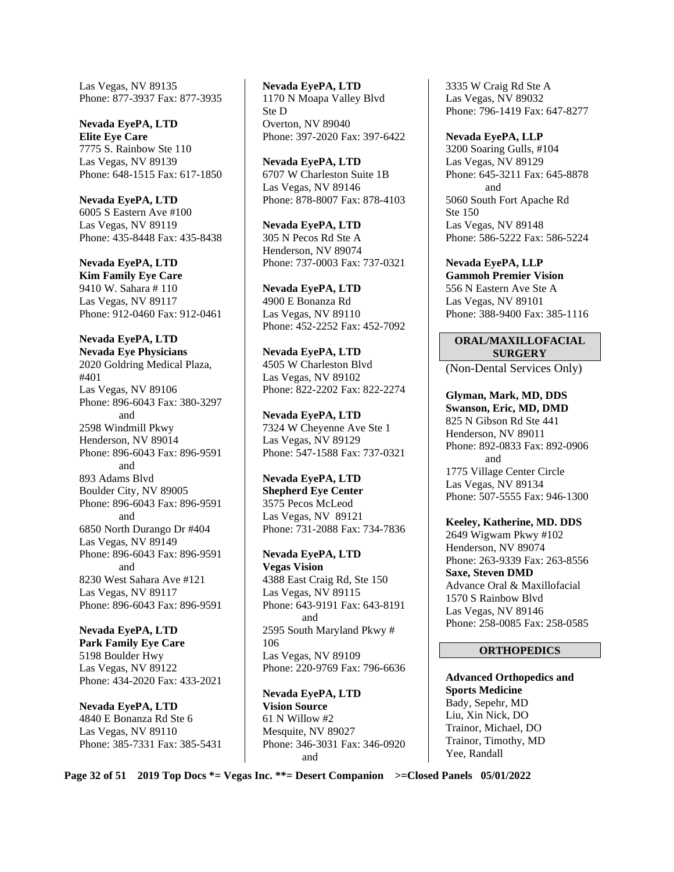Las Vegas, NV 89135 Phone: 877-3937 Fax: 877-3935

**Nevada EyePA, LTD Elite Eye Care**  7775 S. Rainbow Ste 110 Las Vegas, NV 89139 Phone: 648-1515 Fax: 617-1850

**Nevada EyePA, LTD**  6005 S Eastern Ave #100 Las Vegas, NV 89119 Phone: 435-8448 Fax: 435-8438

**Nevada EyePA, LTD Kim Family Eye Care**  9410 W. Sahara # 110 Las Vegas, NV 89117 Phone: 912-0460 Fax: 912-0461

**Nevada EyePA, LTD Nevada Eye Physicians**  2020 Goldring Medical Plaza, #401 Las Vegas, NV 89106 Phone: 896-6043 Fax: 380-3297 and 2598 Windmill Pkwy Henderson, NV 89014 Phone: 896-6043 Fax: 896-9591 and 893 Adams Blvd Boulder City, NV 89005 Phone: 896-6043 Fax: 896-9591 and 6850 North Durango Dr #404 Las Vegas, NV 89149 Phone: 896-6043 Fax: 896-9591 and 8230 West Sahara Ave #121 Las Vegas, NV 89117 Phone: 896-6043 Fax: 896-9591

**Nevada EyePA, LTD Park Family Eye Care**  5198 Boulder Hwy Las Vegas, NV 89122 Phone: 434-2020 Fax: 433-2021

**Nevada EyePA, LTD**  4840 E Bonanza Rd Ste 6 Las Vegas, NV 89110 Phone: 385-7331 Fax: 385-5431

**Nevada EyePA, LTD**  1170 N Moapa Valley Blvd Ste D Overton, NV 89040 Phone: 397-2020 Fax: 397-6422

**Nevada EyePA, LTD**  6707 W Charleston Suite 1B Las Vegas, NV 89146 Phone: 878-8007 Fax: 878-4103

**Nevada EyePA, LTD**  305 N Pecos Rd Ste A Henderson, NV 89074 Phone: 737-0003 Fax: 737-0321

**Nevada EyePA, LTD**  4900 E Bonanza Rd Las Vegas, NV 89110 Phone: 452-2252 Fax: 452-7092

**Nevada EyePA, LTD**  4505 W Charleston Blvd Las Vegas, NV 89102 Phone: 822-2202 Fax: 822-2274

**Nevada EyePA, LTD**  7324 W Cheyenne Ave Ste 1 Las Vegas, NV 89129 Phone: 547-1588 Fax: 737-0321

**Nevada EyePA, LTD Shepherd Eye Center**  3575 Pecos McLeod Las Vegas, NV 89121 Phone: 731-2088 Fax: 734-7836

**Nevada EyePA, LTD Vegas Vision**  4388 East Craig Rd, Ste 150 Las Vegas, NV 89115 Phone: 643-9191 Fax: 643-8191 and 2595 South Maryland Pkwy # 106 Las Vegas, NV 89109 Phone: 220-9769 Fax: 796-6636

**Nevada EyePA, LTD Vision Source**  61 N Willow #2 Mesquite, NV 89027 Phone: 346-3031 Fax: 346-0920 and

3335 W Craig Rd Ste A Las Vegas, NV 89032 Phone: 796-1419 Fax: 647-8277

**Nevada EyePA, LLP**  3200 Soaring Gulls, #104 Las Vegas, NV 89129 Phone: 645-3211 Fax: 645-8878 and 5060 South Fort Apache Rd Ste 150 Las Vegas, NV 89148 Phone: 586-5222 Fax: 586-5224

**Nevada EyePA, LLP Gammoh Premier Vision**  556 N Eastern Ave Ste A Las Vegas, NV 89101 Phone: 388-9400 Fax: 385-1116

#### **ORAL/MAXILLOFACIAL SURGERY**

(Non-Dental Services Only)

**Glyman, Mark, MD, DDS Swanson, Eric, MD, DMD**  825 N Gibson Rd Ste 441 Henderson, NV 89011 Phone: 892-0833 Fax: 892-0906 and 1775 Village Center Circle Las Vegas, NV 89134 Phone: 507-5555 Fax: 946-1300

**Keeley, Katherine, MD. DDS**  2649 Wigwam Pkwy #102 Henderson, NV 89074 Phone: 263-9339 Fax: 263-8556 **Saxe, Steven DMD**  Advance Oral & Maxillofacial 1570 S Rainbow Blvd Las Vegas, NV 89146 Phone: 258-0085 Fax: 258-0585

#### **ORTHOPEDICS**

**Advanced Orthopedics and Sports Medicine**  Bady, Sepehr, MD Liu, Xin Nick, DO Trainor, Michael, DO Trainor, Timothy, MD Yee, Randall

**Page 32 of 51 2019 Top Docs \*= Vegas Inc. \*\*= Desert Companion >=Closed Panels 05/01/2022**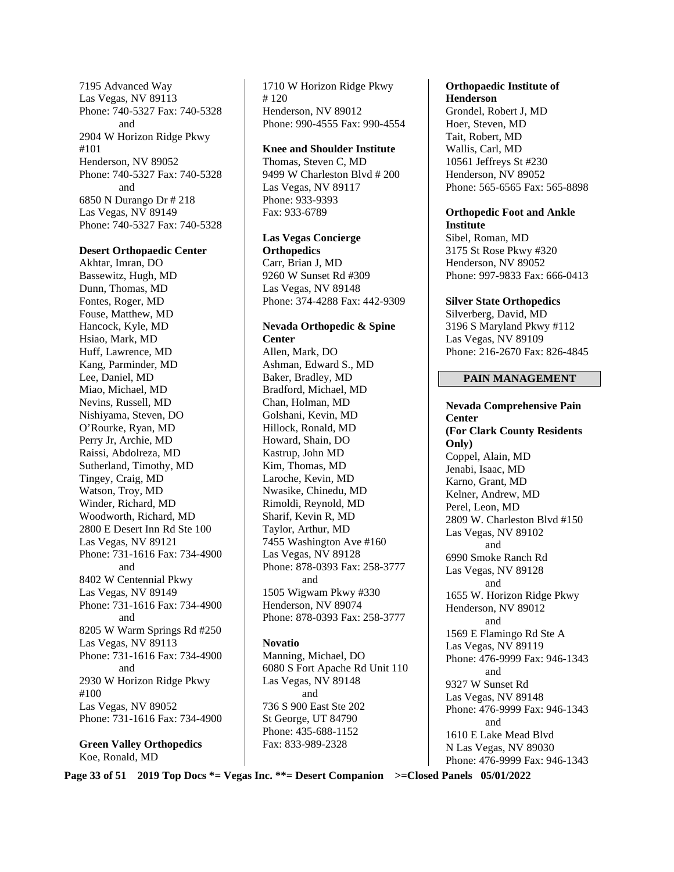7195 Advanced Way Las Vegas, NV 89113 Phone: 740-5327 Fax: 740-5328 and 2904 W Horizon Ridge Pkwy #101 Henderson, NV 89052 Phone: 740-5327 Fax: 740-5328 and 6850 N Durango Dr # 218 Las Vegas, NV 89149 Phone: 740-5327 Fax: 740-5328

#### **Desert Orthopaedic Center**

Akhtar, Imran, DO Bassewitz, Hugh, MD Dunn, Thomas, MD Fontes, Roger, MD Fouse, Matthew, MD Hancock, Kyle, MD Hsiao, Mark, MD Huff, Lawrence, MD Kang, Parminder, MD Lee, Daniel, MD Miao, Michael, MD Nevins, Russell, MD Nishiyama, Steven, DO O'Rourke, Ryan, MD Perry Jr, Archie, MD Raissi, Abdolreza, MD Sutherland, Timothy, MD Tingey, Craig, MD Watson, Troy, MD Winder, Richard, MD Woodworth, Richard, MD 2800 E Desert Inn Rd Ste 100 Las Vegas, NV 89121 Phone: 731-1616 Fax: 734-4900 and 8402 W Centennial Pkwy Las Vegas, NV 89149 Phone: 731-1616 Fax: 734-4900 and 8205 W Warm Springs Rd #250 Las Vegas, NV 89113 Phone: 731-1616 Fax: 734-4900 and 2930 W Horizon Ridge Pkwy #100 Las Vegas, NV 89052 Phone: 731-1616 Fax: 734-4900

**Green Valley Orthopedics**  Koe, Ronald, MD

1710 W Horizon Ridge Pkwy # 120 Henderson, NV 89012 Phone: 990-4555 Fax: 990-4554

#### **Knee and Shoulder Institute**

Thomas, Steven C, MD 9499 W Charleston Blvd # 200 Las Vegas, NV 89117 Phone: 933-9393 Fax: 933-6789

**Las Vegas Concierge Orthopedics** 

Carr, Brian J, MD 9260 W Sunset Rd #309 Las Vegas, NV 89148 Phone: 374-4288 Fax: 442-9309

**Nevada Orthopedic & Spine Center**  Allen, Mark, DO

Ashman, Edward S., MD Baker, Bradley, MD Bradford, Michael, MD Chan, Holman, MD Golshani, Kevin, MD Hillock, Ronald, MD Howard, Shain, DO Kastrup, John MD Kim, Thomas, MD Laroche, Kevin, MD Nwasike, Chinedu, MD Rimoldi, Reynold, MD Sharif, Kevin R, MD Taylor, Arthur, MD 7455 Washington Ave #160 Las Vegas, NV 89128 Phone: 878-0393 Fax: 258-3777 and 1505 Wigwam Pkwy #330 Henderson, NV 89074 Phone: 878-0393 Fax: 258-3777

**Novatio** 

Manning, Michael, DO 6080 S Fort Apache Rd Unit 110 Las Vegas, NV 89148 and 736 S 900 East Ste 202 St George, UT 84790 Phone: 435-688-1152 Fax: 833-989-2328

## **Orthopaedic Institute of**

**Henderson**  Grondel, Robert J, MD Hoer, Steven, MD Tait, Robert, MD Wallis, Carl, MD 10561 Jeffreys St #230 Henderson, NV 89052 Phone: 565-6565 Fax: 565-8898

#### **Orthopedic Foot and Ankle Institute**

Sibel, Roman, MD 3175 St Rose Pkwy #320 Henderson, NV 89052 Phone: 997-9833 Fax: 666-0413

#### **Silver State Orthopedics**

Silverberg, David, MD 3196 S Maryland Pkwy #112 Las Vegas, NV 89109 Phone: 216-2670 Fax: 826-4845

#### **PAIN MANAGEMENT**

**Nevada Comprehensive Pain Center (For Clark County Residents Only)**  Coppel, Alain, MD Jenabi, Isaac, MD Karno, Grant, MD Kelner, Andrew, MD Perel, Leon, MD 2809 W. Charleston Blvd #150 Las Vegas, NV 89102 and 6990 Smoke Ranch Rd Las Vegas, NV 89128 and 1655 W. Horizon Ridge Pkwy Henderson, NV 89012 and 1569 E Flamingo Rd Ste A Las Vegas, NV 89119 Phone: 476-9999 Fax: 946-1343 and 9327 W Sunset Rd Las Vegas, NV 89148 Phone: 476-9999 Fax: 946-1343 and 1610 E Lake Mead Blvd N Las Vegas, NV 89030 Phone: 476-9999 Fax: 946-1343

**Page 33 of 51 2019 Top Docs \*= Vegas Inc. \*\*= Desert Companion >=Closed Panels 05/01/2022**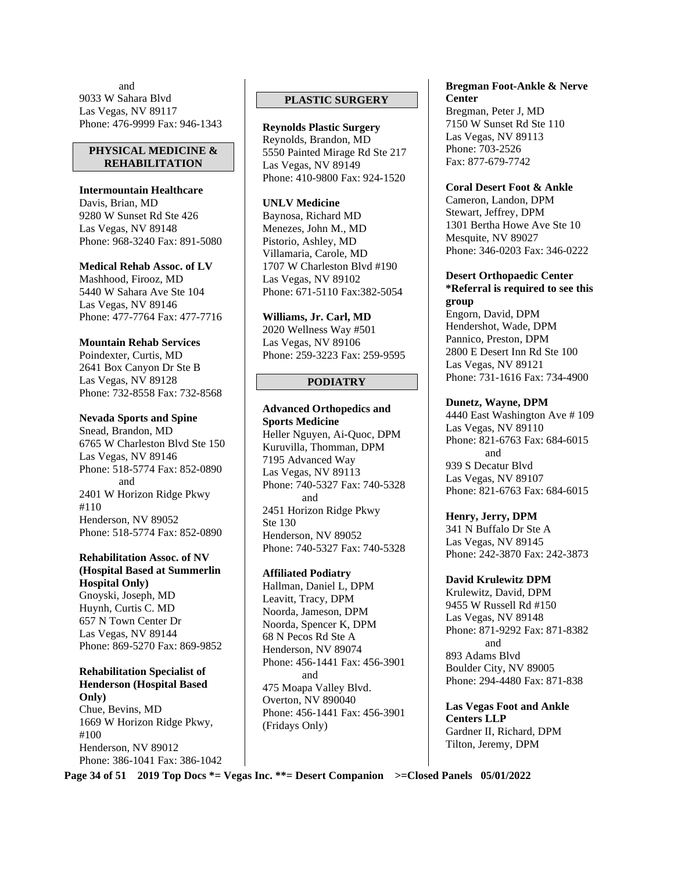and 9033 W Sahara Blvd Las Vegas, NV 89117 Phone: 476-9999 Fax: 946-1343

#### **PHYSICAL MEDICINE & REHABILITATION**

**Intermountain Healthcare**  Davis, Brian, MD 9280 W Sunset Rd Ste 426 Las Vegas, NV 89148 Phone: 968-3240 Fax: 891-5080

**Medical Rehab Assoc. of LV**  Mashhood, Firooz, MD 5440 W Sahara Ave Ste 104 Las Vegas, NV 89146 Phone: 477-7764 Fax: 477-7716

#### **Mountain Rehab Services**  Poindexter, Curtis, MD 2641 Box Canyon Dr Ste B Las Vegas, NV 89128 Phone: 732-8558 Fax: 732-8568

**Nevada Sports and Spine**  Snead, Brandon, MD 6765 W Charleston Blvd Ste 150 Las Vegas, NV 89146 Phone: 518-5774 Fax: 852-0890 and 2401 W Horizon Ridge Pkwy #110

Henderson, NV 89052 Phone: 518-5774 Fax: 852-0890

#### **Rehabilitation Assoc. of NV (Hospital Based at Summerlin Hospital Only)**

Gnoyski, Joseph, MD Huynh, Curtis C. MD 657 N Town Center Dr Las Vegas, NV 89144 Phone: 869-5270 Fax: 869-9852

**Rehabilitation Specialist of Henderson (Hospital Based Only)**  Chue, Bevins, MD 1669 W Horizon Ridge Pkwy,

#100 Henderson, NV 89012 Phone: 386-1041 Fax: 386-1042

## **PLASTIC SURGERY**

**Reynolds Plastic Surgery**  Reynolds, Brandon, MD 5550 Painted Mirage Rd Ste 217 Las Vegas, NV 89149 Phone: 410-9800 Fax: 924-1520

#### **UNLV Medicine**

Baynosa, Richard MD Menezes, John M., MD Pistorio, Ashley, MD Villamaria, Carole, MD 1707 W Charleston Blvd #190 Las Vegas, NV 89102 Phone: 671-5110 Fax:382-5054

**Williams, Jr. Carl, MD**  2020 Wellness Way #501 Las Vegas, NV 89106 Phone: 259-3223 Fax: 259-9595

## **PODIATRY**

**Advanced Orthopedics and Sports Medicine**  Heller Nguyen, Ai-Quoc, DPM Kuruvilla, Thomman, DPM 7195 Advanced Way Las Vegas, NV 89113 Phone: 740-5327 Fax: 740-5328 and 2451 Horizon Ridge Pkwy Ste 130 Henderson, NV 89052 Phone: 740-5327 Fax: 740-5328

#### **Affiliated Podiatry**

Hallman, Daniel L, DPM Leavitt, Tracy, DPM Noorda, Jameson, DPM Noorda, Spencer K, DPM 68 N Pecos Rd Ste A Henderson, NV 89074 Phone: 456-1441 Fax: 456-3901 and 475 Moapa Valley Blvd. Overton, NV 890040 Phone: 456-1441 Fax: 456-3901 (Fridays Only)

#### **Bregman Foot-Ankle & Nerve Center**

Bregman, Peter J, MD 7150 W Sunset Rd Ste 110 Las Vegas, NV 89113 Phone: 703-2526 Fax: 877-679-7742

**Coral Desert Foot & Ankle** 

Cameron, Landon, DPM Stewart, Jeffrey, DPM 1301 Bertha Howe Ave Ste 10 Mesquite, NV 89027 Phone: 346-0203 Fax: 346-0222

**Desert Orthopaedic Center \*Referral is required to see this group** 

Engorn, David, DPM Hendershot, Wade, DPM Pannico, Preston, DPM 2800 E Desert Inn Rd Ste 100 Las Vegas, NV 89121 Phone: 731-1616 Fax: 734-4900

#### **Dunetz, Wayne, DPM**

4440 East Washington Ave # 109 Las Vegas, NV 89110 Phone: 821-6763 Fax: 684-6015 and 939 S Decatur Blvd Las Vegas, NV 89107 Phone: 821-6763 Fax: 684-6015

## **Henry, Jerry, DPM**

341 N Buffalo Dr Ste A Las Vegas, NV 89145 Phone: 242-3870 Fax: 242-3873

## **David Krulewitz DPM**

Krulewitz, David, DPM 9455 W Russell Rd #150 Las Vegas, NV 89148 Phone: 871-9292 Fax: 871-8382 and 893 Adams Blvd Boulder City, NV 89005 Phone: 294-4480 Fax: 871-838

**Las Vegas Foot and Ankle Centers LLP**  Gardner II, Richard, DPM Tilton, Jeremy, DPM

**Page 34 of 51 2019 Top Docs \*= Vegas Inc. \*\*= Desert Companion >=Closed Panels 05/01/2022**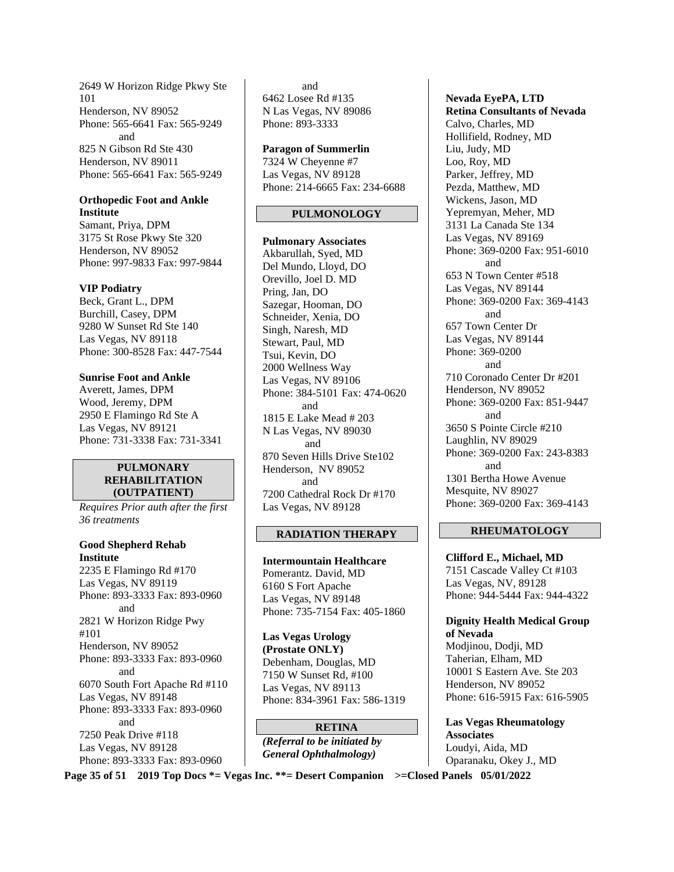2649 W Horizon Ridge Pkwy Ste 101 Henderson, NV 89052 Phone: 565-6641 Fax: 565-9249 and 825 N Gibson Rd Ste 430 Henderson, NV 89011 Phone: 565-6641 Fax: 565-9249

#### **Orthopedic Foot and Ankle Institute**

Samant, Priya, DPM 3175 St Rose Pkwy Ste 320 Henderson, NV 89052 Phone: 997-9833 Fax: 997-9844

#### **VIP Podiatry**

Beck, Grant L., DPM Burchill, Casey, DPM 9280 W Sunset Rd Ste 140 Las Vegas, NV 89118 Phone: 300-8528 Fax: 447-7544

**Sunrise Foot and Ankle**  Averett, James, DPM Wood, Jeremy, DPM 2950 E Flamingo Rd Ste A Las Vegas, NV 89121 Phone: 731-3338 Fax: 731-3341

#### **PULMONARY REHABILITATION (OUTPATIENT)**

*Requires Prior auth after the first 36 treatments* 

**Good Shepherd Rehab Institute**  2235 E Flamingo Rd #170 Las Vegas, NV 89119 Phone: 893-3333 Fax: 893-0960 and 2821 W Horizon Ridge Pwy #101 Henderson, NV 89052 Phone: 893-3333 Fax: 893-0960 and 6070 South Fort Apache Rd #110 Las Vegas, NV 89148 Phone: 893-3333 Fax: 893-0960 and 7250 Peak Drive #118 Las Vegas, NV 89128 Phone: 893-3333 Fax: 893-0960

 and 6462 Losee Rd #135 N Las Vegas, NV 89086 Phone: 893-3333

#### **Paragon of Summerlin**

7324 W Cheyenne #7 Las Vegas, NV 89128 Phone: 214-6665 Fax: 234-6688

#### **PULMONOLOGY**

**Pulmonary Associates**  Akbarullah, Syed, MD Del Mundo, Lloyd, DO Orevillo, Joel D. MD Pring, Jan, DO Sazegar, Hooman, DO Schneider, Xenia, DO Singh, Naresh, MD Stewart, Paul, MD Tsui, Kevin, DO 2000 Wellness Way Las Vegas, NV 89106 Phone: 384-5101 Fax: 474-0620 and 1815 E Lake Mead # 203 N Las Vegas, NV 89030 and 870 Seven Hills Drive Ste102 Henderson, NV 89052 and 7200 Cathedral Rock Dr #170 Las Vegas, NV 89128

## **RADIATION THERAPY**

**Intermountain Healthcare**  Pomerantz. David, MD 6160 S Fort Apache Las Vegas, NV 89148 Phone: 735-7154 Fax: 405-1860

**Las Vegas Urology (Prostate ONLY)**  Debenham, Douglas, MD 7150 W Sunset Rd, #100 Las Vegas, NV 89113 Phone: 834-3961 Fax: 586-1319

**RETINA**  *(Referral to be initiated by General Ophthalmology)* 

**Nevada EyePA, LTD Retina Consultants of Nevada**  Calvo, Charles, MD Hollifield, Rodney, MD Liu, Judy, MD Loo, Roy, MD Parker, Jeffrey, MD Pezda, Matthew, MD Wickens, Jason, MD Yepremyan, Meher, MD 3131 La Canada Ste 134 Las Vegas, NV 89169 Phone: 369-0200 Fax: 951-6010 and 653 N Town Center #518 Las Vegas, NV 89144 Phone: 369-0200 Fax: 369-4143 and 657 Town Center Dr Las Vegas, NV 89144 Phone: 369-0200 and 710 Coronado Center Dr #201 Henderson, NV 89052 Phone: 369-0200 Fax: 851-9447 and 3650 S Pointe Circle #210 Laughlin, NV 89029 Phone: 369-0200 Fax: 243-8383 and 1301 Bertha Howe Avenue Mesquite, NV 89027 Phone: 369-0200 Fax: 369-4143

#### **RHEUMATOLOGY**

**Clifford E., Michael, MD**  7151 Cascade Valley Ct #103 Las Vegas, NV, 89128 Phone: 944-5444 Fax: 944-4322

## **Dignity Health Medical Group of Nevada**

Modjinou, Dodji, MD Taherian, Elham, MD 10001 S Eastern Ave. Ste 203 Henderson, NV 89052 Phone: 616-5915 Fax: 616-5905

**Las Vegas Rheumatology Associates**  Loudyi, Aida, MD Oparanaku, Okey J., MD

**Page 35 of 51 2019 Top Docs \*= Vegas Inc. \*\*= Desert Companion >=Closed Panels 05/01/2022**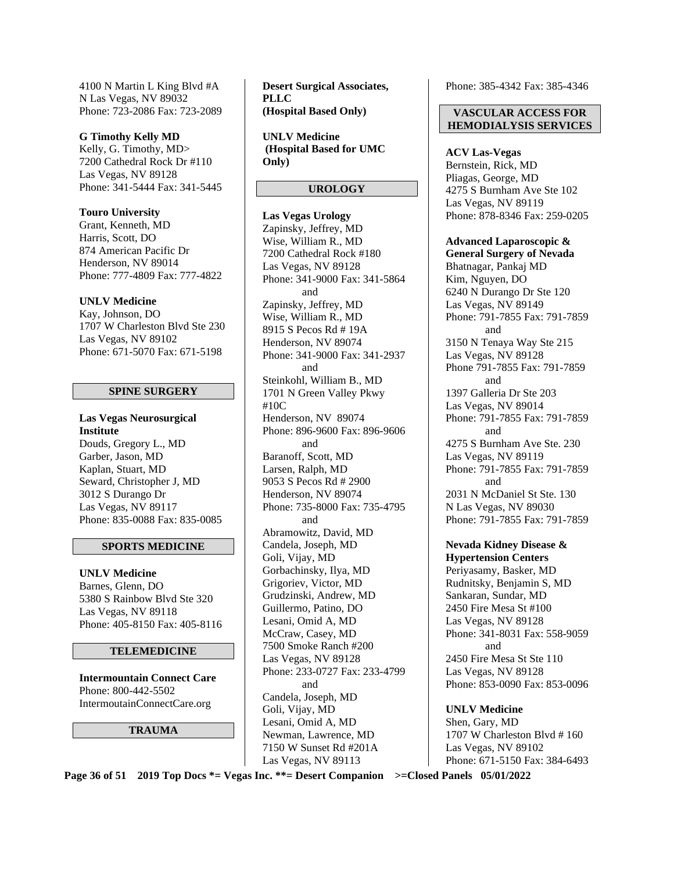4100 N Martin L King Blvd #A N Las Vegas, NV 89032 Phone: 723-2086 Fax: 723-2089

**G Timothy Kelly MD**  Kelly, G. Timothy, MD> 7200 Cathedral Rock Dr #110 Las Vegas, NV 89128 Phone: 341-5444 Fax: 341-5445

**Touro University**  Grant, Kenneth, MD Harris, Scott, DO 874 American Pacific Dr Henderson, NV 89014 Phone: 777-4809 Fax: 777-4822

#### **UNLV Medicine**

Kay, Johnson, DO 1707 W Charleston Blvd Ste 230 Las Vegas, NV 89102 Phone: 671-5070 Fax: 671-5198

#### **SPINE SURGERY**

**Las Vegas Neurosurgical Institute**  Douds, Gregory L., MD Garber, Jason, MD Kaplan, Stuart, MD Seward, Christopher J, MD 3012 S Durango Dr Las Vegas, NV 89117 Phone: 835-0088 Fax: 835-0085

#### **SPORTS MEDICINE**

**UNLV Medicine**  Barnes, Glenn, DO 5380 S Rainbow Blvd Ste 320 Las Vegas, NV 89118 Phone: 405-8150 Fax: 405-8116

#### **TELEMEDICINE**

**Intermountain Connect Care**  Phone: 800-442-5502 IntermoutainConnectCare.org

**TRAUMA** 

**Desert Surgical Associates, PLLC (Hospital Based Only)** 

**UNLV Medicine (Hospital Based for UMC Only)** 

#### **UROLOGY**

**Las Vegas Urology**  Zapinsky, Jeffrey, MD Wise, William R., MD 7200 Cathedral Rock #180 Las Vegas, NV 89128 Phone: 341-9000 Fax: 341-5864 and Zapinsky, Jeffrey, MD Wise, William R., MD 8915 S Pecos Rd # 19A Henderson, NV 89074 Phone: 341-9000 Fax: 341-2937 and Steinkohl, William B., MD 1701 N Green Valley Pkwy #10C Henderson, NV 89074 Phone: 896-9600 Fax: 896-9606 and Baranoff, Scott, MD Larsen, Ralph, MD 9053 S Pecos Rd # 2900 Henderson, NV 89074 Phone: 735-8000 Fax: 735-4795 and Abramowitz, David, MD Candela, Joseph, MD Goli, Vijay, MD Gorbachinsky, Ilya, MD Grigoriev, Victor, MD Grudzinski, Andrew, MD Guillermo, Patino, DO Lesani, Omid A, MD McCraw, Casey, MD 7500 Smoke Ranch #200 Las Vegas, NV 89128 Phone: 233-0727 Fax: 233-4799 and Candela, Joseph, MD Goli, Vijay, MD Lesani, Omid A, MD Newman, Lawrence, MD 7150 W Sunset Rd #201A Las Vegas, NV 89113

Phone: 385-4342 Fax: 385-4346

#### **VASCULAR ACCESS FOR HEMODIALYSIS SERVICES**

**ACV Las-Vegas**  Bernstein, Rick, MD Pliagas, George, MD 4275 S Burnham Ave Ste 102 Las Vegas, NV 89119 Phone: 878-8346 Fax: 259-0205

**Advanced Laparoscopic &** 

**General Surgery of Nevada**  Bhatnagar, Pankaj MD Kim, Nguyen, DO 6240 N Durango Dr Ste 120 Las Vegas, NV 89149 Phone: 791-7855 Fax: 791-7859 and 3150 N Tenaya Way Ste 215 Las Vegas, NV 89128 Phone 791-7855 Fax: 791-7859 and 1397 Galleria Dr Ste 203 Las Vegas, NV 89014 Phone: 791-7855 Fax: 791-7859 and 4275 S Burnham Ave Ste. 230 Las Vegas, NV 89119 Phone: 791-7855 Fax: 791-7859 and 2031 N McDaniel St Ste. 130 N Las Vegas, NV 89030 Phone: 791-7855 Fax: 791-7859

**Nevada Kidney Disease & Hypertension Centers**  Periyasamy, Basker, MD Rudnitsky, Benjamin S, MD Sankaran, Sundar, MD 2450 Fire Mesa St #100 Las Vegas, NV 89128 Phone: 341-8031 Fax: 558-9059 and 2450 Fire Mesa St Ste 110 Las Vegas, NV 89128 Phone: 853-0090 Fax: 853-0096

**UNLV Medicine**  Shen, Gary, MD 1707 W Charleston Blvd # 160 Las Vegas, NV 89102 Phone: 671-5150 Fax: 384-6493

**Page 36 of 51 2019 Top Docs \*= Vegas Inc. \*\*= Desert Companion >=Closed Panels 05/01/2022**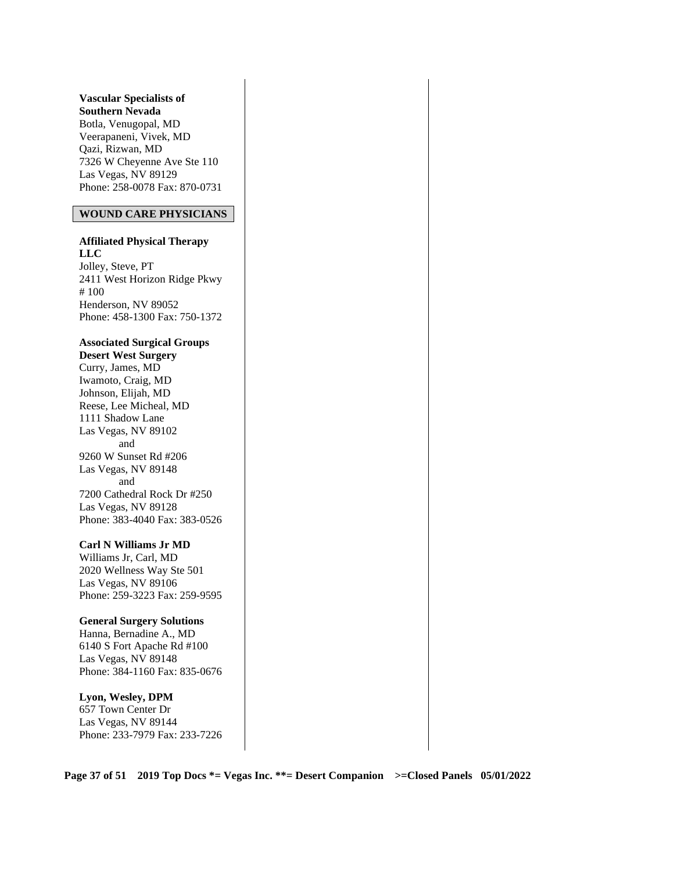**Vascular Specialists of Southern Nevada**  Botla, Venugopal, MD Veerapaneni, Vivek, MD Qazi, Rizwan, MD 7326 W Cheyenne Ave Ste 110 Las Vegas, NV 89129 Phone: 258-0078 Fax: 870-0731

#### **WOUND CARE PHYSICIANS**

**Affiliated Physical Therapy LLC**  Jolley, Steve, PT 2411 West Horizon Ridge Pkwy # 100 Henderson, NV 89052 Phone: 458-1300 Fax: 750-1372

#### **Associated Surgical Groups Desert West Surgery**

Curry, James, MD Iwamoto, Craig, MD Johnson, Elijah, MD Reese, Lee Micheal, MD 1111 Shadow Lane Las Vegas, NV 89102 and 9260 W Sunset Rd #206 Las Vegas, NV 89148 and 7200 Cathedral Rock Dr #250 Las Vegas, NV 89128 Phone: 383-4040 Fax: 383-0526

#### **Carl N Williams Jr MD**

Williams Jr, Carl, MD 2020 Wellness Way Ste 501 Las Vegas, NV 89106 Phone: 259-3223 Fax: 259-9595

#### **General Surgery Solutions**

Hanna, Bernadine A., MD 6140 S Fort Apache Rd #100 Las Vegas, NV 89148 Phone: 384-1160 Fax: 835-0676

#### **Lyon, Wesley, DPM**

657 Town Center Dr Las Vegas, NV 89144 Phone: 233-7979 Fax: 233-7226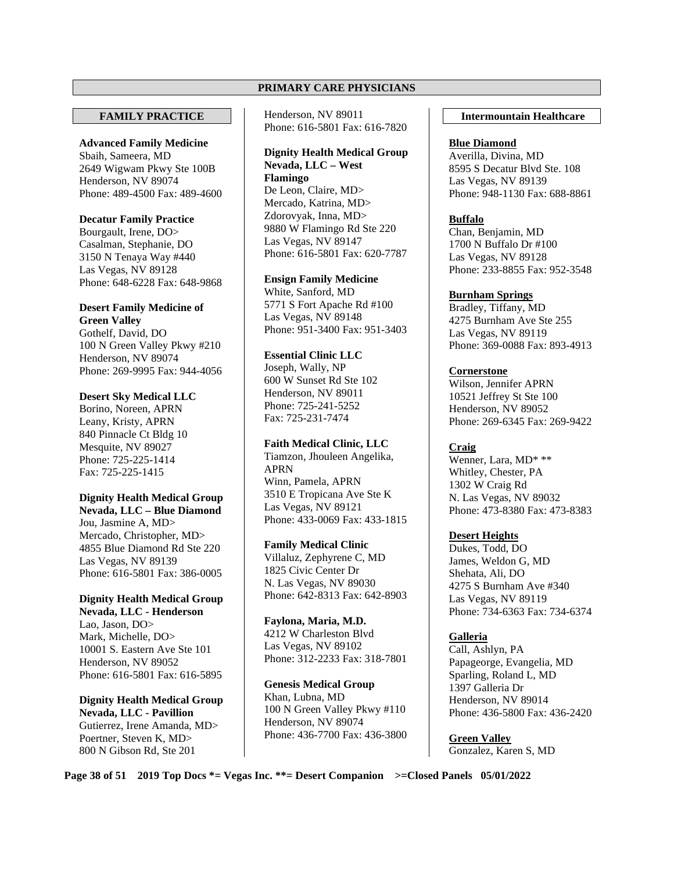#### **PRIMARY CARE PHYSICIANS**

#### **FAMILY PRACTICE**

**Advanced Family Medicine**  Sbaih, Sameera, MD 2649 Wigwam Pkwy Ste 100B Henderson, NV 89074 Phone: 489-4500 Fax: 489-4600

#### **Decatur Family Practice**

Bourgault, Irene, DO> Casalman, Stephanie, DO 3150 N Tenaya Way #440 Las Vegas, NV 89128 Phone: 648-6228 Fax: 648-9868

#### **Desert Family Medicine of Green Valley**

Gothelf, David, DO 100 N Green Valley Pkwy #210 Henderson, NV 89074 Phone: 269-9995 Fax: 944-4056

#### **Desert Sky Medical LLC**

Borino, Noreen, APRN Leany, Kristy, APRN 840 Pinnacle Ct Bldg 10 Mesquite, NV 89027 Phone: 725-225-1414 Fax: 725-225-1415

## **Dignity Health Medical Group**

**Nevada, LLC – Blue Diamond**  Jou, Jasmine A, MD> Mercado, Christopher, MD> 4855 Blue Diamond Rd Ste 220 Las Vegas, NV 89139 Phone: 616-5801 Fax: 386-0005

#### **Dignity Health Medical Group Nevada, LLC - Henderson**

Lao, Jason, DO> Mark, Michelle, DO> 10001 S. Eastern Ave Ste 101 Henderson, NV 89052 Phone: 616-5801 Fax: 616-5895

**Dignity Health Medical Group Nevada, LLC - Pavillion**  Gutierrez, Irene Amanda, MD> Poertner, Steven K, MD> 800 N Gibson Rd, Ste 201

Henderson, NV 89011 Phone: 616-5801 Fax: 616-7820

## **Dignity Health Medical Group Nevada, LLC – West Flamingo**

De Leon, Claire, MD> Mercado, Katrina, MD> Zdorovyak, Inna, MD> 9880 W Flamingo Rd Ste 220 Las Vegas, NV 89147 Phone: 616-5801 Fax: 620-7787

#### **Ensign Family Medicine**

White, Sanford, MD 5771 S Fort Apache Rd #100 Las Vegas, NV 89148 Phone: 951-3400 Fax: 951-3403

## **Essential Clinic LLC**

Joseph, Wally, NP 600 W Sunset Rd Ste 102 Henderson, NV 89011 Phone: 725-241-5252 Fax: 725-231-7474

#### **Faith Medical Clinic, LLC**

Tiamzon, Jhouleen Angelika, APRN Winn, Pamela, APRN 3510 E Tropicana Ave Ste K Las Vegas, NV 89121 Phone: 433-0069 Fax: 433-1815

#### **Family Medical Clinic**

Villaluz, Zephyrene C, MD 1825 Civic Center Dr N. Las Vegas, NV 89030 Phone: 642-8313 Fax: 642-8903

**Faylona, Maria, M.D.**  4212 W Charleston Blvd Las Vegas, NV 89102 Phone: 312-2233 Fax: 318-7801

**Genesis Medical Group**  Khan, Lubna, MD 100 N Green Valley Pkwy #110 Henderson, NV 89074 Phone: 436-7700 Fax: 436-3800

#### **Intermountain Healthcare**

#### **Blue Diamond**

Averilla, Divina, MD 8595 S Decatur Blvd Ste. 108 Las Vegas, NV 89139 Phone: 948-1130 Fax: 688-8861

#### **Buffalo**

Chan, Benjamin, MD 1700 N Buffalo Dr #100 Las Vegas, NV 89128 Phone: 233-8855 Fax: 952-3548

## **Burnham Springs**

Bradley, Tiffany, MD 4275 Burnham Ave Ste 255 Las Vegas, NV 89119 Phone: 369-0088 Fax: 893-4913

## **Cornerstone**

Wilson, Jennifer APRN 10521 Jeffrey St Ste 100 Henderson, NV 89052 Phone: 269-6345 Fax: 269-9422

## **Craig**

Wenner, Lara, MD\* \*\* Whitley, Chester, PA 1302 W Craig Rd N. Las Vegas, NV 89032 Phone: 473-8380 Fax: 473-8383

## **Desert Heights**

Dukes, Todd, DO James, Weldon G, MD Shehata, Ali, DO 4275 S Burnham Ave #340 Las Vegas, NV 89119 Phone: 734-6363 Fax: 734-6374

**Galleria**  Call, Ashlyn, PA Papageorge, Evangelia, MD Sparling, Roland L, MD 1397 Galleria Dr Henderson, NV 89014 Phone: 436-5800 Fax: 436-2420

**Green Valley**  Gonzalez, Karen S, MD

**Page 38 of 51 2019 Top Docs \*= Vegas Inc. \*\*= Desert Companion >=Closed Panels 05/01/2022**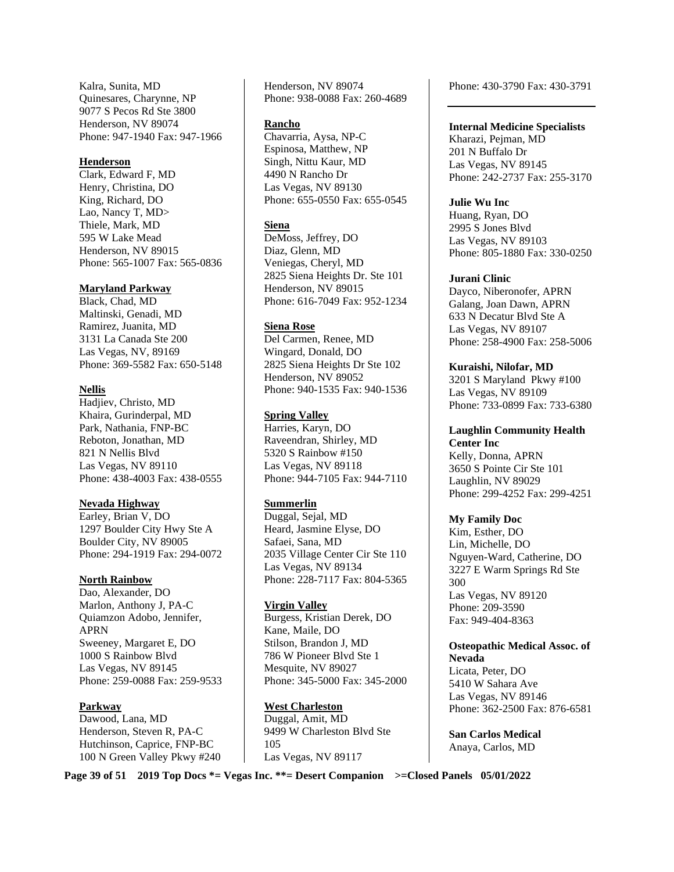Kalra, Sunita, MD Quinesares, Charynne, NP 9077 S Pecos Rd Ste 3800 Henderson, NV 89074 Phone: 947-1940 Fax: 947-1966

#### **Henderson**

Clark, Edward F, MD Henry, Christina, DO King, Richard, DO Lao, Nancy T, MD> Thiele, Mark, MD 595 W Lake Mead Henderson, NV 89015 Phone: 565-1007 Fax: 565-0836

#### **Maryland Parkway**

Black, Chad, MD Maltinski, Genadi, MD Ramirez, Juanita, MD 3131 La Canada Ste 200 Las Vegas, NV, 89169 Phone: 369-5582 Fax: 650-5148

#### **Nellis**

Hadjiev, Christo, MD Khaira, Gurinderpal, MD Park, Nathania, FNP-BC Reboton, Jonathan, MD 821 N Nellis Blvd Las Vegas, NV 89110 Phone: 438-4003 Fax: 438-0555

#### **Nevada Highway**

Earley, Brian V, DO 1297 Boulder City Hwy Ste A Boulder City, NV 89005 Phone: 294-1919 Fax: 294-0072

#### **North Rainbow**

Dao, Alexander, DO Marlon, Anthony J, PA-C Quiamzon Adobo, Jennifer, APRN Sweeney, Margaret E, DO 1000 S Rainbow Blvd Las Vegas, NV 89145 Phone: 259-0088 Fax: 259-9533

#### **Parkway**

Dawood, Lana, MD Henderson, Steven R, PA-C Hutchinson, Caprice, FNP-BC 100 N Green Valley Pkwy #240 Henderson, NV 89074 Phone: 938-0088 Fax: 260-4689

#### **Rancho**

Chavarria, Aysa, NP-C Espinosa, Matthew, NP Singh, Nittu Kaur, MD 4490 N Rancho Dr Las Vegas, NV 89130 Phone: 655-0550 Fax: 655-0545

#### **Siena**

DeMoss, Jeffrey, DO Diaz, Glenn, MD Veniegas, Cheryl, MD 2825 Siena Heights Dr. Ste 101 Henderson, NV 89015 Phone: 616-7049 Fax: 952-1234

#### **Siena Rose**

Del Carmen, Renee, MD Wingard, Donald, DO 2825 Siena Heights Dr Ste 102 Henderson, NV 89052 Phone: 940-1535 Fax: 940-1536

#### **Spring Valley**

Harries, Karyn, DO Raveendran, Shirley, MD 5320 S Rainbow #150 Las Vegas, NV 89118 Phone: 944-7105 Fax: 944-7110

#### **Summerlin**

Duggal, Sejal, MD Heard, Jasmine Elyse, DO Safaei, Sana, MD 2035 Village Center Cir Ste 110 Las Vegas, NV 89134 Phone: 228-7117 Fax: 804-5365

#### **Virgin Valley**

Burgess, Kristian Derek, DO Kane, Maile, DO Stilson, Brandon J, MD 786 W Pioneer Blvd Ste 1 Mesquite, NV 89027 Phone: 345-5000 Fax: 345-2000

#### **West Charleston**

Duggal, Amit, MD 9499 W Charleston Blvd Ste 105 Las Vegas, NV 89117

Phone: 430-3790 Fax: 430-3791

**Internal Medicine Specialists**  Kharazi, Pejman, MD 201 N Buffalo Dr Las Vegas, NV 89145 Phone: 242-2737 Fax: 255-3170

#### **Julie Wu Inc**  Huang, Ryan, DO

2995 S Jones Blvd Las Vegas, NV 89103 Phone: 805-1880 Fax: 330-0250

#### **Jurani Clinic**

Dayco, Niberonofer, APRN Galang, Joan Dawn, APRN 633 N Decatur Blvd Ste A Las Vegas, NV 89107 Phone: 258-4900 Fax: 258-5006

**Kuraishi, Nilofar, MD**  3201 S Maryland Pkwy #100 Las Vegas, NV 89109 Phone: 733-0899 Fax: 733-6380

**Laughlin Community Health Center Inc**  Kelly, Donna, APRN 3650 S Pointe Cir Ste 101 Laughlin, NV 89029 Phone: 299-4252 Fax: 299-4251

#### **My Family Doc**

Kim, Esther, DO Lin, Michelle, DO Nguyen-Ward, Catherine, DO 3227 E Warm Springs Rd Ste 300 Las Vegas, NV 89120 Phone: 209-3590 Fax: 949-404-8363

#### **Osteopathic Medical Assoc. of Nevada**  Licata, Peter, DO

5410 W Sahara Ave Las Vegas, NV 89146 Phone: 362-2500 Fax: 876-6581

**San Carlos Medical**  Anaya, Carlos, MD

**Page 39 of 51 2019 Top Docs \*= Vegas Inc. \*\*= Desert Companion >=Closed Panels 05/01/2022**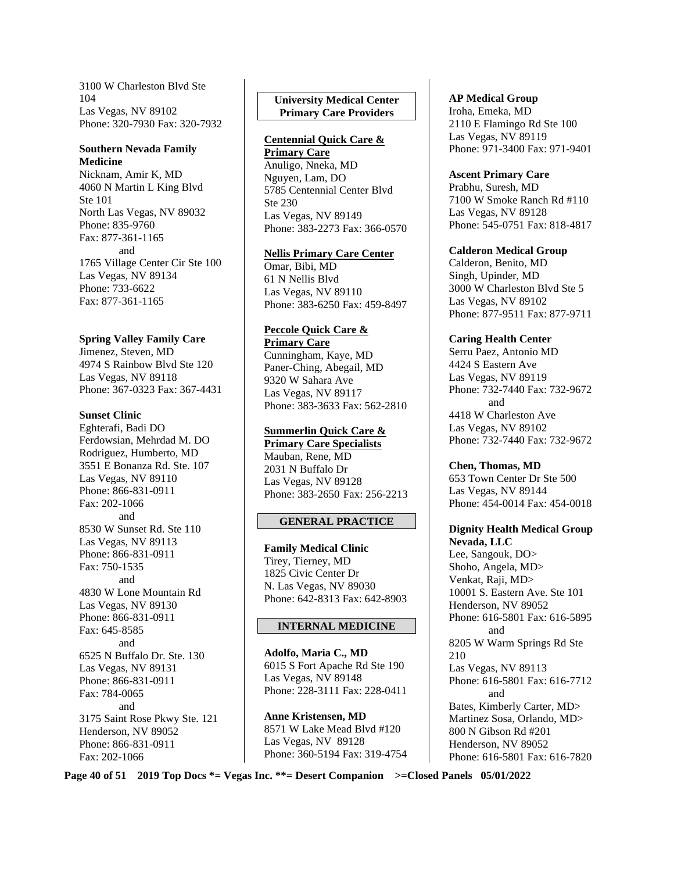3100 W Charleston Blvd Ste 104 Las Vegas, NV 89102 Phone: 320-7930 Fax: 320-7932

#### **Southern Nevada Family Medicine**

Nicknam, Amir K, MD 4060 N Martin L King Blvd Ste 101 North Las Vegas, NV 89032 Phone: 835-9760 Fax: 877-361-1165 and 1765 Village Center Cir Ste 100 Las Vegas, NV 89134 Phone: 733-6622 Fax: 877-361-1165

#### **Spring Valley Family Care**

Jimenez, Steven, MD 4974 S Rainbow Blvd Ste 120 Las Vegas, NV 89118 Phone: 367-0323 Fax: 367-4431

#### **Sunset Clinic**

Eghterafi, Badi DO Ferdowsian, Mehrdad M. DO Rodriguez, Humberto, MD 3551 E Bonanza Rd. Ste. 107 Las Vegas, NV 89110 Phone: 866-831-0911 Fax: 202-1066 and 8530 W Sunset Rd. Ste 110 Las Vegas, NV 89113 Phone: 866-831-0911 Fax: 750-1535 and 4830 W Lone Mountain Rd Las Vegas, NV 89130 Phone: 866-831-0911 Fax: 645-8585 and 6525 N Buffalo Dr. Ste. 130 Las Vegas, NV 89131 Phone: 866-831-0911 Fax: 784-0065 and 3175 Saint Rose Pkwy Ste. 121 Henderson, NV 89052 Phone: 866-831-0911 Fax: 202-1066

## **University Medical Center Primary Care Providers**

#### **Centennial Quick Care & Primary Care**

Anuligo, Nneka, MD Nguyen, Lam, DO 5785 Centennial Center Blvd Ste 230 Las Vegas, NV 89149 Phone: 383-2273 Fax: 366-0570

## **Nellis Primary Care Center**

Omar, Bibi, MD 61 N Nellis Blvd Las Vegas, NV 89110 Phone: 383-6250 Fax: 459-8497

#### **Peccole Quick Care & Primary Care**

Cunningham, Kaye, MD Paner-Ching, Abegail, MD 9320 W Sahara Ave Las Vegas, NV 89117 Phone: 383-3633 Fax: 562-2810

## **Summerlin Quick Care &**

**Primary Care Specialists**  Mauban, Rene, MD 2031 N Buffalo Dr Las Vegas, NV 89128 Phone: 383-2650 Fax: 256-2213

## **GENERAL PRACTICE**

**Family Medical Clinic**  Tirey, Tierney, MD 1825 Civic Center Dr N. Las Vegas, NV 89030 Phone: 642-8313 Fax: 642-8903

## **INTERNAL MEDICINE**

**Adolfo, Maria C., MD**  6015 S Fort Apache Rd Ste 190 Las Vegas, NV 89148 Phone: 228-3111 Fax: 228-0411

**Anne Kristensen, MD**  8571 W Lake Mead Blvd #120 Las Vegas, NV 89128 Phone: 360-5194 Fax: 319-4754

### **AP Medical Group**

Iroha, Emeka, MD 2110 E Flamingo Rd Ste 100 Las Vegas, NV 89119 Phone: 971-3400 Fax: 971-9401

#### **Ascent Primary Care**

Prabhu, Suresh, MD 7100 W Smoke Ranch Rd #110 Las Vegas, NV 89128 Phone: 545-0751 Fax: 818-4817

#### **Calderon Medical Group**

Calderon, Benito, MD Singh, Upinder, MD 3000 W Charleston Blvd Ste 5 Las Vegas, NV 89102 Phone: 877-9511 Fax: 877-9711

## **Caring Health Center**

Serru Paez, Antonio MD 4424 S Eastern Ave Las Vegas, NV 89119 Phone: 732-7440 Fax: 732-9672 and 4418 W Charleston Ave Las Vegas, NV 89102 Phone: 732-7440 Fax: 732-9672

## **Chen, Thomas, MD**

653 Town Center Dr Ste 500 Las Vegas, NV 89144 Phone: 454-0014 Fax: 454-0018

#### **Dignity Health Medical Group Nevada, LLC**

Lee, Sangouk, DO> Shoho, Angela, MD> Venkat, Raji, MD> 10001 S. Eastern Ave. Ste 101 Henderson, NV 89052 Phone: 616-5801 Fax: 616-5895 and 8205 W Warm Springs Rd Ste 210 Las Vegas, NV 89113 Phone: 616-5801 Fax: 616-7712 and Bates, Kimberly Carter, MD> Martinez Sosa, Orlando, MD> 800 N Gibson Rd #201 Henderson, NV 89052 Phone: 616-5801 Fax: 616-7820

**Page 40 of 51 2019 Top Docs \*= Vegas Inc. \*\*= Desert Companion >=Closed Panels 05/01/2022**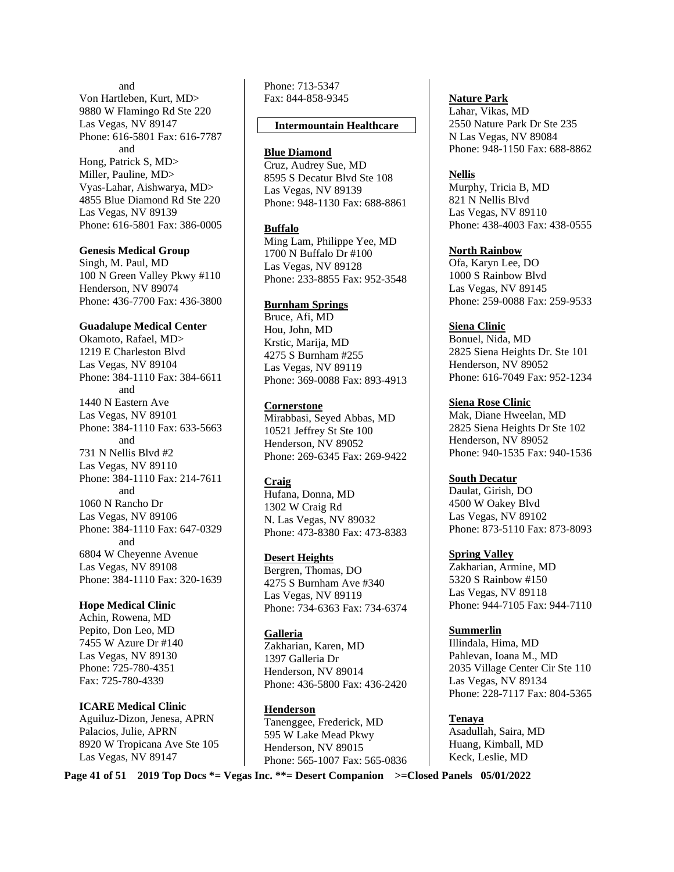and Von Hartleben, Kurt, MD> 9880 W Flamingo Rd Ste 220 Las Vegas, NV 89147 Phone: 616-5801 Fax: 616-7787 and Hong, Patrick S, MD> Miller, Pauline, MD> Vyas-Lahar, Aishwarya, MD> 4855 Blue Diamond Rd Ste 220 Las Vegas, NV 89139 Phone: 616-5801 Fax: 386-0005

#### **Genesis Medical Group**

Singh, M. Paul, MD 100 N Green Valley Pkwy #110 Henderson, NV 89074 Phone: 436-7700 Fax: 436-3800

#### **Guadalupe Medical Center**

Okamoto, Rafael, MD> 1219 E Charleston Blvd Las Vegas, NV 89104 Phone: 384-1110 Fax: 384-6611 and 1440 N Eastern Ave Las Vegas, NV 89101 Phone: 384-1110 Fax: 633-5663 and 731 N Nellis Blvd #2 Las Vegas, NV 89110 Phone: 384-1110 Fax: 214-7611 and 1060 N Rancho Dr Las Vegas, NV 89106 Phone: 384-1110 Fax: 647-0329 and 6804 W Cheyenne Avenue Las Vegas, NV 89108 Phone: 384-1110 Fax: 320-1639

#### **Hope Medical Clinic**

Achin, Rowena, MD Pepito, Don Leo, MD 7455 W Azure Dr #140 Las Vegas, NV 89130 Phone: 725-780-4351 Fax: 725-780-4339

#### **ICARE Medical Clinic**

Aguiluz-Dizon, Jenesa, APRN Palacios, Julie, APRN 8920 W Tropicana Ave Ste 105 Las Vegas, NV 89147

Phone: 713-5347 Fax: 844-858-9345

#### **Intermountain Healthcare**

#### **Blue Diamond**

Cruz, Audrey Sue, MD 8595 S Decatur Blvd Ste 108 Las Vegas, NV 89139 Phone: 948-1130 Fax: 688-8861

#### **Buffalo**

Ming Lam, Philippe Yee, MD 1700 N Buffalo Dr #100 Las Vegas, NV 89128 Phone: 233-8855 Fax: 952-3548

#### **Burnham Springs**

Bruce, Afi, MD Hou, John, MD Krstic, Marija, MD 4275 S Burnham #255 Las Vegas, NV 89119 Phone: 369-0088 Fax: 893-4913

#### **Cornerstone**

Mirabbasi, Seyed Abbas, MD 10521 Jeffrey St Ste 100 Henderson, NV 89052 Phone: 269-6345 Fax: 269-9422

#### **Craig**

Hufana, Donna, MD 1302 W Craig Rd N. Las Vegas, NV 89032 Phone: 473-8380 Fax: 473-8383

#### **Desert Heights**

Bergren, Thomas, DO 4275 S Burnham Ave #340 Las Vegas, NV 89119 Phone: 734-6363 Fax: 734-6374

#### **Galleria**

Zakharian, Karen, MD 1397 Galleria Dr Henderson, NV 89014 Phone: 436-5800 Fax: 436-2420

#### **Henderson**

Tanenggee, Frederick, MD 595 W Lake Mead Pkwy Henderson, NV 89015 Phone: 565-1007 Fax: 565-0836 **Nature Park** 

Lahar, Vikas, MD 2550 Nature Park Dr Ste 235 N Las Vegas, NV 89084 Phone: 948-1150 Fax: 688-8862

#### **Nellis**

Murphy, Tricia B, MD 821 N Nellis Blvd Las Vegas, NV 89110 Phone: 438-4003 Fax: 438-0555

## **North Rainbow**

Ofa, Karyn Lee, DO 1000 S Rainbow Blvd Las Vegas, NV 89145 Phone: 259-0088 Fax: 259-9533

## **Siena Clinic**

Bonuel, Nida, MD 2825 Siena Heights Dr. Ste 101 Henderson, NV 89052 Phone: 616-7049 Fax: 952-1234

## **Siena Rose Clinic**

Mak, Diane Hweelan, MD 2825 Siena Heights Dr Ste 102 Henderson, NV 89052 Phone: 940-1535 Fax: 940-1536

#### **South Decatur**

Daulat, Girish, DO 4500 W Oakey Blvd Las Vegas, NV 89102 Phone: 873-5110 Fax: 873-8093

#### **Spring Valley**

Zakharian, Armine, MD 5320 S Rainbow #150 Las Vegas, NV 89118 Phone: 944-7105 Fax: 944-7110

#### **Summerlin**

Illindala, Hima, MD Pahlevan, Ioana M., MD 2035 Village Center Cir Ste 110 Las Vegas, NV 89134 Phone: 228-7117 Fax: 804-5365

#### **Tenaya**  Asadullah, Saira, MD Huang, Kimball, MD Keck, Leslie, MD

**Page 41 of 51 2019 Top Docs \*= Vegas Inc. \*\*= Desert Companion >=Closed Panels 05/01/2022**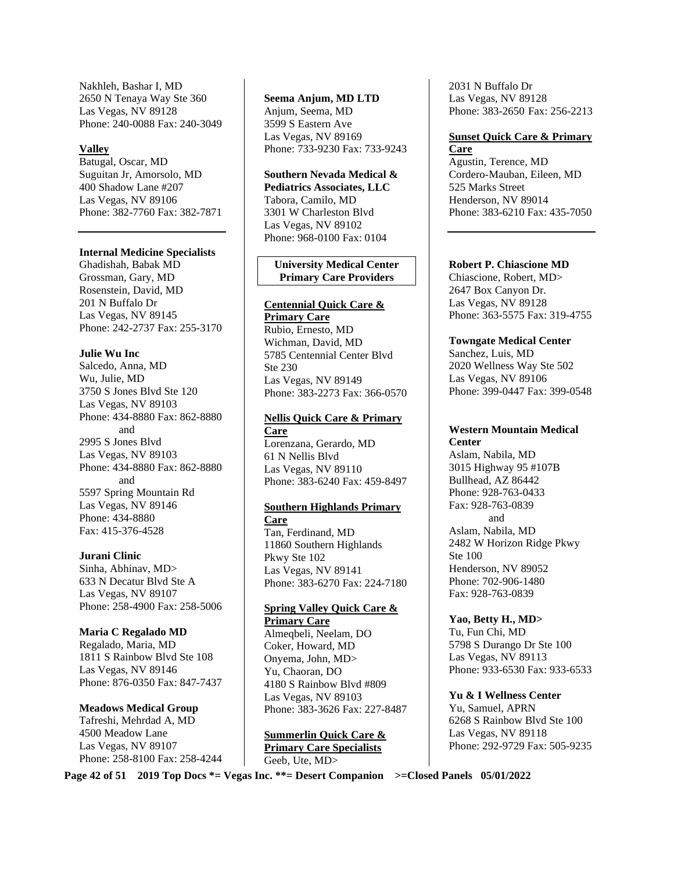Nakhleh, Bashar I, MD 2650 N Tenaya Way Ste 360 Las Vegas, NV 89128 Phone: 240-0088 Fax: 240-3049

#### **Valley**

Batugal, Oscar, MD Suguitan Jr, Amorsolo, MD 400 Shadow Lane #207 Las Vegas, NV 89106 Phone: 382-7760 Fax: 382-7871

#### **Internal Medicine Specialists**

Ghadishah, Babak MD Grossman, Gary, MD Rosenstein, David, MD 201 N Buffalo Dr Las Vegas, NV 89145 Phone: 242-2737 Fax: 255-3170

#### **Julie Wu Inc**

Salcedo, Anna, MD Wu, Julie, MD 3750 S Jones Blvd Ste 120 Las Vegas, NV 89103 Phone: 434-8880 Fax: 862-8880 and 2995 S Jones Blvd Las Vegas, NV 89103 Phone: 434-8880 Fax: 862-8880 and 5597 Spring Mountain Rd Las Vegas, NV 89146 Phone: 434-8880 Fax: 415-376-4528

#### **Jurani Clinic**

Sinha, Abhinav, MD> 633 N Decatur Blvd Ste A Las Vegas, NV 89107 Phone: 258-4900 Fax: 258-5006

#### **Maria C Regalado MD**

Regalado, Maria, MD 1811 S Rainbow Blvd Ste 108 Las Vegas, NV 89146 Phone: 876-0350 Fax: 847-7437

**Meadows Medical Group**  Tafreshi, Mehrdad A, MD 4500 Meadow Lane Las Vegas, NV 89107 Phone: 258-8100 Fax: 258-4244 **Seema Anjum, MD LTD**  Anjum, Seema, MD 3599 S Eastern Ave Las Vegas, NV 89169 Phone: 733-9230 Fax: 733-9243

**Southern Nevada Medical & Pediatrics Associates, LLC**  Tabora, Camilo, MD 3301 W Charleston Blvd Las Vegas, NV 89102 Phone: 968-0100 Fax: 0104

#### **University Medical Center Primary Care Providers**

## **Centennial Quick Care &**

**Primary Care**  Rubio, Ernesto, MD Wichman, David, MD 5785 Centennial Center Blvd Ste 230 Las Vegas, NV 89149 Phone: 383-2273 Fax: 366-0570

## **Nellis Quick Care & Primary Care**

Lorenzana, Gerardo, MD 61 N Nellis Blvd Las Vegas, NV 89110 Phone: 383-6240 Fax: 459-8497

## **Southern Highlands Primary**

**Care**  Tan, Ferdinand, MD 11860 Southern Highlands Pkwy Ste 102 Las Vegas, NV 89141 Phone: 383-6270 Fax: 224-7180

#### **Spring Valley Quick Care & Primary Care**

Almeqbeli, Neelam, DO Coker, Howard, MD Onyema, John, MD> Yu, Chaoran, DO 4180 S Rainbow Blvd #809 Las Vegas, NV 89103 Phone: 383-3626 Fax: 227-8487

**Summerlin Quick Care & Primary Care Specialists**  Geeb, Ute, MD>

2031 N Buffalo Dr Las Vegas, NV 89128 Phone: 383-2650 Fax: 256-2213

#### **Sunset Quick Care & Primary Care**

Agustin, Terence, MD Cordero-Mauban, Eileen, MD 525 Marks Street Henderson, NV 89014 Phone: 383-6210 Fax: 435-7050

#### **Robert P. Chiascione MD**

Chiascione, Robert, MD> 2647 Box Canyon Dr. Las Vegas, NV 89128 Phone: 363-5575 Fax: 319-4755

**Towngate Medical Center**  Sanchez, Luis, MD

2020 Wellness Way Ste 502 Las Vegas, NV 89106 Phone: 399-0447 Fax: 399-0548

#### **Western Mountain Medical Center**

Aslam, Nabila, MD 3015 Highway 95 #107B Bullhead, AZ 86442 Phone: 928-763-0433 Fax: 928-763-0839 and Aslam, Nabila, MD 2482 W Horizon Ridge Pkwy Ste 100 Henderson, NV 89052 Phone: 702-906-1480 Fax: 928-763-0839

**Yao, Betty H., MD>** 

Tu, Fun Chi, MD 5798 S Durango Dr Ste 100 Las Vegas, NV 89113 Phone: 933-6530 Fax: 933-6533

**Yu & I Wellness Center**  Yu, Samuel, APRN 6268 S Rainbow Blvd Ste 100 Las Vegas, NV 89118 Phone: 292-9729 Fax: 505-9235

**Page 42 of 51 2019 Top Docs \*= Vegas Inc. \*\*= Desert Companion >=Closed Panels 05/01/2022**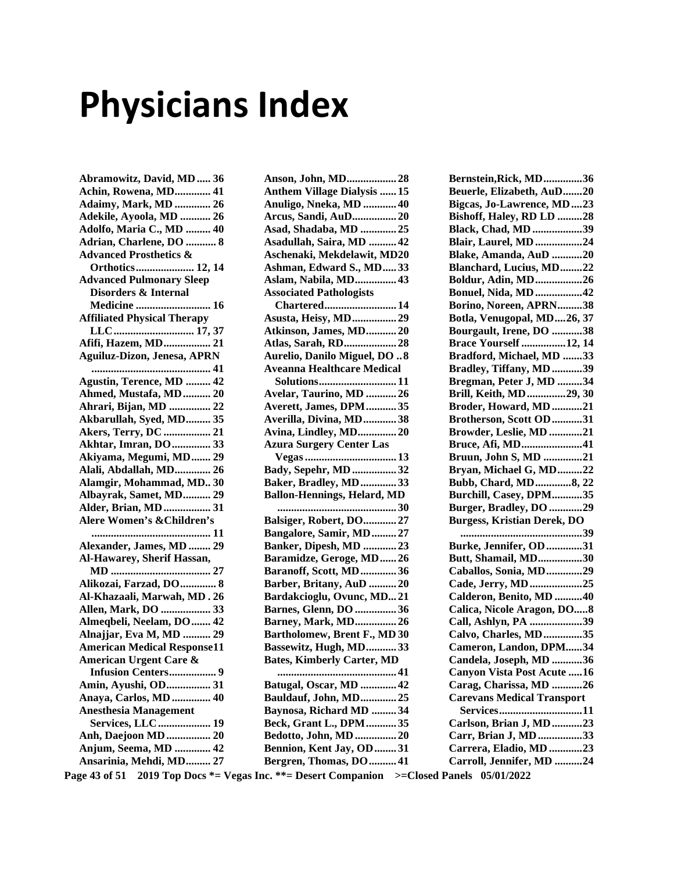# Physicians Index

**Abramowitz, David, MD ..... 36 Achin, Rowena, MD ............. 41 Adaimy, Mark, MD ............. 26 Adekile, Ayoola, MD ........... 26 Adolfo, Maria C., MD ......... 40 Adrian, Charlene, DO ........... 8 Advanced Prosthetics & Orthotics ..................... 12, 14 Advanced Pulmonary Sleep Disorders & Internal Medicine ........................... 16 Affiliated Physical Therapy LLC ............................. 17, 37 Afifi, Hazem, MD ................. 21 Aguiluz-Dizon, Jenesa, APRN ........................................... 41 Agustin, Terence, MD ......... 42 Ahmed, Mustafa, MD .......... 20 Ahrari, Bijan, MD ............... 22 Akbarullah, Syed, MD ......... 35 Akers, Terry, DC ................. 21 Akhtar, Imran, DO .............. 33 Akiyama, Megumi, MD ....... 29 Alali, Abdallah, MD ............. 26 Alamgir, Mohammad, MD.. 30 Albayrak, Samet, MD .......... 29 Alder, Brian, MD ................. 31 Alere Women's &Children's ........................................... 11 Alexander, James, MD ........ 29 Al-Hawarey, Sherif Hassan, MD .................................... 27 Alikozai, Farzad, DO ............. 8 Al-Khazaali, Marwah, MD . 26 Allen, Mark, DO .................. 33 Almeqbeli, Neelam, DO ....... 42 Alnajjar, Eva M, MD .......... 29 American Medical Response11 American Urgent Care & Infusion Centers ................. 9 Amin, Ayushi, OD ................ 31 Anaya, Carlos, MD .............. 40 Anesthesia Management Services, LLC ................... 19 Anh, Daejoon MD ................ 20 Anjum, Seema, MD ............. 42 Ansarinia, Mehdi, MD ......... 27** 

| Anson, John, MD28                                          |
|------------------------------------------------------------|
| <b>Anthem Village Dialysis  15</b>                         |
| Anuligo, Nneka, MD  40                                     |
| Arcus, Sandi, AuD20                                        |
| Asad, Shadaba, MD 25                                       |
| Asadullah, Saira, MD  42                                   |
| Aschenaki, Mekdelawit, MD20                                |
| Ashman, Edward S., MD33                                    |
| Aslam, Nabila, MD 43                                       |
| <b>Associated Pathologists</b>                             |
| <b>Chartered 14</b>                                        |
| <b>Asusta, Heisy, MD 29</b>                                |
| Atkinson, James, MD20                                      |
| Atlas, Sarah, RD28                                         |
| Aurelio, Danilo Miguel, DO  8                              |
| <b>Aveanna Healthcare Medical</b>                          |
| Solutions11                                                |
| Avelar, Taurino, MD 26                                     |
| Averett, James, DPM35                                      |
| Averilla, Divina, MD38                                     |
| Avina, Lindley, MD20                                       |
| <b>Azura Surgery Center Las</b>                            |
|                                                            |
| Bady, Sepehr, MD 32                                        |
| Baker, Bradley, MD33                                       |
| <b>Ballon-Hennings, Helard, MD</b>                         |
|                                                            |
| Balsiger, Robert, DO27                                     |
| Bangalore, Samir, MD27                                     |
| Banker, Dipesh, MD 23                                      |
| Baramidze, Geroge, MD26                                    |
| Baranoff, Scott, MD36                                      |
| Barber, Britany, AuD 20                                    |
| Bardakcioglu, Ovunc, MD21                                  |
| <b>Barnes, Glenn, DO 36</b>                                |
| <b>Barney, Mark, MD 26</b>                                 |
| Bartholomew, Brent F., MD 30                               |
|                                                            |
| Bassewitz, Hugh, MD33<br><b>Bates, Kimberly Carter, MD</b> |
|                                                            |
|                                                            |
| Batugal, Oscar, MD  42                                     |
| <b>Bauldauf, John, MD 25</b>                               |
| Baynosa, Richard MD 34                                     |
|                                                            |
| Beck, Grant L., DPM35                                      |
| Bedotto, John, MD  20                                      |
| Bennion, Kent Jay, OD  31<br>Bergren, Thomas, DO  41       |

**Bernstein,Rick, MD .............. 36 Beuerle, Elizabeth, AuD ....... 20 Bigcas, Jo-Lawrence, MD .... 23 Bishoff, Haley, RD LD ......... 28 Black, Chad, MD .................. 39 Blair, Laurel, MD ................. 24 Blake, Amanda, AuD ........... 20 Blanchard, Lucius, MD ........ 22 Boldur, Adin, MD ................. 26 Bonuel, Nida, MD ................. 42 Borino, Noreen, APRN ......... 38 Botla, Venugopal, MD .... 26, 37 Bourgault, Irene, DO ........... 38 Brace Yourself ................ 12, 14 Bradford, Michael, MD ....... 33 Bradley, Tiffany, MD ........... 39 Bregman, Peter J, MD ......... 34 Brill, Keith, MD .............. 29, 30 Broder, Howard, MD ........... 21 Brotherson, Scott OD ........... 31 Browder, Leslie, MD ............ 21 Bruce, Afi, MD ...................... 41 Bruun, John S, MD .............. 21 Bryan, Michael G, MD ......... 22 Bubb, Chard, MD ............. 8, 22 Burchill, Casey, DPM ........... 35 Burger, Bradley, DO ............ 29 Burgess, Kristian Derek, DO ............................................ 39 Burke, Jennifer, OD ............. 31 Butt, Shamail, MD ................ 30 Caballos, Sonia, MD ............. 29 Cade, Jerry, MD ................... 25 Calderon, Benito, MD .......... 40 Calica, Nicole Aragon, DO..... 8 Call, Ashlyn, PA ................... 39 Calvo, Charles, MD .............. 35 Cameron, Landon, DPM...... 34 Candela, Joseph, MD ........... 36 Canyon Vista Post Acute ..... 16 Carag, Charissa, MD ........... 26 Carevans Medical Transport Services .............................. 11 Carlson, Brian J, MD ........... 23 Carr, Brian J, MD ................ 33 Carrera, Eladio, MD ............ 23 Carroll, Jennifer, MD .......... 24** 

**Page 43 of 51 2019 Top Docs \*= Vegas Inc. \*\*= Desert Companion >=Closed Panels 05/01/2022**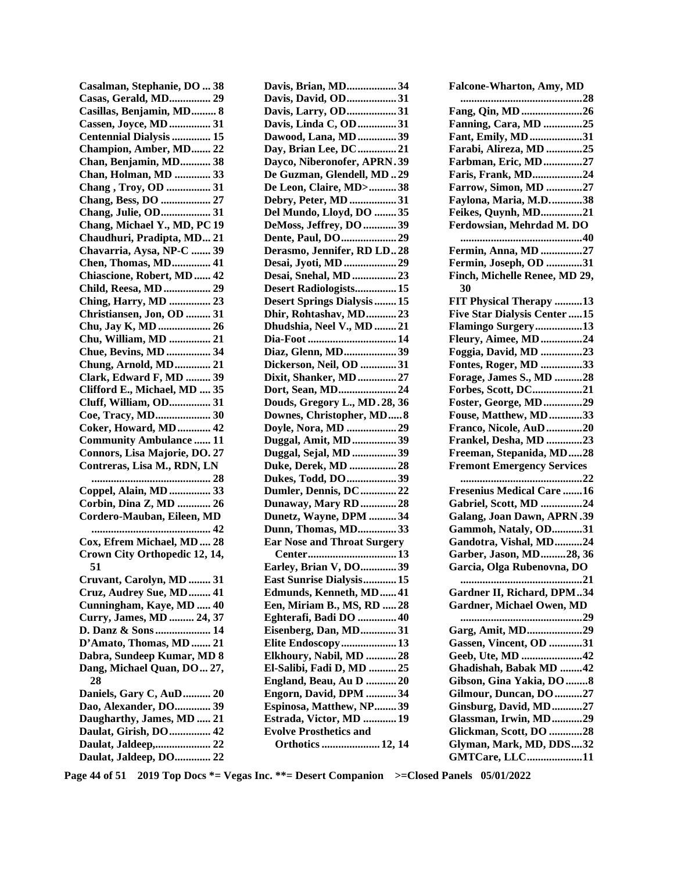| Casalman, Stephanie, DO  38                   |
|-----------------------------------------------|
| <b>Casas, Gerald, MD 29</b>                   |
| Casillas, Benjamin, MD 8                      |
| Cassen, Joyce, MD  31                         |
| Centennial Dialysis  15                       |
| Champion, Amber, MD 22                        |
| Chan, Benjamin, MD 38                         |
| Chan, Holman, MD  33                          |
| Chang, Troy, OD  31                           |
| Chang, Bess, DO  27                           |
| Chang, Julie, OD 31                           |
| Chang, Michael Y., MD, PC 19                  |
| Chaudhuri, Pradipta, MD 21                    |
| Chavarria, Aysa, NP-C  39                     |
| <b>Chen, Thomas, MD 41</b>                    |
| Chiascione, Robert, MD  42                    |
| Child, Reesa, MD  29                          |
| Ching, Harry, MD  23                          |
| Christiansen, Jon, OD  31                     |
| Chu, Jay K, MD  26                            |
| Chu, William, MD  21<br>Chue, Bevins, MD  34  |
| Chung, Arnold, MD 21                          |
| Clark, Edward F, MD  39                       |
| Clifford E., Michael, MD  35                  |
| Cluff, William, OD 31                         |
| Coe, Tracy, MD 30                             |
| Coker, Howard, MD 42                          |
| <b>Community Ambulance  11</b>                |
| Connors, Lisa Majorie, DO. 27                 |
| Contreras, Lisa M., RDN, LN                   |
|                                               |
| Coppel, Alain, MD  33                         |
| Corbin, Dina Z, MD  26                        |
| Cordero-Mauban, Eileen, MD                    |
| 42                                            |
| Cox, Efrem Michael, MD  28                    |
| Crown City Orthopedic 12, 14,                 |
| 51                                            |
| Cruvant, Carolyn, MD  31                      |
| Cruz, Audrey Sue, MD 41                       |
| Cunningham, Kaye, MD  40                      |
| Curry, James, MD  24, 37                      |
| D. Danz & Sons 14                             |
| D'Amato, Thomas, MD  21                       |
| Dabra, Sundeep Kumar, MD 8                    |
| Dang, Michael Quan, DO 27,                    |
| 28                                            |
| Daniels, Gary C, AuD 20                       |
| Dao, Alexander, DO 39                         |
| Daugharthy, James, MD  21                     |
|                                               |
| Daulat, Girish, DO  42                        |
| Daulat, Jaldeep, 22<br>Daulat, Jaldeep, DO 22 |

| Davis, Brian, MD34                                           |
|--------------------------------------------------------------|
| Davis, David, OD31                                           |
| Davis, Larry, OD31                                           |
| Davis, Linda C, OD 31                                        |
| Dawood, Lana, MD  39                                         |
| Day, Brian Lee, DC 21                                        |
| Dayco, Niberonofer, APRN.39                                  |
| De Guzman, Glendell, MD.29                                   |
| De Leon, Claire, MD>38                                       |
| Debry, Peter, MD 31                                          |
| Del Mundo, Lloyd, DO  35                                     |
| DeMoss, Jeffrey, DO  39                                      |
| Dente, Paul, DO29                                            |
| Derasmo, Jennifer, RD LD28                                   |
| Desai, Jyoti, MD 29                                          |
| Desai, Snehal, MD 23                                         |
| Desert Radiologists 15<br><b>Desert Springs Dialysis  15</b> |
| Dhir, Rohtashav, MD23                                        |
| Dhudshia, Neel V., MD 21                                     |
| Dia-Foot  14                                                 |
| Diaz, Glenn, MD39                                            |
| Dickerson, Neil, OD 31                                       |
| Dixit, Shanker, MD  27                                       |
| Dort, Sean, MD24                                             |
| Douds, Gregory L., MD.28, 36                                 |
| Downes, Christopher, MD8                                     |
| Doyle, Nora, MD  29                                          |
| Duggal, Amit, MD 39                                          |
| Duggal, Sejal, MD 39                                         |
| Duke, Derek, MD  28                                          |
| Dukes, Todd, DO39                                            |
| Dumler, Dennis, DC  22                                       |
| Dunaway, Mary RD  28                                         |
| Dunetz, Wayne, DPM  34                                       |
| Dunn, Thomas, MD33                                           |
| <b>Ear Nose and Throat Surgery</b>                           |
|                                                              |
| Earley, Brian V, DO39                                        |
| East Sunrise Dialysis 15                                     |
| Edmunds, Kenneth, MD 41                                      |
| Een, Miriam B., MS, RD  28                                   |
| Eghterafi, Badi DO  40                                       |
| Eisenberg, Dan, MD31                                         |
| Elite Endoscopy 13                                           |
| Elkhoury, Nabil, MD  28                                      |
| El-Salibi, Fadi D, MD  25                                    |
| England, Beau, Au D  20                                      |
| Engorn, David, DPM 34<br>Espinosa, Matthew, NP39             |
| Estrada, Victor, MD  19                                      |
| <b>Evolve Prosthetics and</b>                                |
| Orthotics  12, 14                                            |
|                                                              |

| <b>Falcone-Wharton, Amy, MD</b>                   |
|---------------------------------------------------|
| 28<br>                                            |
| Fang, Qin, MD 26                                  |
| <b>Fanning, Cara, MD 25</b>                       |
| Fant, Emily, MD31                                 |
| Farabi, Alireza, MD 25                            |
| Farbman, Eric, MD27                               |
| Faris, Frank, MD24                                |
| <b>Farrow, Simon, MD 27</b>                       |
| Faylona, Maria, M.D38                             |
| Feikes, Quynh, MD21                               |
| Ferdowsian, Mehrdad M. DO                         |
| Fermin, Anna, MD 27                               |
| Fermin, Joseph, OD 31                             |
| Finch, Michelle Renee, MD 29,                     |
| 30                                                |
| FIT Physical Therapy 13                           |
| Five Star Dialysis Center 15                      |
| Flamingo Surgery13                                |
| <b>Fleury, Aimee, MD 24</b>                       |
| Foggia, David, MD 23                              |
| <b>Fontes, Roger, MD 33</b>                       |
| <b>Forage, James S., MD 28</b>                    |
| Forbes, Scott, DC21                               |
| <b>Foster, George, MD29</b>                       |
| Fouse, Matthew, MD33                              |
| Franco, Nicole, AuD20                             |
| Frankel, Desha, MD 23                             |
| Freeman, Stepanida, MD28                          |
| <b>Fremont Emergency Services</b>                 |
| . 22<br>                                          |
| <b>Fresenius Medical Care 16</b>                  |
| Gabriel, Scott, MD 24                             |
| <b>Galang, Joan Dawn, APRN.39</b>                 |
| Gammoh, Nataly, OD31                              |
| Gandotra, Vishal, MD24                            |
| Garber, Jason, MD28, 36                           |
| Garcia, Olga Rubenovna, DO                        |
| 21                                                |
| Gardner II, Richard, DPM34                        |
| <b>Gardner, Michael Owen, MD</b>                  |
|                                                   |
| Garg, Amit, MD29                                  |
| <b>Gassen, Vincent, OD 31</b>                     |
| Geeb, Ute, MD 42                                  |
| Ghadishah, Babak MD 42                            |
| Gibson, Gina Yakia, DO 8                          |
| Gilmour, Duncan, DO27                             |
| <b>Ginsburg, David, MD27</b>                      |
| Glassman, Irwin, MD29                             |
| Glickman, Scott, DO 28<br>Glyman, Mark, MD, DDS32 |
|                                                   |
| GMTCare, LLC11                                    |

**Page 44 of 51 2019 Top Docs \*= Vegas Inc. \*\*= Desert Companion >=Closed Panels 05/01/2022**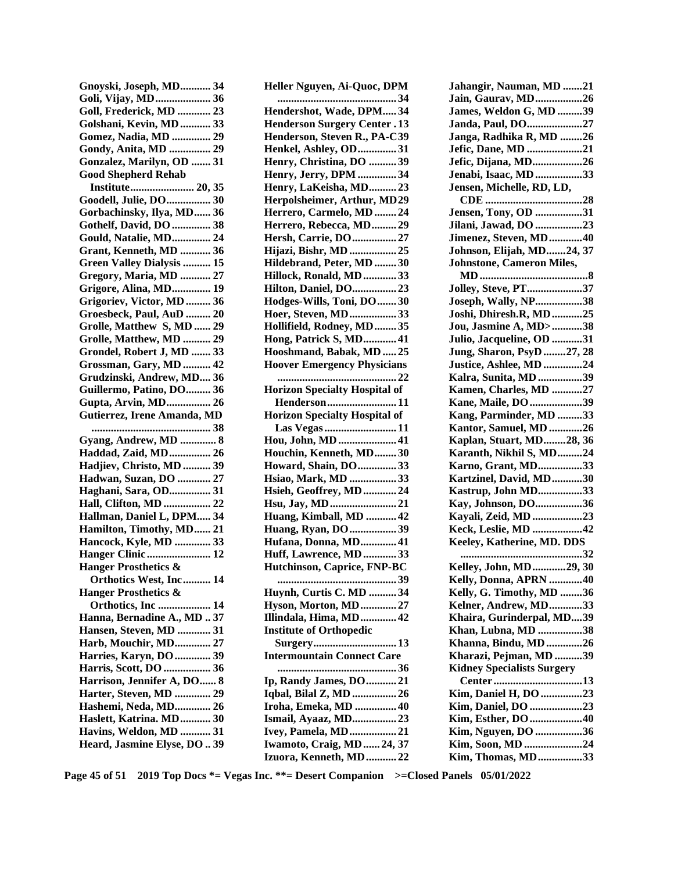| Gnoyski, Joseph, MD 34                            |
|---------------------------------------------------|
| Goli, Vijay, MD 36                                |
| Goll, Frederick, MD  23                           |
| Golshani, Kevin, MD  33                           |
| Gomez, Nadia, MD  29                              |
| Gondy, Anita, MD  29                              |
| Gonzalez, Marilyn, OD  31                         |
| <b>Good Shepherd Rehab</b>                        |
| Institute 20, 35                                  |
| Goodell, Julie, DO 30                             |
| Gorbachinsky, Ilya, MD 36                         |
| Gothelf, David, DO  38                            |
| Gould, Natalie, MD 24                             |
| Grant, Kenneth, MD  36                            |
| <b>Green Valley Dialysis  15</b>                  |
| Gregory, Maria, MD  27                            |
| <b>Grigore, Alina, MD 19</b>                      |
| Grigoriev, Victor, MD  36                         |
| Groesbeck, Paul, AuD  20                          |
| Grolle, Matthew S, MD  29                         |
| Grolle, Matthew, MD  29                           |
| Grondel, Robert J, MD  33                         |
| Grossman, Gary, MD  42                            |
| Grudzinski, Andrew, MD 36                         |
| Guillermo, Patino, DO  36<br>Gupta, Arvin, MD 26  |
|                                                   |
|                                                   |
| Gutierrez, Irene Amanda, MD                       |
| 38                                                |
| Gyang, Andrew, MD  8                              |
| Haddad, Zaid, MD 26                               |
| Hadjiev, Christo, MD  39                          |
| Hadwan, Suzan, DO  27                             |
| Haghani, Sara, OD 31                              |
| Hall, Clifton, MD  22                             |
| Hallman, Daniel L, DPM 34                         |
| Hamilton, Timothy, MD 21                          |
| Hancock, Kyle, MD  33                             |
| Hanger Clinic  12                                 |
| <b>Hanger Prosthetics &amp;</b>                   |
| Orthotics West, Inc 14                            |
| <b>Hanger Prosthetics &amp;</b>                   |
| Orthotics, Inc  14<br>Hanna, Bernadine A., MD  37 |
|                                                   |
| Hansen, Steven, MD  31                            |
| Harb, Mouchir, MD 27                              |
| Harries, Karyn, DO  39<br>Harris, Scott, DO  36   |
| Harrison, Jennifer A, DO 8                        |
| Harter, Steven, MD  29                            |
| Hashemi, Neda, MD 26                              |
| Haslett, Katrina. MD 30                           |
| Havins, Weldon, MD  31                            |
| Heard, Jasmine Elyse, DO  39                      |

| Heller Nguyen, Ai-Quoc, DPM                                                                                                                                  |
|--------------------------------------------------------------------------------------------------------------------------------------------------------------|
| 34                                                                                                                                                           |
| Hendershot, Wade, DPM34                                                                                                                                      |
| <b>Henderson Surgery Center . 13</b>                                                                                                                         |
| Henderson, Steven R., PA-C39                                                                                                                                 |
| Henkel, Ashley, OD31                                                                                                                                         |
| Henry, Christina, DO 39                                                                                                                                      |
| Henry, Jerry, DPM 34                                                                                                                                         |
| Henry, LaKeisha, MD23                                                                                                                                        |
| Herpolsheimer, Arthur, MD29                                                                                                                                  |
| Herrero, Carmelo, MD  24                                                                                                                                     |
| Herrero, Rebecca, MD29                                                                                                                                       |
| Hersh, Carrie, DO  27                                                                                                                                        |
| Hijazi, Bishr, MD  25                                                                                                                                        |
| Hildebrand, Peter, MD  30                                                                                                                                    |
| Hillock, Ronald, MD  33                                                                                                                                      |
| Hilton, Daniel, DO23                                                                                                                                         |
| Hodges-Wills, Toni, DO  30                                                                                                                                   |
| Hoer, Steven, MD33                                                                                                                                           |
| Hollifield, Rodney, MD  35                                                                                                                                   |
| Hong, Patrick S, MD 41                                                                                                                                       |
| Hooshmand, Babak, MD  25                                                                                                                                     |
| <b>Hoover Emergency Physicians</b>                                                                                                                           |
| . 22                                                                                                                                                         |
| <b>Horizon Specialty Hospital of</b>                                                                                                                         |
| Henderson11                                                                                                                                                  |
| <b>Horizon Specialty Hospital of</b>                                                                                                                         |
|                                                                                                                                                              |
| Las Vegas11<br>Hou, John, MD  41                                                                                                                             |
|                                                                                                                                                              |
| Houchin, Kenneth, MD30                                                                                                                                       |
| Howard, Shain, DO33                                                                                                                                          |
| Hsiao, Mark, MD 33                                                                                                                                           |
| Hsieh, Geoffrey, MD  24                                                                                                                                      |
| Hsu, Jay, MD21                                                                                                                                               |
| Huang, Kimball, MD  42                                                                                                                                       |
| Huang, Ryan, DO 39                                                                                                                                           |
| Hufana, Donna, MD 41                                                                                                                                         |
| Huff, Lawrence, MD  33                                                                                                                                       |
| Hutchinson, Caprice, FNP-BC                                                                                                                                  |
| 39                                                                                                                                                           |
| Huynh, Curtis C. MD 34                                                                                                                                       |
| Hyson, Morton, MD27                                                                                                                                          |
|                                                                                                                                                              |
|                                                                                                                                                              |
|                                                                                                                                                              |
|                                                                                                                                                              |
| <b>Intermountain Connect Care</b>                                                                                                                            |
|                                                                                                                                                              |
|                                                                                                                                                              |
|                                                                                                                                                              |
|                                                                                                                                                              |
| Illindala, Hima, MD 42<br><b>Institute of Orthopedic</b><br>Ip, Randy James, DO  21<br>Iqbal, Bilal Z, MD  26<br>Iroha, Emeka, MD  40<br>Ismail, Ayaaz, MD23 |
| Ivey, Pamela, MD21                                                                                                                                           |
|                                                                                                                                                              |
| Iwamoto, Craig, MD  24, 37<br>Izuora, Kenneth, MD22                                                                                                          |

| Jahangir, Nauman, MD 21                                             |
|---------------------------------------------------------------------|
| Jain, Gaurav, MD26                                                  |
| James, Weldon G, MD 39                                              |
| Janda, Paul, DO27                                                   |
| Janga, Radhika R, MD 26                                             |
| Jefic, Dane, MD 21                                                  |
| Jefic, Dijana, MD26                                                 |
| Jenabi, Isaac, MD 33                                                |
| Jensen, Michelle, RD, LD,                                           |
|                                                                     |
| <b>Jensen, Tony, OD 31</b>                                          |
| Jilani, Jawad, DO 23                                                |
| Jimenez, Steven, MD40                                               |
| Johnson, Elijah, MD24, 37                                           |
| Johnstone, Cameron Miles,                                           |
|                                                                     |
| Jolley, Steve, PT37                                                 |
| Joseph, Wally, NP38                                                 |
|                                                                     |
| Joshi, Dhiresh.R, MD25                                              |
| Jou, Jasmine A, MD>38                                               |
| Julio, Jacqueline, OD 31                                            |
| <b>Jung, Sharon, PsyD27, 28</b>                                     |
| Justice, Ashlee, MD 24                                              |
| Kalra, Sunita, MD 39                                                |
| Kamen, Charles, MD 27                                               |
| Kane, Maile, DO 39                                                  |
| Kang, Parminder, MD 33                                              |
| Kantor, Samuel, MD 26                                               |
|                                                                     |
| Kaplan, Stuart, MD28, 36                                            |
| Karanth, Nikhil S, MD24                                             |
| Karno, Grant, MD33                                                  |
| Kartzinel, David, MD30                                              |
| Kastrup, John MD33                                                  |
|                                                                     |
| Kay, Johnson, DO36                                                  |
| Kayali, Zeid, MD 23                                                 |
| <b>Keck, Leslie, MD 42</b>                                          |
| Keeley, Katherine, MD. DDS<br>32                                    |
| .                                                                   |
| Kelley, John, MD29, 30                                              |
| Kelly, Donna, APRN 40                                               |
| Kelly, G. Timothy, MD 36                                            |
| Kelner, Andrew, MD33                                                |
| Khaira, Gurinderpal, MD39                                           |
|                                                                     |
|                                                                     |
| Khan, Lubna, MD 38<br>Khanna, Bindu, MD26<br>Kharazi, Pejman, MD 39 |
| <b>Kidney Specialists Surgery</b>                                   |
| Center13                                                            |
| Kim, Daniel H, DO 23                                                |
| Kim, Daniel, DO 23                                                  |
| Kim, Esther, DO 40                                                  |
| Kim, Nguyen, DO 36                                                  |
| Kim, Soon, MD 24<br>Kim, Thomas, MD33                               |

**Page 45 of 51 2019 Top Docs \*= Vegas Inc. \*\*= Desert Companion >=Closed Panels 05/01/2022**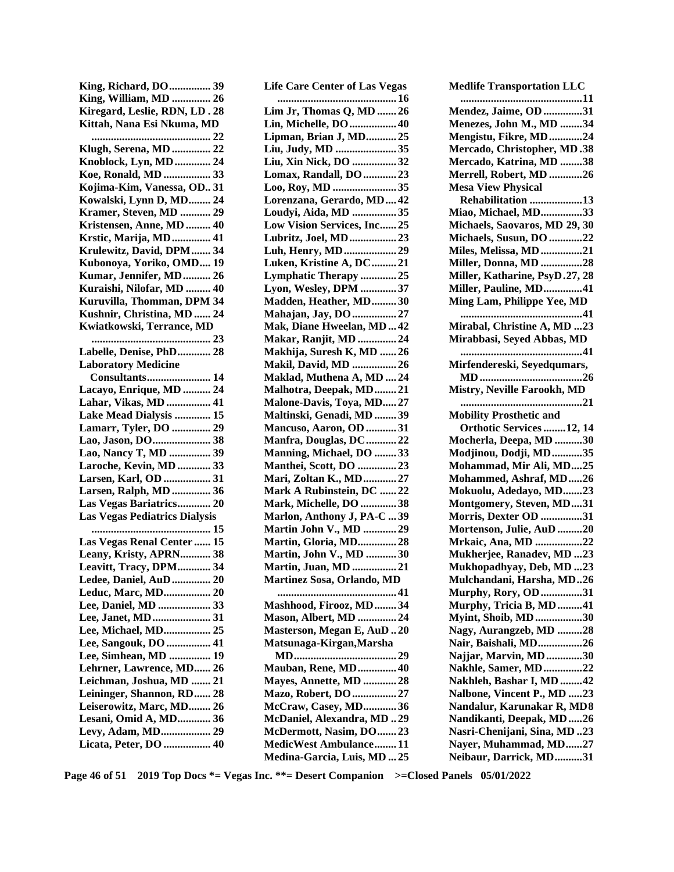| King, Richard, DO  39                      |
|--------------------------------------------|
| King, William, MD  26                      |
| Kiregard, Leslie, RDN, LD. 28              |
| Kittah, Nana Esi Nkuma, MD                 |
|                                            |
| Klugh, Serena, MD  22                      |
| Knoblock, Lyn, MD  24                      |
| Koe, Ronald, MD  33                        |
| Kojima-Kim, Vanessa, OD. 31                |
| Kowalski, Lynn D, MD 24                    |
| Kramer, Steven, MD  29                     |
| Kristensen, Anne, MD  40                   |
| Krstic, Marija, MD  41                     |
| Krulewitz, David, DPM  34                  |
| Kubonoya, Yoriko, OMD 19                   |
| Kumar, Jennifer, MD 26                     |
| Kuraishi, Nilofar, MD  40                  |
| Kuruvilla, Thomman, DPM 34                 |
| Kushnir, Christina, MD  24                 |
| Kwiatkowski, Terrance, MD                  |
|                                            |
| Labelle, Denise, PhD 28                    |
| <b>Laboratory Medicine</b>                 |
| <b>Consultants 14</b>                      |
| Lacayo, Enrique, MD  24                    |
| Lahar, Vikas, MD  41                       |
| Lake Mead Dialysis  15                     |
| Lamarr, Tyler, DO  29<br>Lao, Jason, DO 38 |
| Lao, Nancy T, MD  39                       |
| Laroche, Kevin, MD  33                     |
| Larsen, Karl, OD  31                       |
| Larsen, Ralph, MD  36                      |
| Las Vegas Bariatrics 20                    |
| <b>Las Vegas Pediatrics Dialysis</b>       |
|                                            |
| Las Vegas Renal Center  15                 |
| Leany, Kristy, APRN 38                     |
| Leavitt, Tracy, DPM 34                     |
| Ledee, Daniel, AuD  20                     |
| Leduc, Marc, MD 20                         |
| Lee, Daniel, MD  33                        |
| Lee, Janet, MD 31                          |
| Lee, Michael, MD 25                        |
| Lee, Sangouk, DO  41                       |
| Lee, Simhean, MD  19                       |
| Lehrner, Lawrence, MD 26                   |
| Leichman, Joshua, MD  21                   |
| Leininger, Shannon, RD 28                  |
| Leiserowitz, Marc, MD 26                   |
| Lesani, Omid A, MD 36                      |
| Levy, Adam, MD 29                          |
| Licata, Peter, DO  40                      |
|                                            |

| <b>Life Care Center of Las Vegas</b>                  |
|-------------------------------------------------------|
|                                                       |
| Lim Jr, Thomas Q, MD 26                               |
| Lin, Michelle, DO  40                                 |
| Lipman, Brian J, MD 25                                |
| Liu, Judy, MD 35<br>Liu, Xin Nick, DO 32              |
| Lomax, Randall, DO  23                                |
| Loo, Roy, MD 35                                       |
| Lorenzana, Gerardo, MD42                              |
| Loudyi, Aida, MD 35                                   |
| Low Vision Services, Inc 25                           |
| Lubritz, Joel, MD  23                                 |
| Luh, Henry, MD29                                      |
| Luken, Kristine A, DC21                               |
| Lymphatic Therapy25                                   |
| Lyon, Wesley, DPM 37                                  |
| Madden, Heather, MD30                                 |
| Mahajan, Jay, DO  27                                  |
| Mak, Diane Hweelan, MD  42                            |
| Makar, Ranjit, MD 24                                  |
| Makhija, Suresh K, MD  26                             |
| Makil, David, MD  26                                  |
| Maklad, Muthena A, MD  24                             |
| Malhotra, Deepak, MD21                                |
| Malone-Davis, Toya, MD 27<br>Maltinski, Genadi, MD 39 |
| Mancuso, Aaron, OD 31                                 |
| Manfra, Douglas, DC22                                 |
| Manning, Michael, DO 33                               |
| <b>Manthei, Scott, DO 23</b>                          |
| Mari, Zoltan K., MD27                                 |
| Mark A Rubinstein, DC 22                              |
| Mark, Michelle, DO 38                                 |
| Marlon, Anthony J, PA-C  39                           |
| Martin John V., MD 29                                 |
| Martin, Gloria, MD28                                  |
| Martin, John V., MD 30                                |
| <b>Martin, Juan, MD  21</b>                           |
| Martinez Sosa, Orlando, MD                            |
|                                                       |
| Mashhood, Firooz, MD34                                |
| <b>Mason, Albert, MD  24</b>                          |
| Masterson, Megan E, AuD20<br>Matsunaga-Kirgan, Marsha |
|                                                       |
| <b>Mauban, Rene, MD 40</b>                            |
| Mayes, Annette, MD  28                                |
| Mazo, Robert, DO  27                                  |
| McCraw, Casey, MD36                                   |
| McDaniel, Alexandra, MD 29                            |
| McDermott, Nasim, DO23                                |
| <b>MedicWest Ambulance11</b>                          |
| Medina-Garcia, Luis, MD  25                           |
| c **- Desert Comnanion >-C                            |

| <b>Medlife Transportation LLC</b>                                                                                                                                                                              |
|----------------------------------------------------------------------------------------------------------------------------------------------------------------------------------------------------------------|
| 11<br><b>Mendez, Jaime, OD 31</b>                                                                                                                                                                              |
| Menezes, John M., MD 34                                                                                                                                                                                        |
| Mengistu, Fikre, MD 24                                                                                                                                                                                         |
| <b>Mercado, Christopher, MD .38</b>                                                                                                                                                                            |
| Mercado, Katrina, MD 38                                                                                                                                                                                        |
| <b>Merrell, Robert, MD 26</b><br><b>Mesa View Physical</b>                                                                                                                                                     |
| Rehabilitation 13                                                                                                                                                                                              |
| Miao, Michael, MD33                                                                                                                                                                                            |
| Michaels, Saovaros, MD 29, 30                                                                                                                                                                                  |
| Michaels, Susun, DO 22                                                                                                                                                                                         |
| Miles, Melissa, MD 21                                                                                                                                                                                          |
| Miller, Donna, MD 28<br>Miller, Katharine, PsyD.27, 28                                                                                                                                                         |
| Miller, Pauline, MD41                                                                                                                                                                                          |
| Ming Lam, Philippe Yee, MD                                                                                                                                                                                     |
|                                                                                                                                                                                                                |
| Mirabal, Christine A, MD 23                                                                                                                                                                                    |
| Mirabbasi, Seyed Abbas, MD                                                                                                                                                                                     |
| 41<br>Mirfendereski, Seyedqumars,                                                                                                                                                                              |
|                                                                                                                                                                                                                |
| Mistry, Neville Farookh, MD                                                                                                                                                                                    |
|                                                                                                                                                                                                                |
| <b>Mobility Prosthetic and</b>                                                                                                                                                                                 |
| Orthotic Services 12, 14                                                                                                                                                                                       |
|                                                                                                                                                                                                                |
|                                                                                                                                                                                                                |
|                                                                                                                                                                                                                |
|                                                                                                                                                                                                                |
|                                                                                                                                                                                                                |
|                                                                                                                                                                                                                |
|                                                                                                                                                                                                                |
| Mocherla, Deepa, MD 30<br>Modjinou, Dodji, MD35<br>Mohammad, Mir Ali, MD25<br>Mohammed, Ashraf, MD26<br>Mokuolu, Adedayo, MD23<br>Montgomery, Steven, MD31<br>Morris, Dexter OD 31<br>Mortenson, Julie, AuD 20 |
| Mrkaic, Ana, MD 22                                                                                                                                                                                             |
|                                                                                                                                                                                                                |
|                                                                                                                                                                                                                |
|                                                                                                                                                                                                                |
|                                                                                                                                                                                                                |
| <b>Mukherjee, Ranadev, MD 23</b><br>Mukhopadhyay, Deb, MD 23<br>Mulchandani, Harsha, MD26<br><b>Murphy, Rory, OD</b> 31<br>Murphy, Tricia B, MD41<br><b>Myint, Shoib, MD30</b>                                 |
| Nagy, Aurangzeb, MD 28                                                                                                                                                                                         |
| Nair, Baishali, MD26<br>Najjar, Marvin, MD 30                                                                                                                                                                  |
| Nakhle, Samer, MD22                                                                                                                                                                                            |
| Nakhleh, Bashar I, MD 42                                                                                                                                                                                       |
| Nalbone, Vincent P., MD 23                                                                                                                                                                                     |
| Nandalur, Karunakar R, MD8                                                                                                                                                                                     |
| Nandikanti, Deepak, MD26                                                                                                                                                                                       |
| Nasri-Chenijani, Sina, MD.23<br>Nayer, Muhammad, MD27<br><b>Neibaur, Darrick, MD31</b>                                                                                                                         |

**Page 46 of 51 2019 Top Docs \*= Vegas Inc. \*\*= Desert Companion >=Closed Panels 05/01/2022**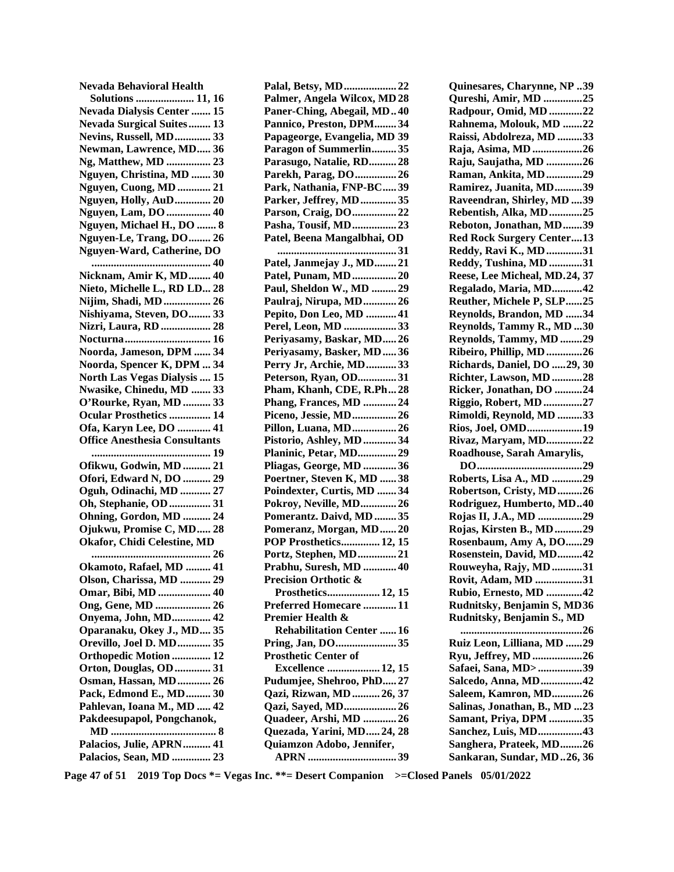| Nevada Behavioral Health                                       |
|----------------------------------------------------------------|
| <b>Solutions  11, 16</b>                                       |
| <b>Nevada Dialysis Center  15</b>                              |
| <b>Nevada Surgical Suites 13</b>                               |
| <b>Nevins, Russell, MD 33</b>                                  |
| Newman, Lawrence, MD 36                                        |
| Ng, Matthew, MD  23                                            |
| Nguyen, Christina, MD  30                                      |
| Nguyen, Cuong, MD  21                                          |
| Nguyen, Holly, AuD 20                                          |
| Nguyen, Lam, DO  40<br>Nguyen, Michael H., DO  8               |
|                                                                |
| Nguyen-Le, Trang, DO 26<br>Nguyen-Ward, Catherine, DO          |
|                                                                |
| Nicknam, Amir K, MD 40                                         |
| Nieto, Michelle L., RD LD 28                                   |
| Nijim, Shadi, MD  26                                           |
| Nishiyama, Steven, DO 33                                       |
| Nizri, Laura, RD  28                                           |
|                                                                |
| Noorda, Jameson, DPM  34                                       |
| Noorda, Spencer K, DPM  34                                     |
| North Las Vegas Dialysis  15                                   |
| Nwasike, Chinedu, MD  33                                       |
| O'Rourke, Ryan, MD  33                                         |
|                                                                |
|                                                                |
| <b>Ocular Prosthetics  14</b>                                  |
| Ofa, Karyn Lee, DO  41<br><b>Office Anesthesia Consultants</b> |
|                                                                |
| Ofikwu, Godwin, MD  21                                         |
| Ofori, Edward N, DO  29                                        |
| Oguh, Odinachi, MD  27                                         |
| Oh, Stephanie, OD  31                                          |
| Ohning, Gordon, MD  24                                         |
| Ojukwu, Promise C, MD 28                                       |
| Okafor, Chidi Celestine, MD                                    |
|                                                                |
| Okamoto, Rafael, MD  41                                        |
| Olson, Charissa, MD  29                                        |
| Omar, Bibi, MD  40                                             |
| Ong, Gene, MD  26                                              |
| Onyema, John, MD 42                                            |
| Oparanaku, Okey J., MD 35                                      |
| Orevillo, Joel D. MD 35                                        |
| Orthopedic Motion  12                                          |
| Orton, Douglas, OD  31                                         |
| Osman, Hassan, MD  26                                          |
| Pack, Edmond E., MD 30                                         |
| Pahlevan, Ioana M., MD  42                                     |
| Pakdeesupapol, Pongchanok,                                     |
|                                                                |
| Palacios, Julie, APRN  41<br>Palacios, Sean, MD  23            |

| Palal, Betsy, MD 22             |
|---------------------------------|
| Palmer, Angela Wilcox, MD 28    |
| Paner-Ching, Abegail, MD40      |
| Pannico, Preston, DPM34         |
| Papageorge, Evangelia, MD 39    |
| Paragon of Summerlin35          |
| Parasugo, Natalie, RD 28        |
| Parekh, Parag, DO  26           |
| Park, Nathania, FNP-BC39        |
| Parker, Jeffrey, MD35           |
| Parson, Craig, DO22             |
| Pasha, Tousif, MD23             |
| Patel, Beena Mangalbhai, OD     |
|                                 |
| Patel, Janmejay J., MD21        |
| Patel, Punam, MD20              |
| Paul, Sheldon W., MD  29        |
| Paulraj, Nirupa, MD26           |
| Pepito, Don Leo, MD  41         |
| Perel, Leon, MD 33              |
| Periyasamy, Baskar, MD26        |
| Periyasamy, Basker, MD36        |
| Perry Jr, Archie, MD33          |
| Peterson, Ryan, OD31            |
| Pham, Khanh, CDE, R.Ph28        |
| Phang, Frances, MD 24           |
| Piceno, Jessie, MD26            |
| Pillon, Luana, MD26             |
| Pistorio, Ashley, MD  34        |
| Planinic, Petar, MD29           |
| Pliagas, George, MD 36          |
| Poertner, Steven K, MD 38       |
| Poindexter, Curtis, MD 34       |
| Pokroy, Neville, MD 26          |
| Pomerantz. Daivd, MD  35        |
| Pomeranz, Morgan, MD20          |
| POP Prosthetics 12, 15          |
| Portz, Stephen, MD21            |
| Prabhu, Suresh, MD  40          |
| Precision Orthotic &            |
| Prosthetics 12, 15              |
| Preferred Homecare 11           |
| Premier Health &                |
| <b>Rehabilitation Center 16</b> |
| Pring, Jan, DO35                |
| <b>Prosthetic Center of</b>     |
| <b>Excellence  12, 15</b>       |
| Pudumjee, Shehroo, PhD27        |
| Qazi, Rizwan, MD  26, 37        |
| Qazi, Sayed, MD 26              |
| Quadeer, Arshi, MD 26           |
| Quezada, Yarini, MD 24, 28      |
| Quiamzon Adobo, Jennifer,       |
|                                 |

**Quinesares, Charynne, NP .. 39 Qureshi, Amir, MD .............. 25 Radpour, Omid, MD ............ 22 Rahnema, Molouk, MD ....... 22 Raissi, Abdolreza, MD ......... 33 Raja, Asima, MD .................. 26 Raju, Saujatha, MD ............. 26 Raman, Ankita, MD ............. 29 Ramirez, Juanita, MD .......... 39 Raveendran, Shirley, MD .... 39 Rebentish, Alka, MD ............ 25 Reboton, Jonathan, MD ....... 39 Red Rock Surgery Center .... 13 Reddy, Ravi K., MD ............. 31 Reddy, Tushina, MD ............ 31 Reese, Lee Micheal, MD. 24, 37 Regalado, Maria, MD ........... 42 Reuther, Michele P, SLP ...... 25 Reynolds, Brandon, MD ...... 34 Reynolds, Tammy R., MD ... 30 Reynolds, Tammy, MD ........ 29 Ribeiro, Phillip, MD ............. 26 Richards, Daniel, DO ..... 29, 30 Richter, Lawson, MD ........... 28 Ricker, Jonathan, DO .......... 24 Riggio, Robert, MD .............. 27 Rimoldi, Reynold, MD ......... 33 Rios, Joel, OMD .................... 19 Rivaz, Maryam, MD ............. 22 Roadhouse, Sarah Amarylis, DO ...................................... 29 Roberts, Lisa A., MD ........... 29 Robertson, Cristy, MD ......... 26 Rodriguez, Humberto, MD .. 40 Rojas II, J.A., MD ................ 29 Rojas, Kirsten B., MD .......... 29 Rosenbaum, Amy A, DO ...... 29 Rosenstein, David, MD ......... 42 Rouweyha, Rajy, MD ........... 31 Rovit, Adam, MD ................. 31 Rubio, Ernesto, MD ............. 42 Rudnitsky, Benjamin S, MD 36 Rudnitsky, Benjamin S., MD ............................................ 26 Ruiz Leon, Lilliana, MD ...... 29 Ryu, Jeffrey, MD .................. 26 Safaei, Sana, MD> ................ 39 Salcedo, Anna, MD ............... 42 Saleem, Kamron, MD ........... 26 Salinas, Jonathan, B., MD ... 23 Samant, Priya, DPM ............ 35 Sanchez, Luis, MD ................ 43 Sanghera, Prateek, MD ........ 26 Sankaran, Sundar, MD .. 26, 36** 

**Page 47 of 51 2019 Top Docs \*= Vegas Inc. \*\*= Desert Companion >=Closed Panels 05/01/2022**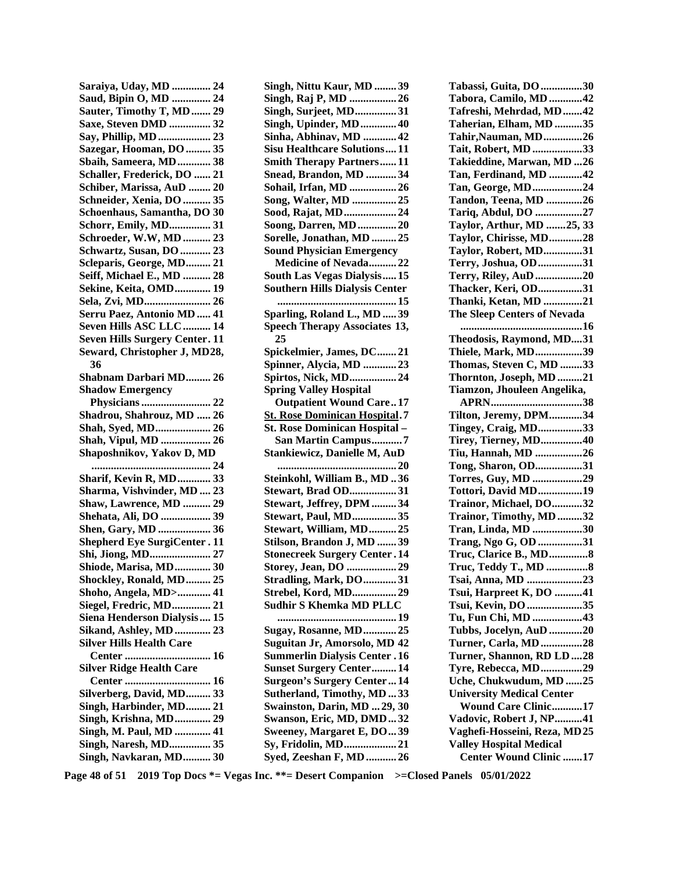**Saraiya, Uday, MD .............. 24 Saud, Bipin O, MD .............. 24 Sauter, Timothy T, MD ....... 29 Saxe, Steven DMD ............... 32 Say, Phillip, MD ................... 23 Sazegar, Hooman, DO ......... 35 Sbaih, Sameera, MD ............ 38 Schaller, Frederick, DO ...... 21 Schiber, Marissa, AuD ........ 20 Schneider, Xenia, DO .......... 35 Schoenhaus, Samantha, DO 30 Schorr, Emily, MD............... 31 Schroeder, W.W, MD .......... 23 Schwartz, Susan, DO ........... 23 Scleparis, George, MD ......... 21 Seiff, Michael E., MD .......... 28 Sekine, Keita, OMD ............. 19 Sela, Zvi, MD ........................ 26 Serru Paez, Antonio MD ..... 41 Seven Hills ASC LLC .......... 14 Seven Hills Surgery Center. 11 Seward, Christopher J, MD 28, 36 Shabnam Darbari MD ......... 26 Shadow Emergency Physicians ......................... 22 Shadrou, Shahrouz, MD ..... 26 Shah, Syed, MD .................... 26 Shah, Vipul, MD .................. 26 Shaposhnikov, Yakov D, MD ........................................... 24 Sharif, Kevin R, MD ............ 33 Sharma, Vishvinder, MD .... 23 Shaw, Lawrence, MD .......... 29 Shehata, Ali, DO .................. 39 Shen, Gary, MD ................... 36 Shepherd Eye SurgiCenter . 11 Shi, Jiong, MD ...................... 27 Shiode, Marisa, MD ............. 30 Shockley, Ronald, MD ......... 25 Shoho, Angela, MD> ............ 41 Siegel, Fredric, MD .............. 21 Siena Henderson Dialysis .... 15 Sikand, Ashley, MD ............. 23 Silver Hills Health Care Center ............................... 16 Silver Ridge Health Care Center ............................... 16**  Silverberg, David, MD......... 33 **Singh, Harbinder, MD......... 21 Singh, Krishna, MD ............. 29 Singh, M. Paul, MD ............. 41 Singh, Naresh, MD............... 35 Singh, Navkaran, MD .......... 30** 

**Singh, Nittu Kaur, MD ........ 39 Singh, Raj P, MD ................. 26 Singh, Surjeet, MD ............... 31 Singh, Upinder, MD ............. 40 Sinha, Abhinav, MD ............ 42 Sisu Healthcare Solutions .... 11 Smith Therapy Partners ...... 11 Snead, Brandon, MD ........... 34 Sohail, Irfan, MD ................. 26 Song, Walter, MD ................ 25 Sood, Rajat, MD ................... 24 Soong, Darren, MD .............. 20 Sorelle, Jonathan, MD ......... 25 Sound Physician Emergency Medicine of Nevada .......... 22 South Las Vegas Dialysis ..... 15 Southern Hills Dialysis Center ........................................... 15 Sparling, Roland L., MD ..... 39 Speech Therapy Associates 13, 25 Spickelmier, James, DC ....... 21 Spinner, Alycia, MD ............ 23 Spirtos, Nick, MD ................. 24 Spring Valley Hospital Outpatient Wound Care .. 17 St. Rose Dominican Hospital . 7 St. Rose Dominican Hospital – San Martin Campus ........... 7 Stankiewicz, Danielle M, AuD ........................................... 20 Steinkohl, William B., MD .. 36 Stewart, Brad OD................. 31 Stewart, Jeffrey, DPM ......... 34 Stewart, Paul, MD ................ 35 Stewart, William, MD .......... 25 Stilson, Brandon J, MD ....... 39 Stonecreek Surgery Center . 14 Storey, Jean, DO .................. 29 Stradling, Mark, DO ............ 31 Strebel, Kord, MD................ 29 Sudhir S Khemka MD PLLC ........................................... 19 Sugay, Rosanne, MD ............ 25 Suguitan Jr, Amorsolo, MD 42 Summerlin Dialysis Center . 16 Sunset Surgery Center ......... 14 Surgeon's Surgery Center ... 14 Sutherland, Timothy, MD ... 33 Swainston, Darin, MD ... 29, 30 Swanson, Eric, MD, DMD ... 32 Sweeney, Margaret E, DO ... 39 Sy, Fridolin, MD ................... 21 Syed, Zeeshan F, MD ........... 26**  **Tabassi, Guita, DO ............... 30 Tabora, Camilo, MD ............ 42 Tafreshi, Mehrdad, MD ....... 42 Taherian, Elham, MD .......... 35 Tahir,Nauman, MD .............. 26 Tait, Robert, MD .................. 33 Takieddine, Marwan, MD ... 26 Tan, Ferdinand, MD ............ 42 Tan, George, MD .................. 24 Tandon, Teena, MD ............. 26 Tariq, Abdul, DO ................. 27 Taylor, Arthur, MD ....... 25, 33 Taylor, Chirisse, MD ............ 28 Taylor, Robert, MD .............. 31 Terry, Joshua, OD ................ 31 Terry, Riley, AuD ................. 20 Thacker, Keri, OD ................ 31 Thanki, Ketan, MD .............. 21 The Sleep Centers of Nevada ............................................ 16 Theodosis, Raymond, MD.... 31 Thiele, Mark, MD ................. 39 Thomas, Steven C, MD ........ 33 Thornton, Joseph, MD ......... 21 Tiamzon, Jhouleen Angelika, APRN ................................. 38 Tilton, Jeremy, DPM ............ 34 Tingey, Craig, MD ................ 33 Tirey, Tierney, MD ............... 40 Tiu, Hannah, MD ................. 26 Tong, Sharon, OD................. 31 Torres, Guy, MD .................. 29 Tottori, David MD ................ 19 Trainor, Michael, DO ........... 32 Trainor, Timothy, MD ......... 32 Tran, Linda, MD .................. 30 Trang, Ngo G, OD ................ 31 Truc, Clarice B., MD .............. 8 Truc, Teddy T., MD ............... 8 Tsai, Anna, MD .................... 23 Tsui, Harpreet K, DO .......... 41 Tsui, Kevin, DO .................... 35 Tu, Fun Chi, MD .................. 43 Tubbs, Jocelyn, AuD ............ 20 Turner, Carla, MD ............... 28 Turner, Shannon, RD LD .... 28 Tyre, Rebecca, MD ............... 29 Uche, Chukwudum, MD ...... 25 University Medical Center Wound Care Clinic ........... 17 Vadovic, Robert J, NP .......... 41 Vaghefi-Hosseini, Reza, MD 25 Valley Hospital Medical Center Wound Clinic ....... 17** 

**Page 48 of 51 2019 Top Docs \*= Vegas Inc. \*\*= Desert Companion >=Closed Panels 05/01/2022**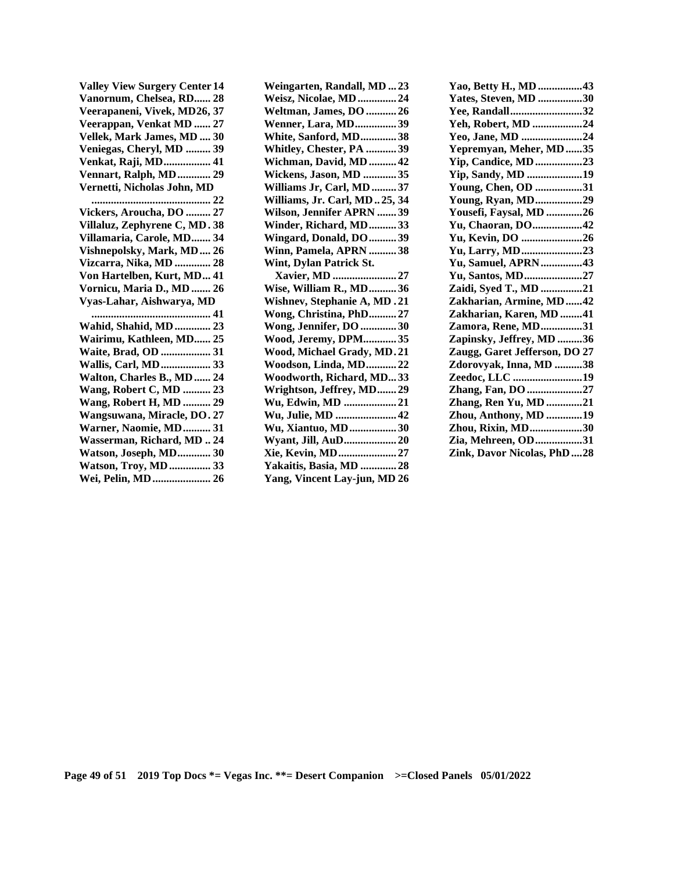**Valley View Surgery Center 14 Vanornum, Chelsea, RD...... 28 Veerapaneni, Vivek, MD 26, 37 Veerappan, Venkat MD ...... 27 Vellek, Mark James, MD .... 30 Veniegas, Cheryl, MD ......... 39 Venkat, Raji, MD ................. 41 Vennart, Ralph, MD ............ 29 Vernetti, Nicholas John, MD ........................................... 22 Vickers, Aroucha, DO ......... 27 Villaluz, Zephyrene C, MD . 38 Villamaria, Carole, MD ....... 34 Vishnepolsky, Mark, MD .... 26 Vizcarra, Nika, MD ............. 28 Von Hartelben, Kurt, MD ... 41 Vornicu, Maria D., MD ....... 26 Vyas-Lahar, Aishwarya, MD ........................................... 41 Wahid, Shahid, MD ............. 23 Wairimu, Kathleen, MD...... 25 Waite, Brad, OD .................. 31 Wallis, Carl, MD .................. 33 Walton, Charles B., MD ...... 24 Wang, Robert C, MD .......... 23 Wang, Robert H, MD .......... 29 Wangsuwana, Miracle, DO . 27 Warner, Naomie, MD .......... 31 Wasserman, Richard, MD .. 24 Watson, Joseph, MD ............ 30 Watson, Troy, MD ............... 33 Wei, Pelin, MD ..................... 26**  **Weingarten, Randall, MD ... 23 Weisz, Nicolae, MD .............. 24 Weltman, James, DO ........... 26 Wenner, Lara, MD ............... 39 White, Sanford, MD ............. 38 Whitley, Chester, PA ........... 39 Wichman, David, MD .......... 42 Wickens, Jason, MD ............ 35 Williams Jr, Carl, MD ......... 37 Williams, Jr. Carl, MD .. 25, 34 Wilson, Jennifer APRN ....... 39 Winder, Richard, MD .......... 33 Wingard, Donald, DO .......... 39 Winn, Pamela, APRN .......... 38 Wint, Dylan Patrick St. Xavier, MD ....................... 27 Wise, William R., MD .......... 36 Wishnev, Stephanie A, MD . 21 Wong, Christina, PhD .......... 27 Wong, Jennifer, DO ............. 30 Wood, Jeremy, DPM ............ 35 Wood, Michael Grady, MD . 21 Woodson, Linda, MD ........... 22 Woodworth, Richard, MD... 33 Wrightson, Jeffrey, MD ....... 29 Wu, Edwin, MD ................... 21 Wu, Julie, MD ...................... 42 Wu, Xiantuo, MD ................. 30 Wyant, Jill, AuD ................... 20 Xie, Kevin, MD ..................... 27 Yakaitis, Basia, MD ............. 28 Yang, Vincent Lay-jun, MD 26** 

| Yao, Betty H., MD 43          |  |
|-------------------------------|--|
| Yates, Steven, MD 30          |  |
| Yee, Randall32                |  |
| Yeh, Robert, MD 24            |  |
| Yeo, Jane, MD 24              |  |
| Yepremyan, Meher, MD35        |  |
| Yip, Candice, MD23            |  |
| Yip, Sandy, MD 19             |  |
| Young, Chen, OD 31            |  |
| <b>Young, Ryan, MD29</b>      |  |
| Yousefi, Faysal, MD 26        |  |
| Yu, Chaoran, DO42             |  |
| Yu, Kevin, DO 26              |  |
| Yu, Larry, MD23               |  |
| Yu, Samuel, APRN43            |  |
| Yu, Santos, MD27              |  |
| Zaidi, Syed T., MD 21         |  |
| Zakharian, Armine, MD42       |  |
| Zakharian, Karen, MD 41       |  |
| Zamora, Rene, MD31            |  |
| Zapinsky, Jeffrey, MD 36      |  |
| Zaugg, Garet Jefferson, DO 27 |  |
| Zdorovyak, Inna, MD 38        |  |
| Zeedoc, LLC 19                |  |
| Zhang, Fan, DO 27             |  |
| Zhang, Ren Yu, MD 21          |  |
| Zhou, Anthony, MD 19          |  |
| Zhou, Rixin, MD30             |  |
| Zia, Mehreen, OD31            |  |
| Zink. Davor Nicolas. PhD28    |  |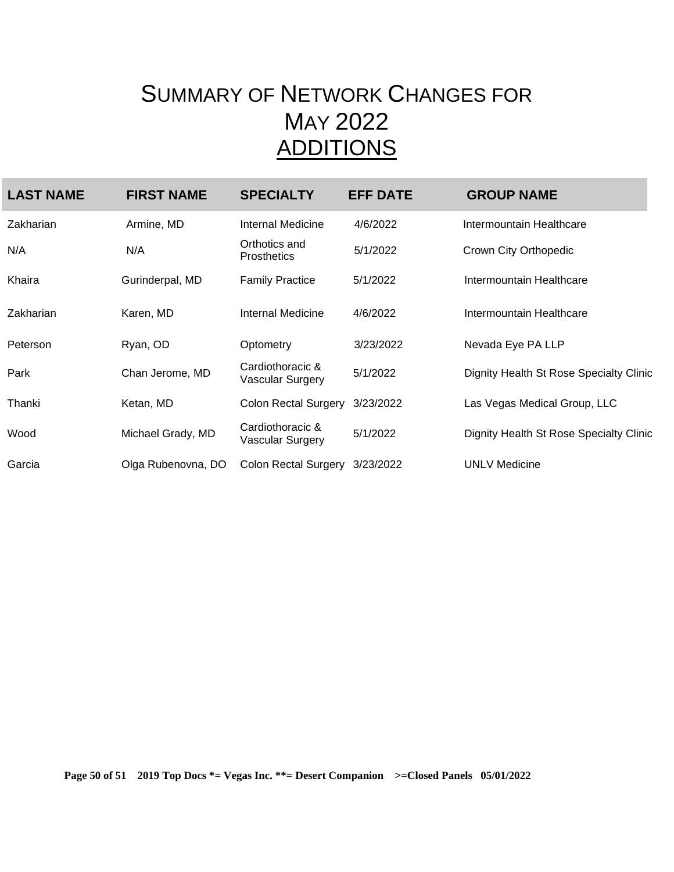## SUMMARY OF NETWORK CHANGES FOR MAY 2022 ADDITIONS

| <b>LAST NAME</b> | <b>FIRST NAME</b>  | <b>SPECIALTY</b>                     | <b>EFF DATE</b> | <b>GROUP NAME</b>                       |
|------------------|--------------------|--------------------------------------|-----------------|-----------------------------------------|
| Zakharian        | Armine, MD         | Internal Medicine                    | 4/6/2022        | Intermountain Healthcare                |
| N/A              | N/A                | Orthotics and<br><b>Prosthetics</b>  | 5/1/2022        | Crown City Orthopedic                   |
| Khaira           | Gurinderpal, MD    | <b>Family Practice</b>               | 5/1/2022        | Intermountain Healthcare                |
| Zakharian        | Karen, MD          | Internal Medicine                    | 4/6/2022        | Intermountain Healthcare                |
| Peterson         | Ryan, OD           | Optometry                            | 3/23/2022       | Nevada Eye PA LLP                       |
| Park             | Chan Jerome, MD    | Cardiothoracic &<br>Vascular Surgery | 5/1/2022        | Dignity Health St Rose Specialty Clinic |
| Thanki           | Ketan, MD          | <b>Colon Rectal Surgery</b>          | 3/23/2022       | Las Vegas Medical Group, LLC            |
| Wood             | Michael Grady, MD  | Cardiothoracic &<br>Vascular Surgery | 5/1/2022        | Dignity Health St Rose Specialty Clinic |
| Garcia           | Olga Rubenovna, DO | <b>Colon Rectal Surgery</b>          | 3/23/2022       | <b>UNLV Medicine</b>                    |